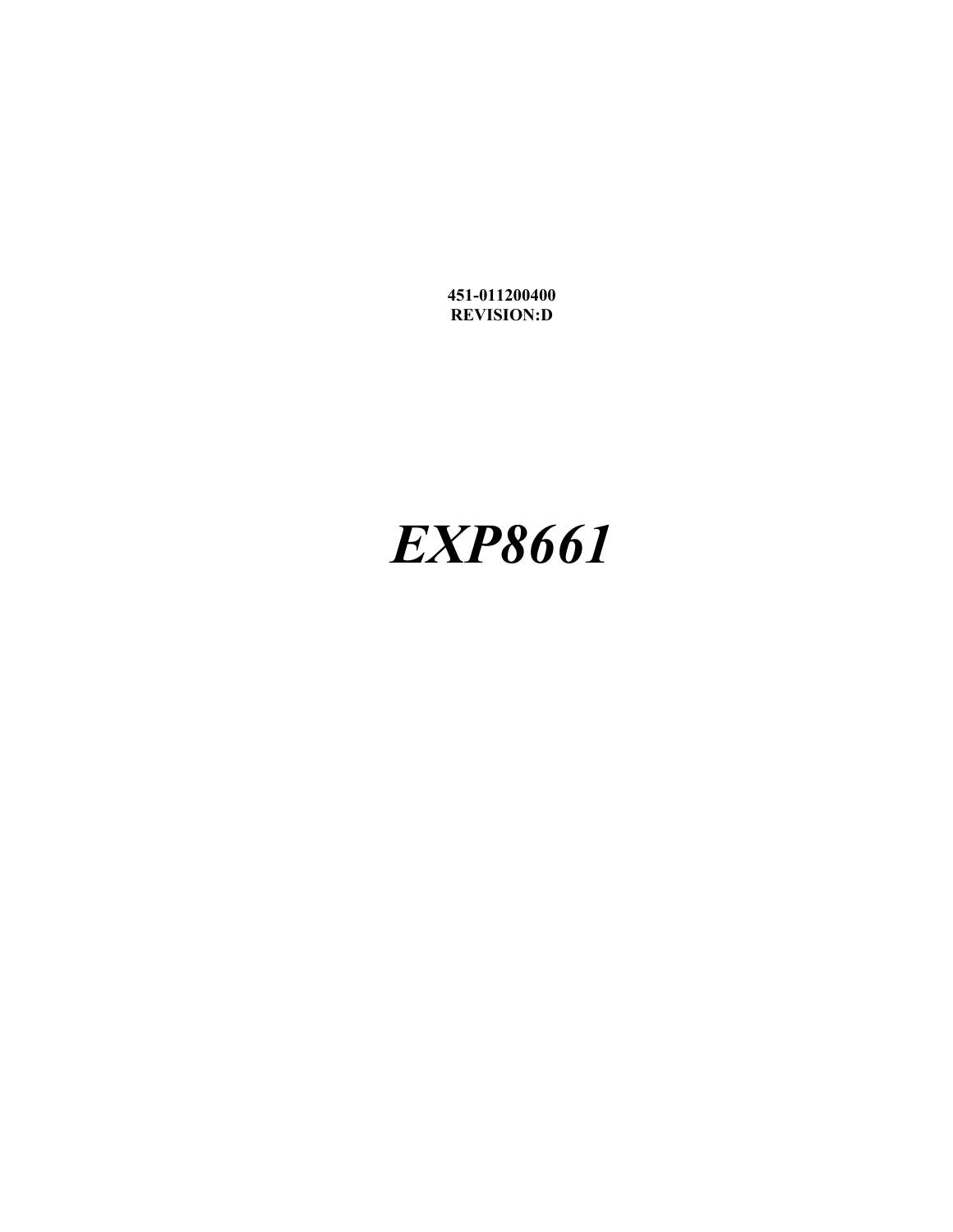**451-011200400 REVISION:D**

# *EXP8661*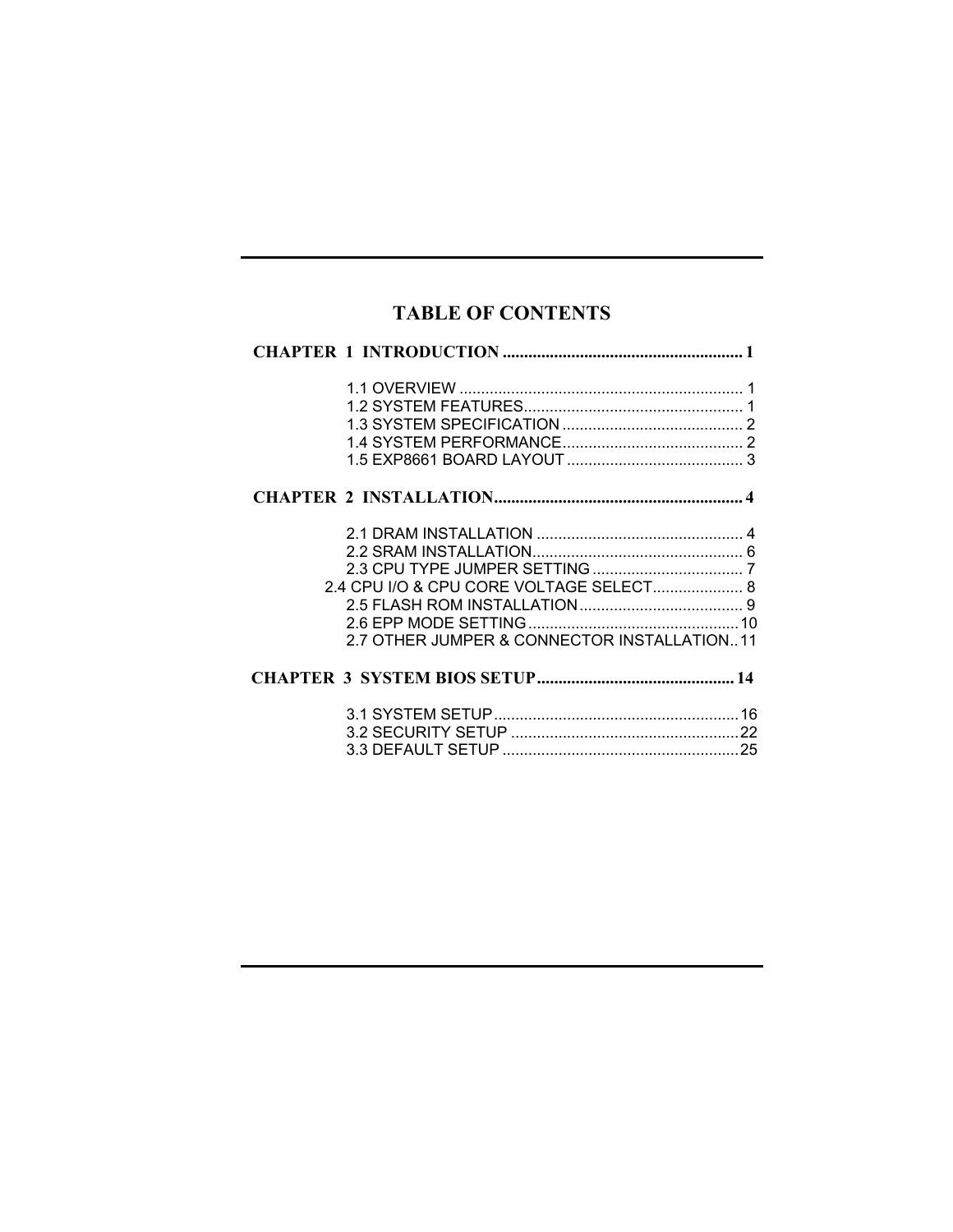# **TABLE OF CONTENTS**

| 2.4 CPU I/O & CPU CORE VOLTAGE SELECT 8<br>2.7 OTHER JUMPER & CONNECTOR INSTALLATION11 |  |
|----------------------------------------------------------------------------------------|--|
|                                                                                        |  |
|                                                                                        |  |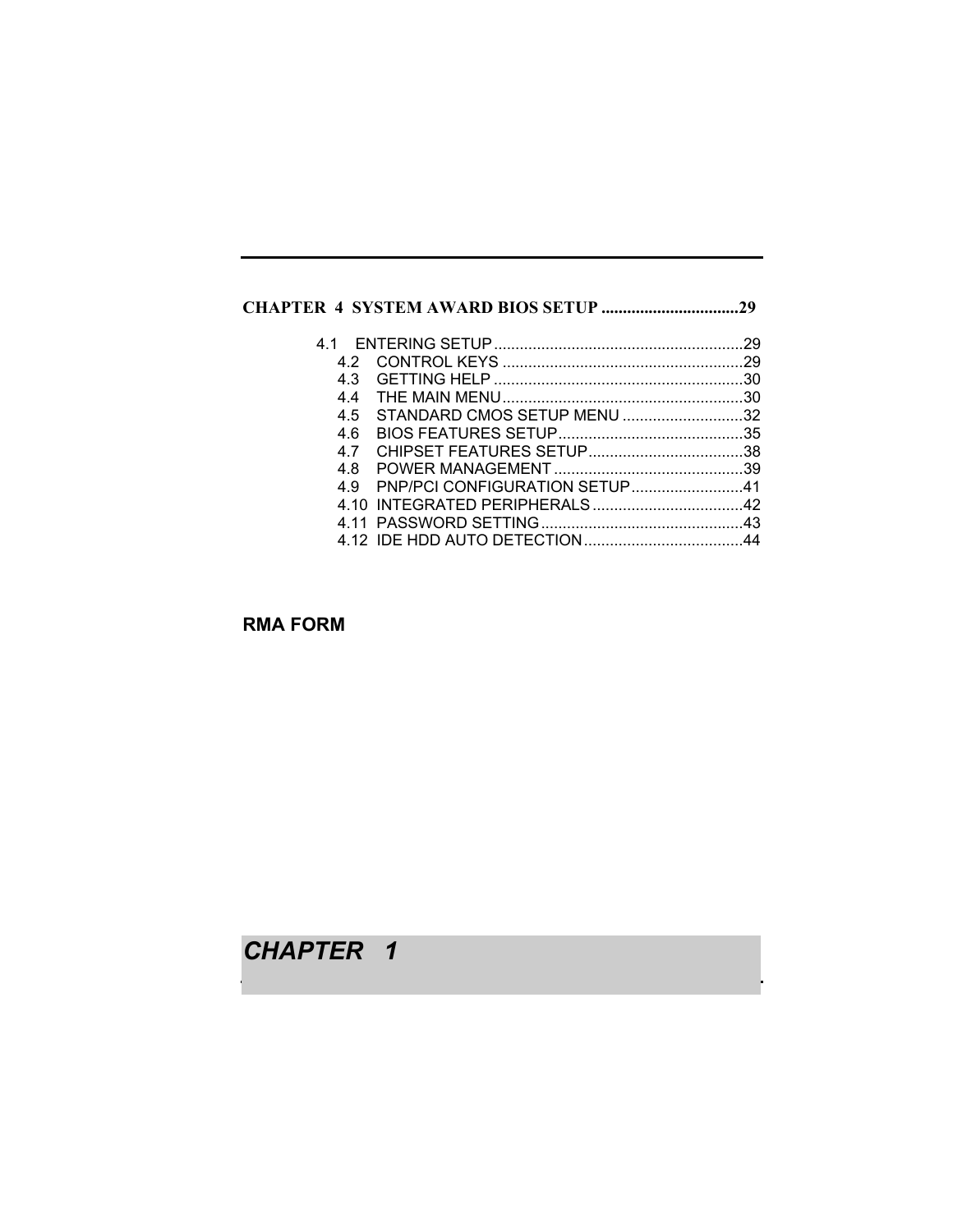# **CHAPTER 4 SYSTEM AWARD BIOS SETUP ................................29**

| 42 |                                   |  |
|----|-----------------------------------|--|
| 43 |                                   |  |
| 44 |                                   |  |
|    | 4.5 STANDARD CMOS SETUP MENU 32   |  |
| 46 |                                   |  |
| 47 |                                   |  |
|    |                                   |  |
|    | 4.9 PNP/PCI CONFIGURATION SETUP41 |  |
|    |                                   |  |
|    |                                   |  |
|    |                                   |  |

**RMA FORM**

*CHAPTER 1*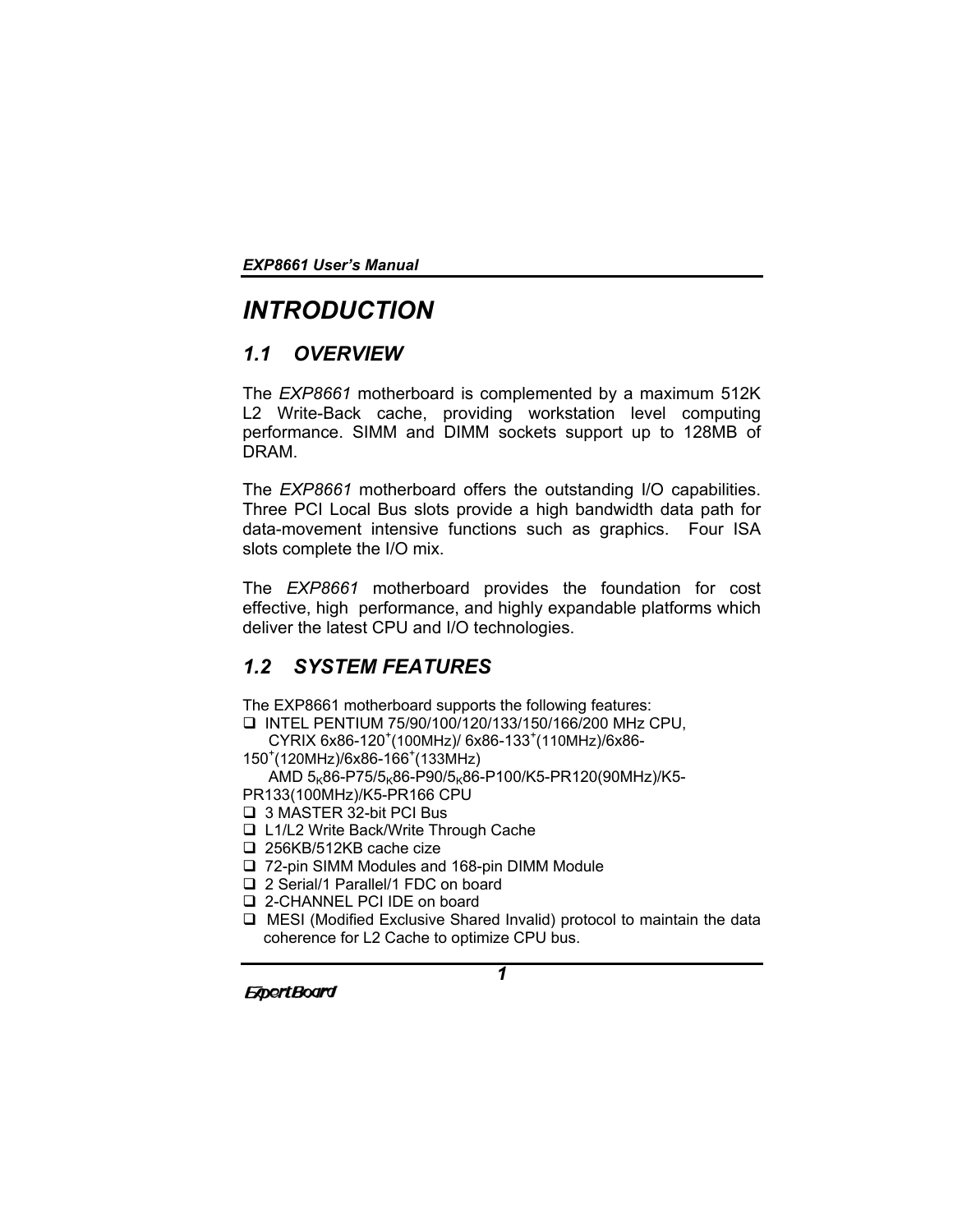# *INTRODUCTION*

# *1.1 OVERVIEW*

The *EXP8661* motherboard is complemented by a maximum 512K L2 Write-Back cache, providing workstation level computing performance. SIMM and DIMM sockets support up to 128MB of DRAM.

The *EXP8661* motherboard offers the outstanding I/O capabilities. Three PCI Local Bus slots provide a high bandwidth data path for data-movement intensive functions such as graphics. Four ISA slots complete the I/O mix.

The *EXP8661* motherboard provides the foundation for cost effective, high performance, and highly expandable platforms which deliver the latest CPU and I/O technologies.

# *1.2 SYSTEM FEATURES*

The EXP8661 motherboard supports the following features:

INTEL PENTIUM 75/90/100/120/133/150/166/200 MHz CPU,

CYRIX 6x86-120<sup>+</sup>(100MHz)/ 6x86-133<sup>+</sup>(110MHz)/6x86-150<sup>+</sup> (120MHz)/6x86-166<sup>+</sup> (133MHz)

AMD  $5<sub>K</sub>86-P75/5<sub>K</sub>86-P90/5<sub>K</sub>86-P100/K5-PR120(90MHz)/K5-$ 

PR133(100MHz)/K5-PR166 CPU

- □ 3 MASTER 32-bit PCI Bus
- L1/L2 Write Back/Write Through Cache
- □ 256KB/512KB cache cize

□ 72-pin SIMM Modules and 168-pin DIMM Module

- □ 2 Serial/1 Parallel/1 FDC on board
- □ 2-CHANNEL PCI IDE on board
- MESI (Modified Exclusive Shared Invalid) protocol to maintain the data coherence for L2 Cache to optimize CPU bus.

**ExpertBoard**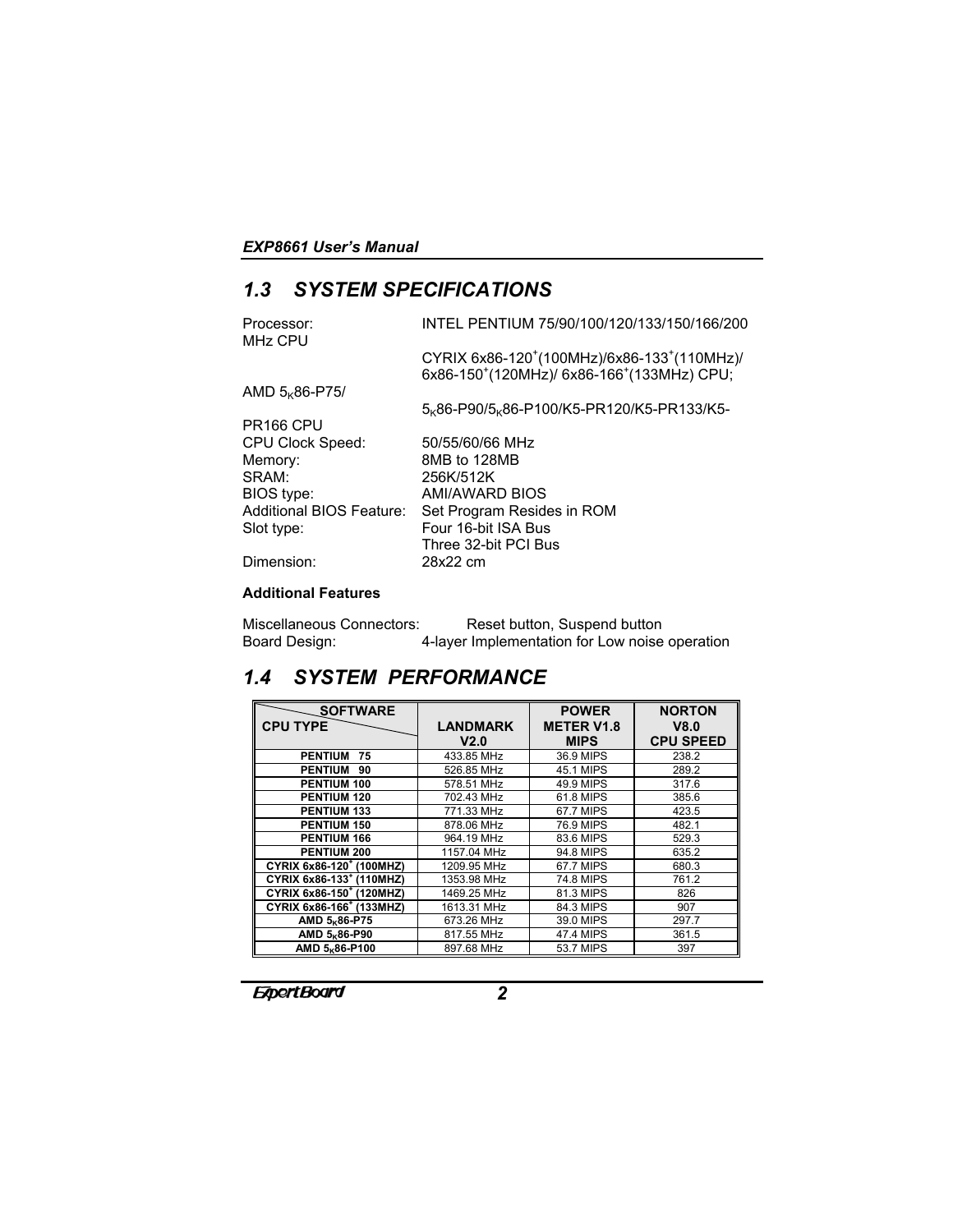# *1.3 SYSTEM SPECIFICATIONS*

| INTEL PENTIUM 75/90/100/120/133/150/166/200                                                                                                 |
|---------------------------------------------------------------------------------------------------------------------------------------------|
| CYRIX 6x86-120 <sup>+</sup> (100MHz)/6x86-133 <sup>+</sup> (110MHz)/<br>6x86-150 <sup>+</sup> (120MHz)/ 6x86-166 <sup>+</sup> (133MHz) CPU; |
|                                                                                                                                             |
| 5 <sub>K</sub> 86-P90/5 <sub>K</sub> 86-P100/K5-PR120/K5-PR133/K5-                                                                          |
|                                                                                                                                             |
| 50/55/60/66 MHz                                                                                                                             |
| 8MB to 128MB                                                                                                                                |
| 256K/512K                                                                                                                                   |
| AMI/AWARD BIOS                                                                                                                              |
| Set Program Resides in ROM                                                                                                                  |
| Four 16-bit ISA Bus                                                                                                                         |
| Three 32-bit PCI Bus                                                                                                                        |
| 28x22 cm                                                                                                                                    |
|                                                                                                                                             |

### **Additional Features**

| Miscellaneous Connectors: | Reset button, Suspend button                   |
|---------------------------|------------------------------------------------|
| Board Design:             | 4-layer Implementation for Low noise operation |

# *1.4 SYSTEM PERFORMANCE*

| <b>SOFTWARE</b>                         |                 | <b>POWER</b>      | <b>NORTON</b>    |
|-----------------------------------------|-----------------|-------------------|------------------|
| <b>CPU TYPE</b>                         | <b>LANDMARK</b> | <b>METER V1.8</b> | V8.0             |
|                                         | V2.0            | <b>MIPS</b>       | <b>CPU SPEED</b> |
| <b>PENTIUM</b><br>75                    | 433.85 MHz      | 36.9 MIPS         | 238.2            |
| <b>PENTIUM</b><br>90                    | 526.85 MHz      | 45.1 MIPS         | 289.2            |
| PENTIUM 100                             | 578.51 MHz      | 49.9 MIPS         | 317.6            |
| <b>PENTIUM 120</b>                      | 702.43 MHz      | 61.8 MIPS         | 385.6            |
| <b>PENTIUM 133</b>                      | 771.33 MHz      | 67.7 MIPS         | 423.5            |
| PENTIUM 150                             | 878.06 MHz      | 76.9 MIPS         | 482.1            |
| PENTIUM 166                             | 964.19 MHz      | 83.6 MIPS         | 529.3            |
| PENTIUM 200                             | 1157.04 MHz     | 94.8 MIPS         | 635.2            |
| CYRIX 6x86-120 <sup>+</sup> (100MHZ)    | 1209.95 MHz     | 67.7 MIPS         | 680.3            |
| CYRIX 6x86-133 <sup>+</sup> (110MHZ)    | 1353.98 MHz     | 74.8 MIPS         | 761.2            |
| CYRIX 6x86-150 <sup>+</sup> (120MHZ)    | 1469.25 MHz     | 81.3 MIPS         | 826              |
| CYRIX 6x86-166 <sup>+</sup> (133MHZ)    | 1613.31 MHz     | 84.3 MIPS         | 907              |
| AMD 5 <sub>K</sub> 86-P75               | 673.26 MHz      | 39.0 MIPS         | 297.7            |
| AMD 5 <sub>K</sub> 86-P90               | 817.55 MHz      | 47.4 MIPS         | 361.5            |
| AMD 5 <sub><math>k</math></sub> 86-P100 | 897.68 MHz      | 53.7 MIPS         | 397              |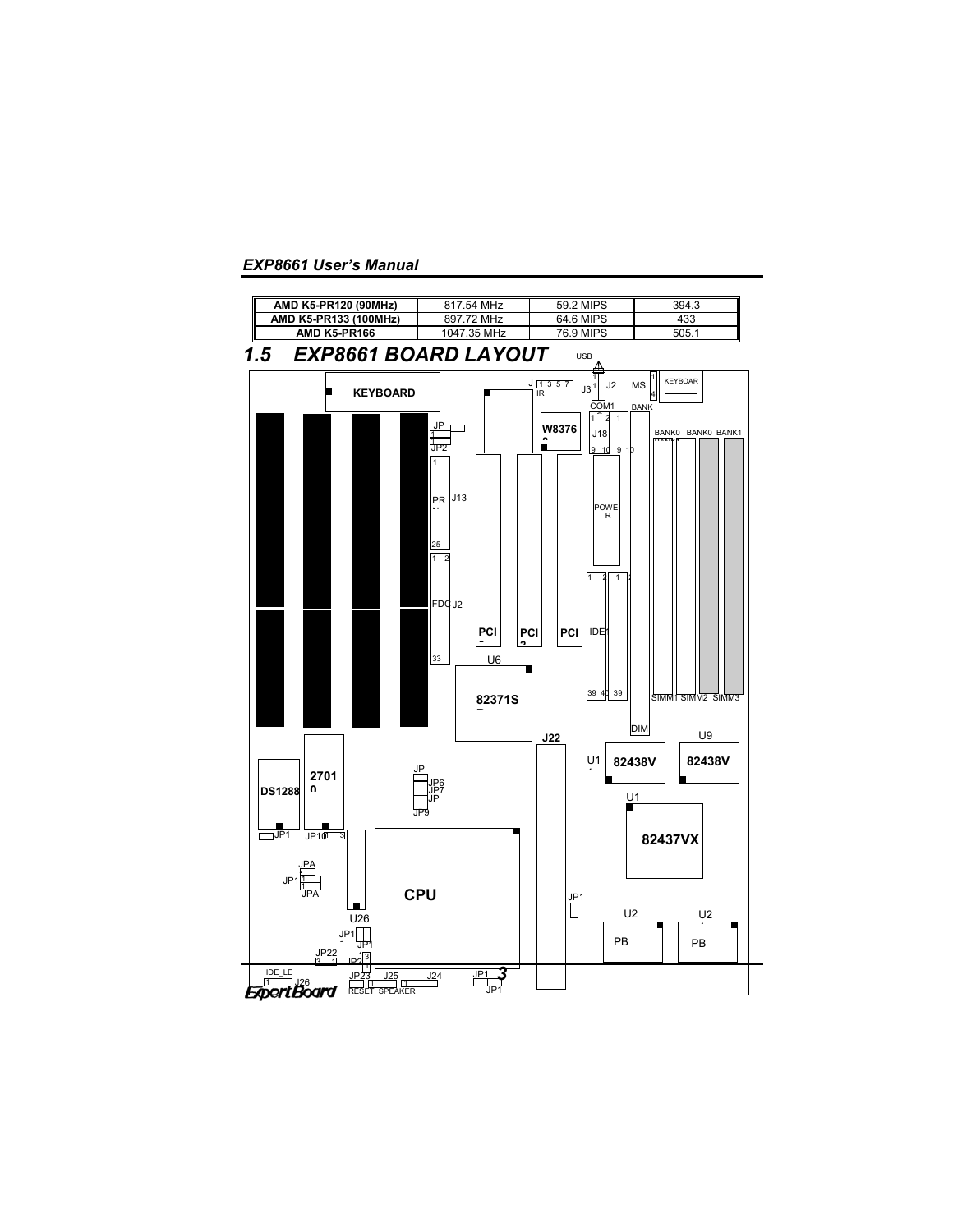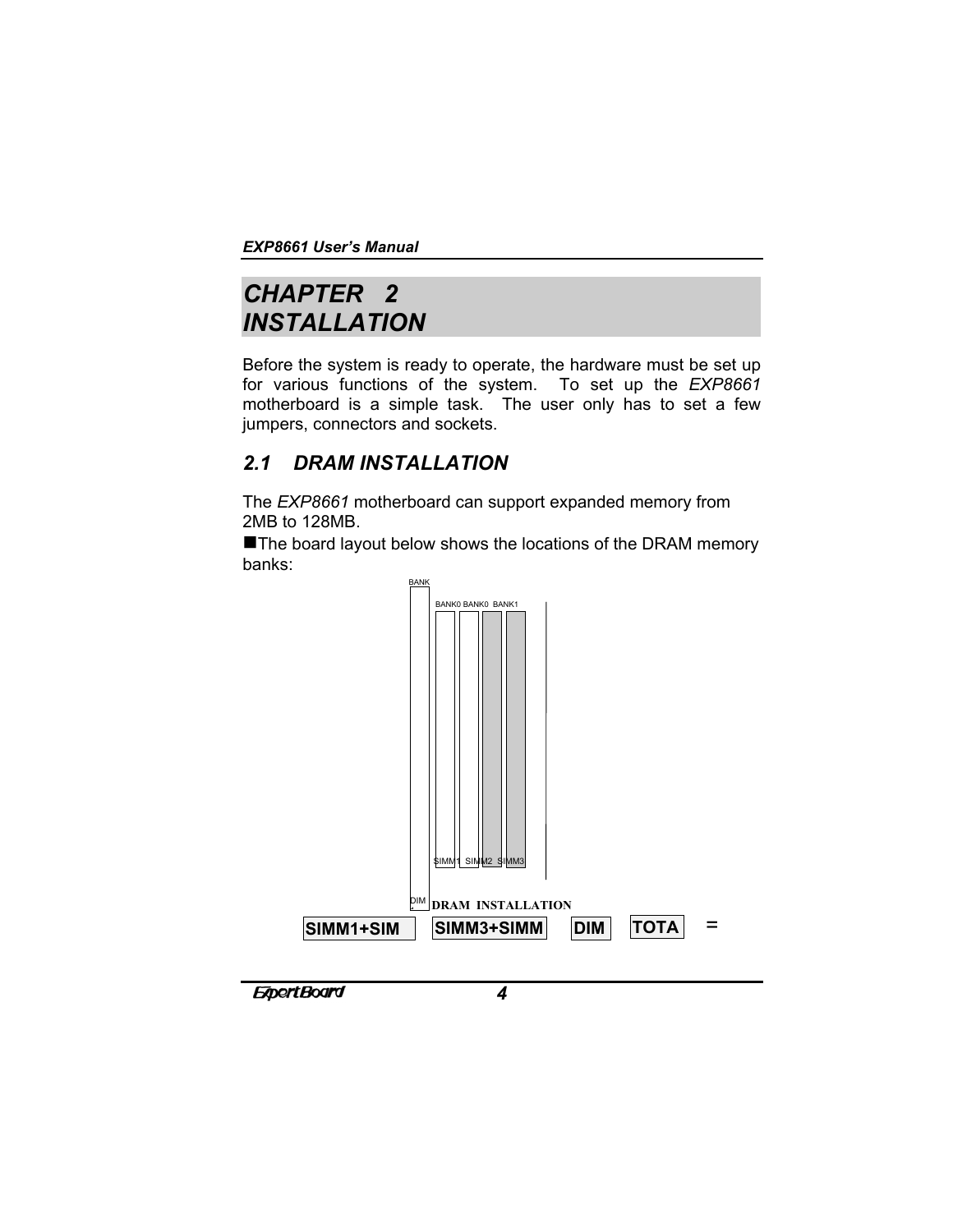# *CHAPTER 2 INSTALLATION*

Before the system is ready to operate, the hardware must be set up for various functions of the system. To set up the *EXP8661* motherboard is a simple task. The user only has to set a few jumpers, connectors and sockets.

# *2.1 DRAM INSTALLATION*

The *EXP8661* motherboard can support expanded memory from 2MB to 128MB.

The board layout below shows the locations of the DRAM memory banks:

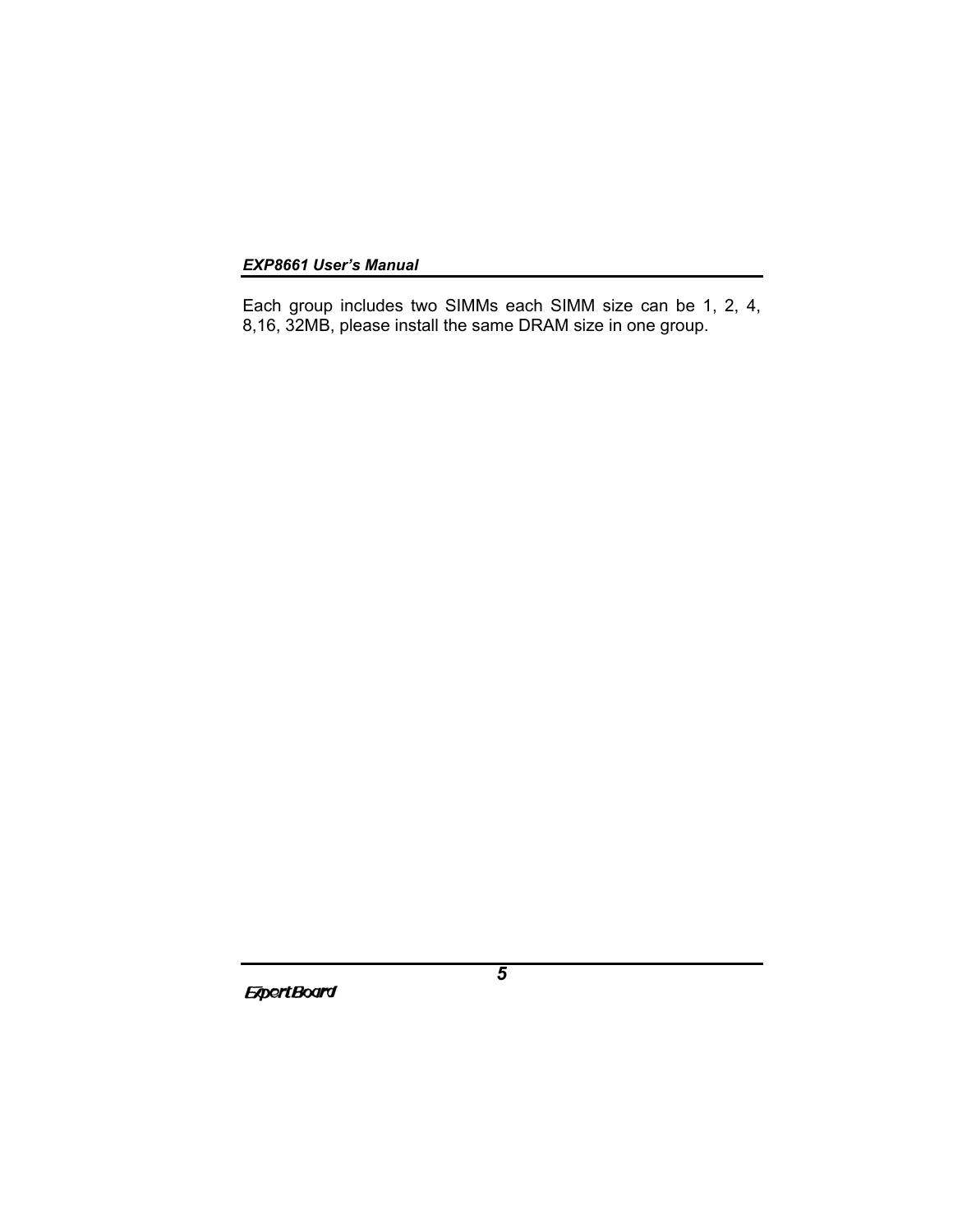Each group includes two SIMMs each SIMM size can be 1, 2, 4, 8,16, 32MB, please install the same DRAM size in one group.

**ExpertBoard**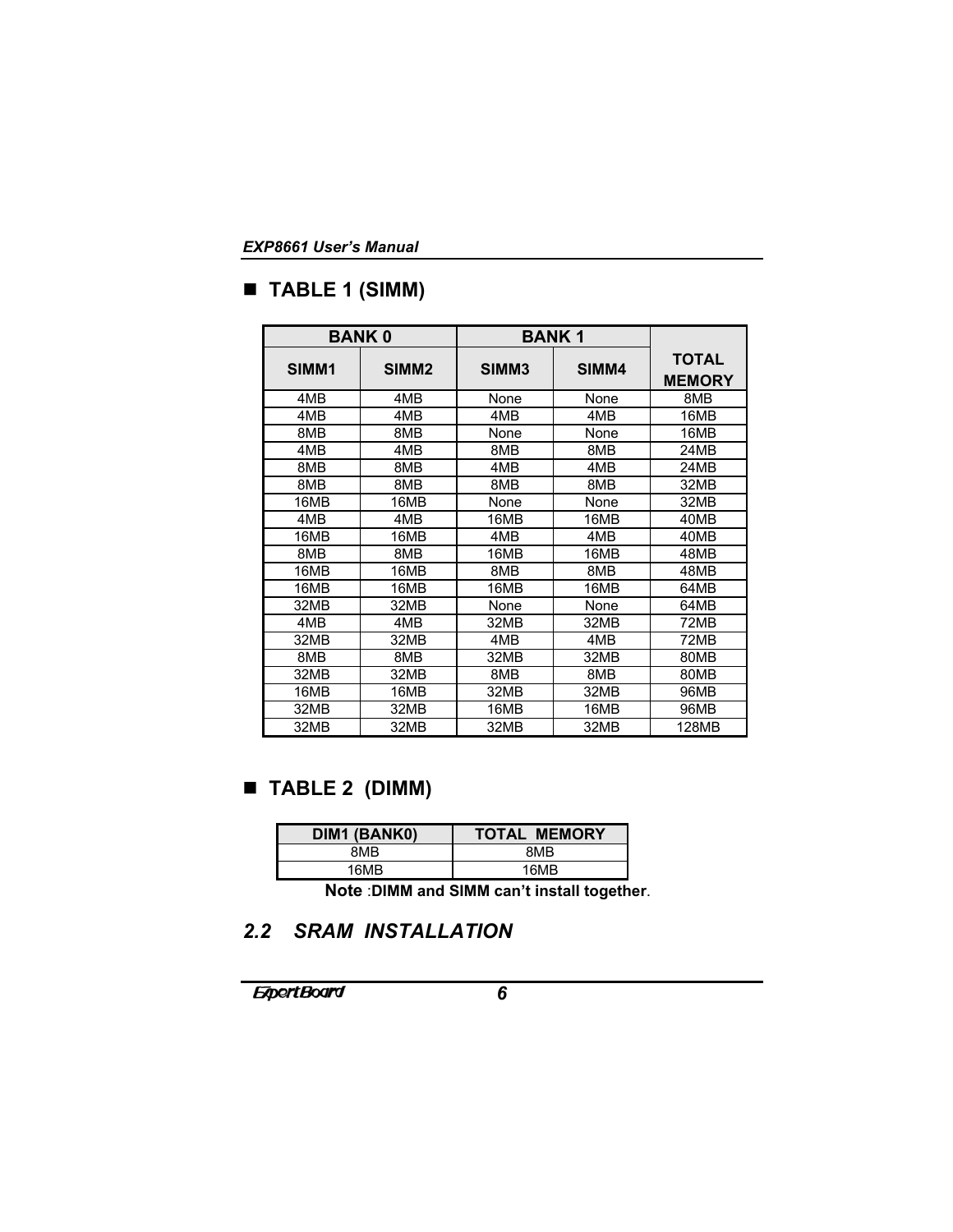# **TABLE 1 (SIMM)**

|       | <b>BANK0</b>      |       | <b>BANK1</b> |                               |
|-------|-------------------|-------|--------------|-------------------------------|
| SIMM1 | SIMM <sub>2</sub> | SIMM3 | SIMM4        | <b>TOTAL</b><br><b>MEMORY</b> |
| 4MB   | 4MB               | None  | None         | 8MB                           |
| 4MB   | 4M <sub>B</sub>   | 4MB   | 4MB          | 16MB                          |
| 8MB   | 8MB               | None  | None         | 16MB                          |
| 4MB   | 4MB               | 8MB   | 8MB          | 24MB                          |
| 8MB   | 8MB               | 4MB   | 4MB          | 24MB                          |
| 8MB   | 8MB               | 8MB   | 8MB          | 32MB                          |
| 16MB  | 16MB              | None  | None         | 32MB                          |
| 4MB   | 4MB               | 16MB  | 16MB         | 40MB                          |
| 16MB  | 16MB              | 4MB   | 4MB          | 40MB                          |
| 8MB   | 8MB               | 16MB  | 16MB         | 48MB                          |
| 16MB  | 16MB              | 8MB   | 8MB          | 48MB                          |
| 16MB  | 16MB              | 16MB  | 16MB         | 64MB                          |
| 32MB  | 32MB              | None  | None         | 64MB                          |
| 4MB   | 4MB               | 32MB  | 32MB         | 72MB                          |
| 32MB  | 32MB              | 4MB   | 4MB          | 72MB                          |
| 8MB   | 8MB               | 32MB  | 32MB         | 80MB                          |
| 32MB  | 32MB              | 8MB   | 8MB          | 80MB                          |
| 16MB  | 16MB              | 32MB  | 32MB         | 96MB                          |
| 32MB  | 32MB              | 16MB  | 16MB         | 96MB                          |
| 32MB  | 32MB              | 32MB  | 32MB         | 128MB                         |

# **TABLE 2 (DIMM)**

| DIM1 (BANK0) | <b>TOTAL MEMORY</b> |  |
|--------------|---------------------|--|
| 8MB          | 8MR                 |  |
| 16MB         | 16MR                |  |

 **Note** :**DIMM and SIMM can't install together**.

# *2.2 SRAM INSTALLATION*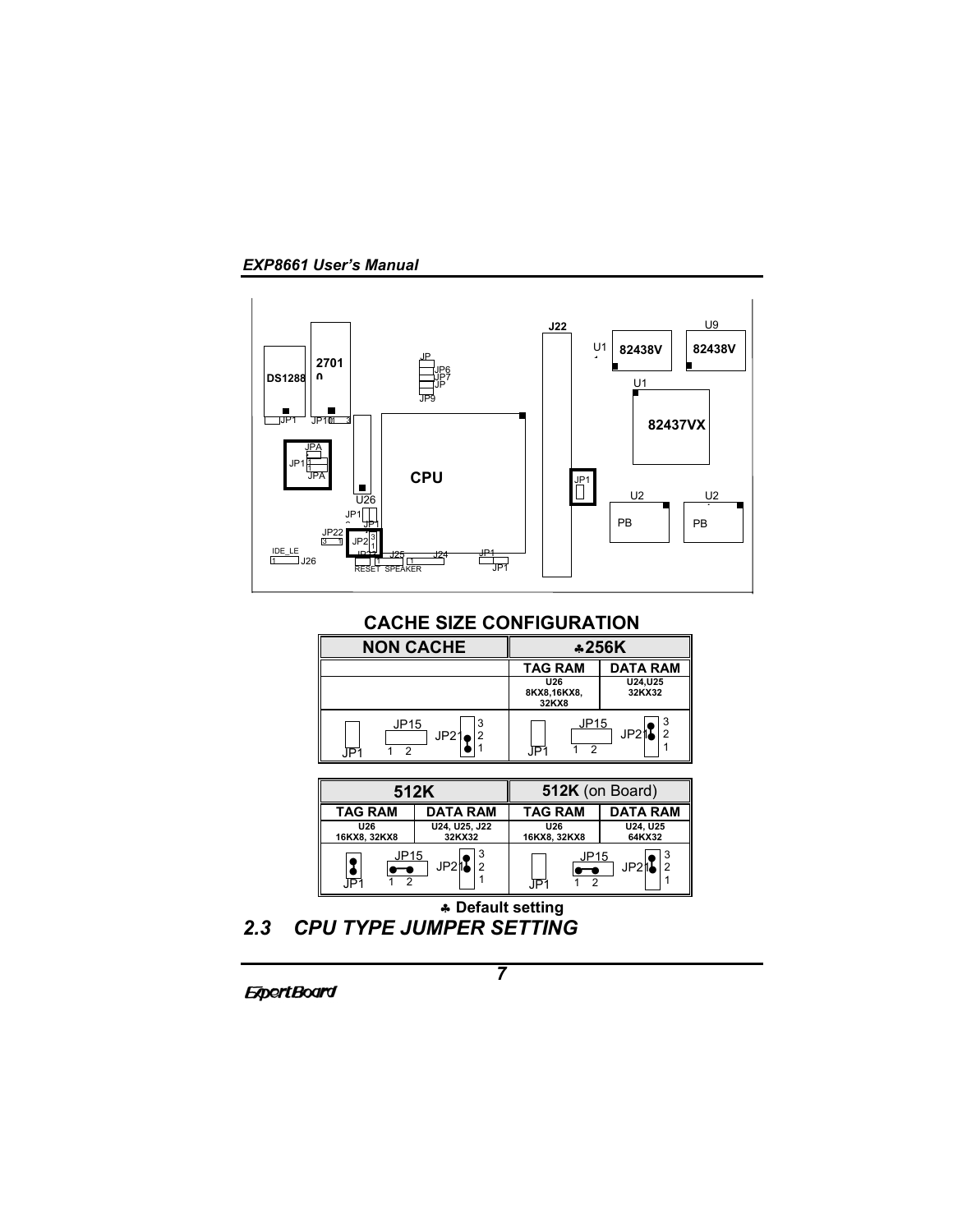*EXP8661 User's Manual*



**CACHE SIZE CONFIGURATION**

| <b>NON CACHE</b>       | *256K                              |                    |
|------------------------|------------------------------------|--------------------|
|                        | <b>TAG RAM</b>                     | <b>DATA RAM</b>    |
|                        | <b>U26</b><br>8KX8,16KX8,<br>32KX8 | U24, U25<br>32KX32 |
| JP15<br>JP21<br>2<br>ົ | JP15<br>າ<br>ΙP                    | JP21               |

|                | 512K            | 512K (on Board) |                  |
|----------------|-----------------|-----------------|------------------|
| <b>TAG RAM</b> | <b>DATA RAM</b> | <b>TAG RAM</b>  | <b>DATA RAM</b>  |
| <b>U26</b>     | U24, U25, J22   | <b>U26</b>      | U24, U25         |
| 16KX8, 32KX8   | 32KX32          | 16KX8, 32KX8    | 64KX32           |
| JP15           | JP21            | JP15            | JP2 <sup>f</sup> |
| סו             | 2               | īÞ              |                  |

♣ **Default setting** *2.3 CPU TYPE JUMPER SETTING*

**ExpertBoard**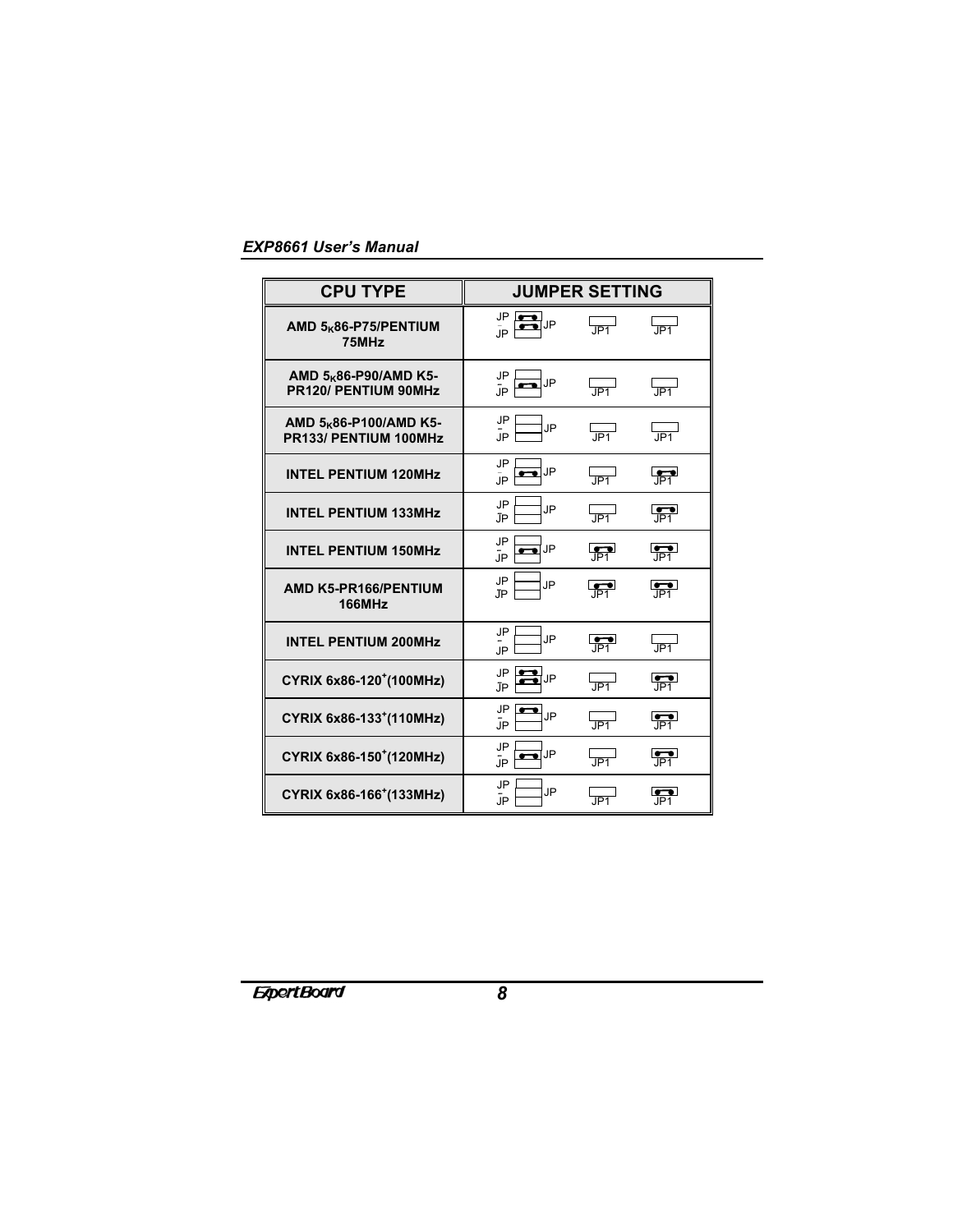| <b>CPU TYPE</b>                                             |                                   | <b>JUMPER SETTING</b>     |                                   |
|-------------------------------------------------------------|-----------------------------------|---------------------------|-----------------------------------|
| AMD 5 <sub>K</sub> 86-P75/PENTIUM<br>75MHz                  | JP I<br><b>JP</b><br>JP.          | $\overline{\text{JP1}}$   | $\overline{\mathsf{JPI}}^{\perp}$ |
| AMD 5 <sub>K</sub> 86-P90/AMD K5-<br>PR120/ PENTIUM 90MHz   | JP<br>JP<br>ūР.                   | $\overline{\mathsf{J}P1}$ | $\overline{\mathsf{JPI}}^{\perp}$ |
| AMD 5 <sub>K</sub> 86-P100/AMD K5-<br>PR133/ PENTIUM 100MHz | JP<br>JP<br>ūР.                   | l<br>JP1                  | └───┘<br>JP1                      |
| <b>INTEL PENTIUM 120MHz</b>                                 | JP<br>JP<br><b>JP</b>             | JP <sub>1</sub>           | $\overline{\mathbb{P}^1}$         |
| <b>INTEL PENTIUM 133MHz</b>                                 | JP<br>JP<br>JP                    | JP <sub>1</sub>           | $\overline{\mathbb{P}^1}$         |
| <b>INTEL PENTIUM 150MHz</b>                                 | JP<br>JP<br><b>JP</b>             | $\frac{1}{\sqrt{P_1}}$    | $\frac{1}{P_1}$                   |
| AMD K5-PR166/PENTIUM<br><b>166MHz</b>                       | JP<br><b>JP</b><br>JP.            | $\overline{\mathbb{P}^1}$ | $\overline{P1}$                   |
| <b>INTEL PENTIUM 200MHz</b>                                 | JP<br>JP<br><b>JP</b>             | $\overline{\mathbb{P}^1}$ | IP1                               |
| CYRIX 6x86-120 <sup>+</sup> (100MHz)                        | <b>JP</b><br>JP<br>ĴР             | .IP1                      | $\frac{1}{1}P_1$                  |
| CYRIX 6x86-133 <sup>+</sup> (110MHz)                        | <b>JP</b><br><b>_</b><br>JP<br>ĴΡ | L<br>JP1                  | $\overline{\mathbb{P}^1}$         |
| CYRIX 6x86-150 <sup>+</sup> (120MHz)                        | <b>JP</b><br>JP<br><b>JP</b>      | JP <sub>1</sub>           | $\frac{1}{P_1}$                   |
| CYRIX 6x86-166 <sup>+</sup> (133MHz)                        | <b>JP</b><br>JP<br><b>JP</b>      | JPI                       | .ĪPĪ                              |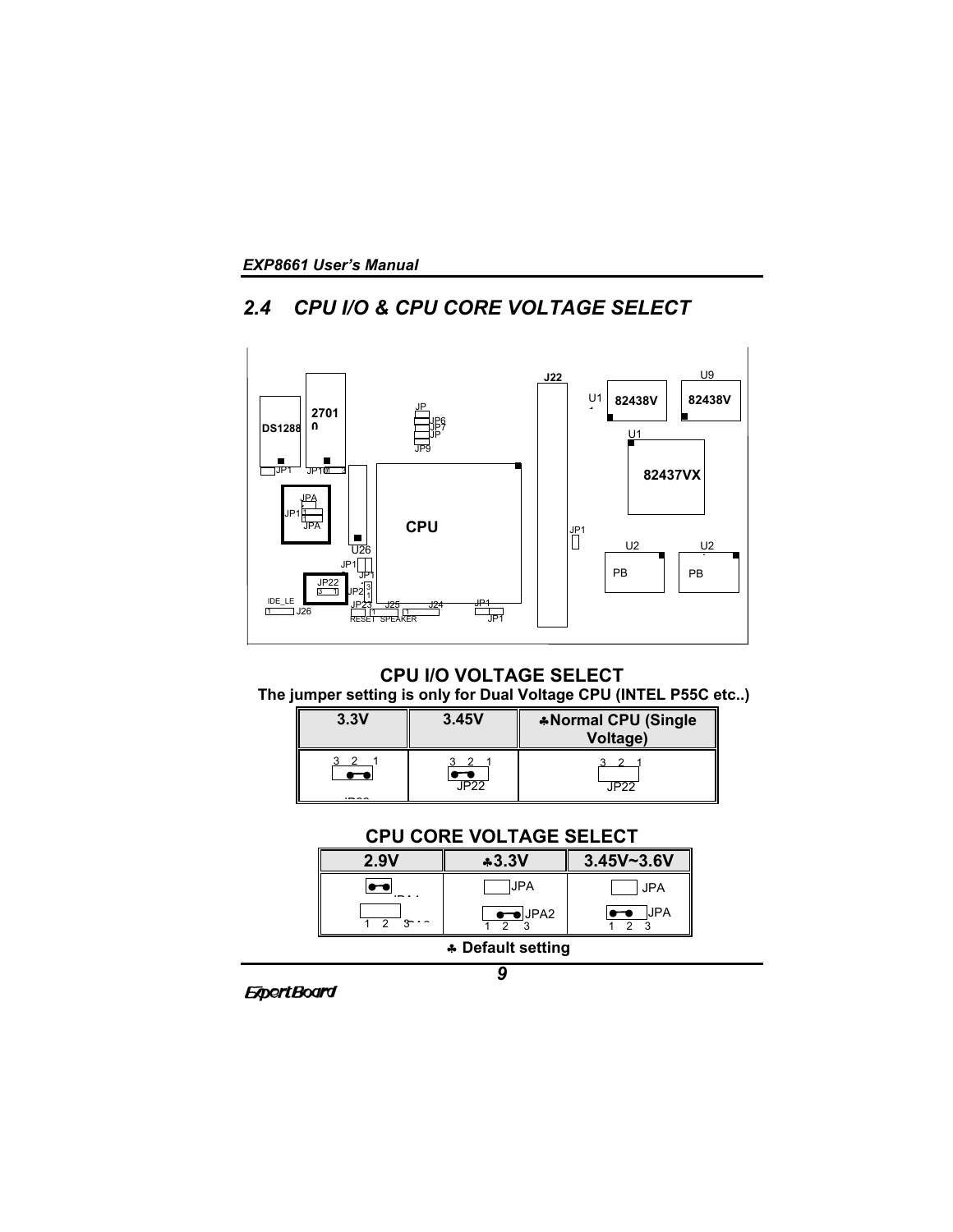# *2.4 CPU I/O & CPU CORE VOLTAGE SELECT*



# **CPU I/O VOLTAGE SELECT The jumper setting is only for Dual Voltage CPU (INTEL P55C etc..)**

| 3.3V | 3.45V | *Normal CPU (Single<br>Voltage) |
|------|-------|---------------------------------|
|      | ^ל¤ו  | IP <sub>22</sub>                |

# **CPU CORE VOLTAGE SELECT**

| 2.9V                     | $*3.3V$        | $3.45V - 3.6V$ |
|--------------------------|----------------|----------------|
| $\overline{\phantom{a}}$ | <b>UPA</b>     | <b>JPA</b>     |
|                          | $\bullet$ JPA2 | <b>JPA</b>     |

♣ **Default setting**

*9*

**ExpertBoard**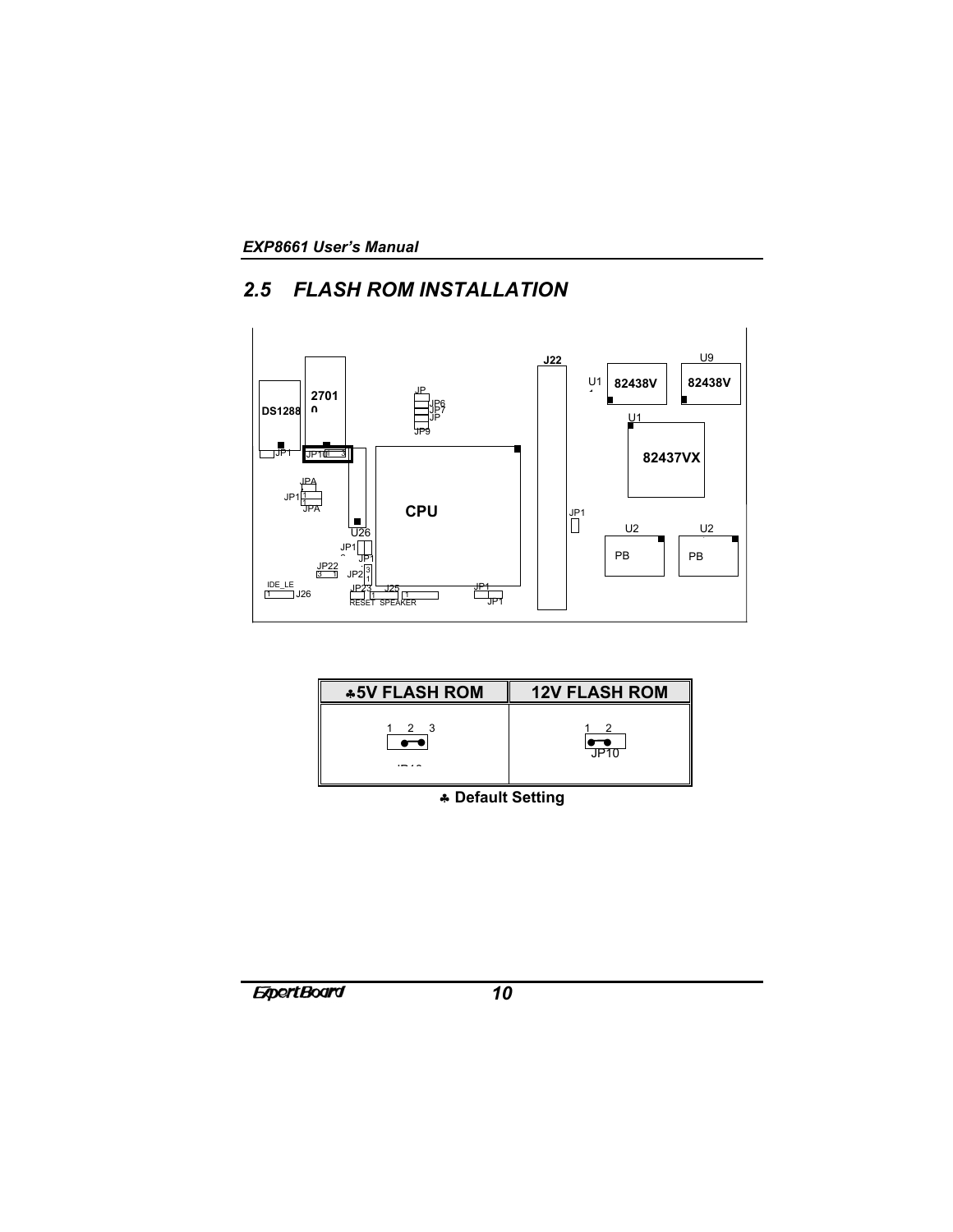# *2.5 FLASH ROM INSTALLATION*





♣ **Default Setting**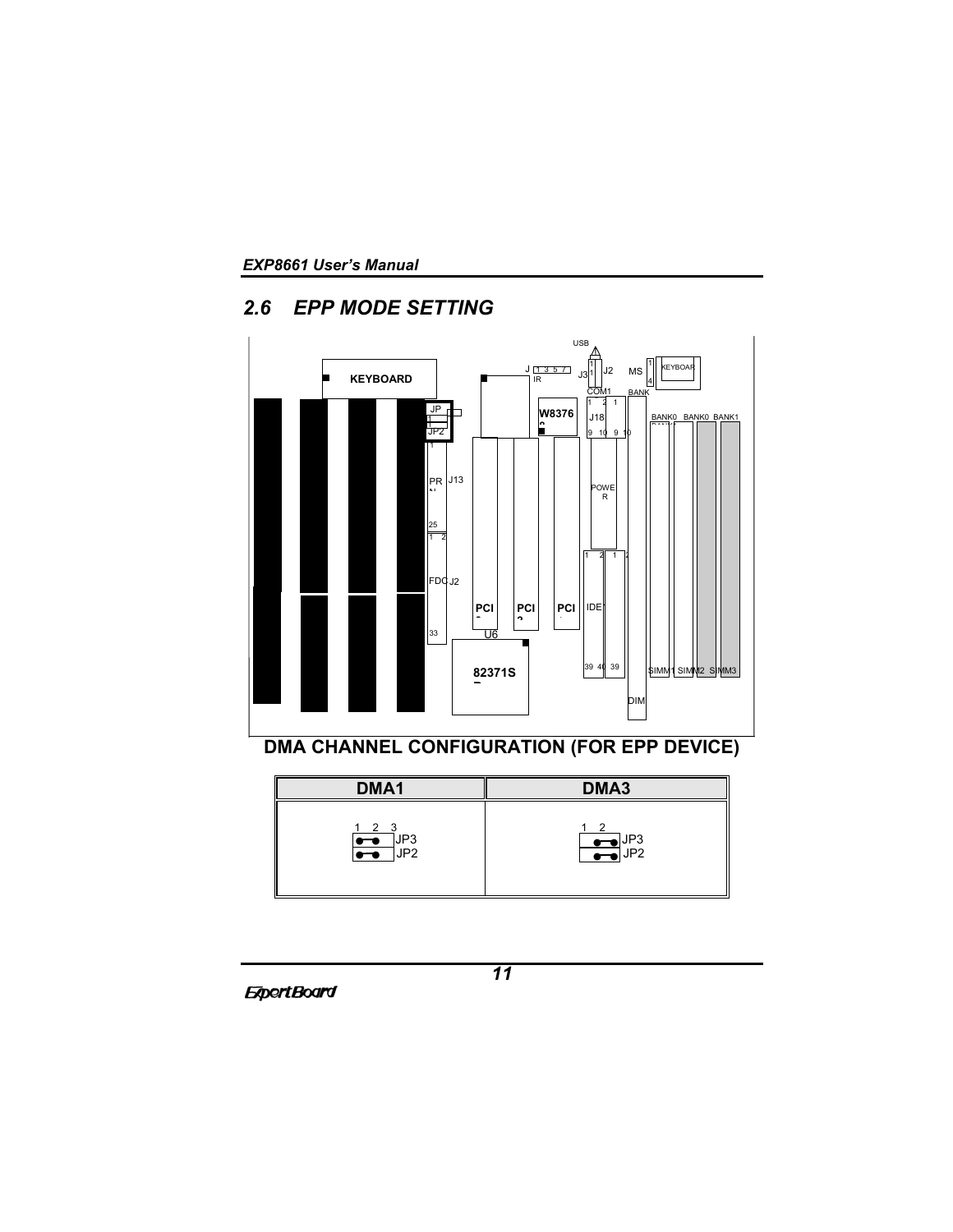# *2.6 EPP MODE SETTING*



| DMA <sub>1</sub>                               | DMA <sub>3</sub>                      |
|------------------------------------------------|---------------------------------------|
| $1 \quad 2 \quad 3$<br>JP3<br>$\bullet$<br>JP2 | $\sim$ 2<br>$\frac{1}{\sqrt{10}}$ JP3 |

**ExpertBoard**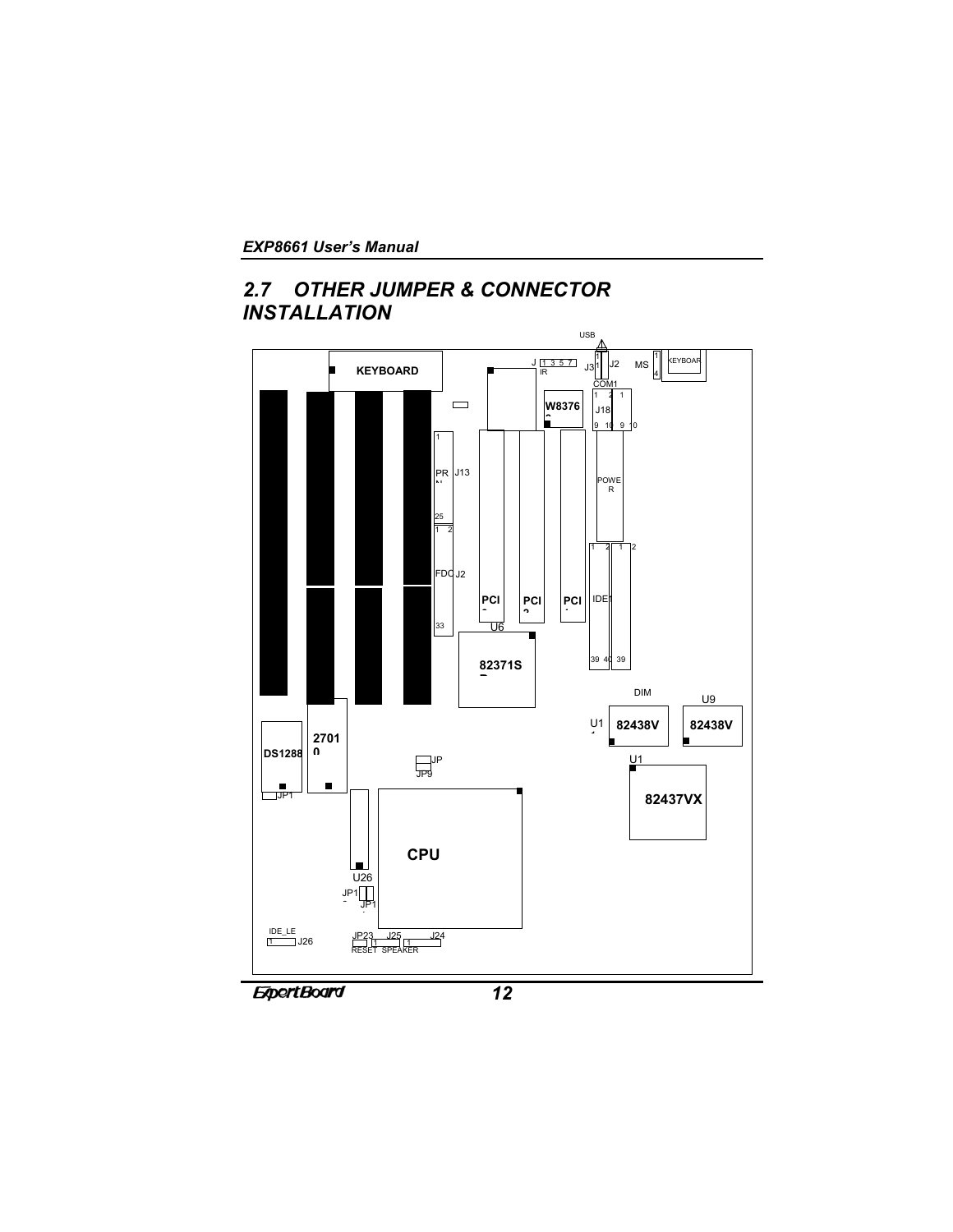# *2.7 OTHER JUMPER & CONNECTOR INSTALLATION*

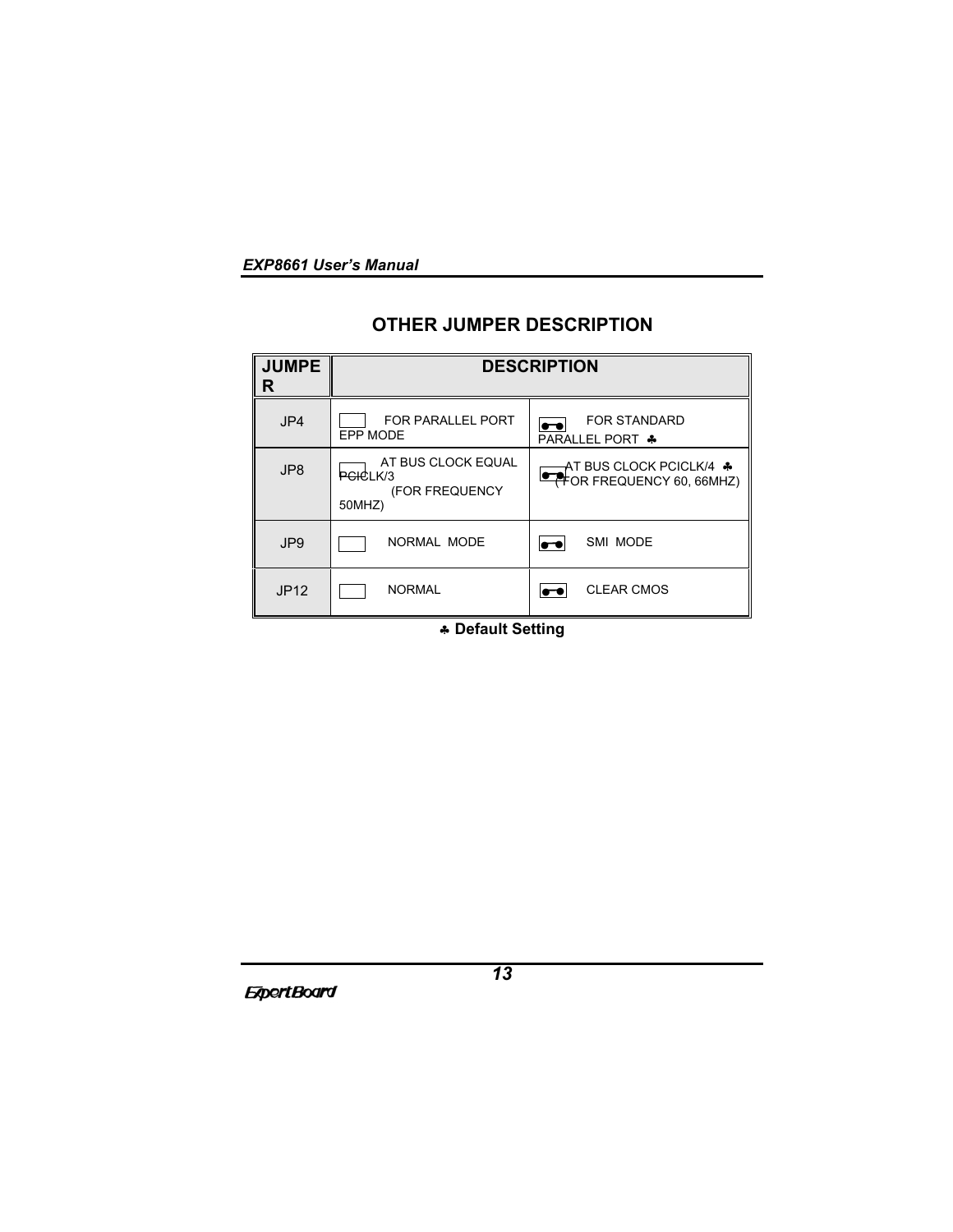# **OTHER JUMPER DESCRIPTION**

| <b>JUMPE</b><br>R | <b>DESCRIPTION</b>                                         |                                                                               |  |
|-------------------|------------------------------------------------------------|-------------------------------------------------------------------------------|--|
| JP4               | FOR PARALLEL PORT<br>EPP MODE                              | <b>FOR STANDARD</b><br>$\overline{\phantom{a}}$<br><b>PARALLEL PORT &amp;</b> |  |
| JP8               | AT BUS CLOCK EQUAL<br>PCICLK/3<br>(FOR FREQUENCY<br>50MHZ) | AT BUS CLOCK PCICLK/4 ♣<br><b>THOR FREQUENCY 60, 66MHZ)</b>                   |  |
| JP <sub>9</sub>   | NORMAL MODE                                                | SMI MODE<br>$\overline{\phantom{a}}$                                          |  |
| <b>JP12</b>       | <b>NORMAL</b>                                              | <b>CLEAR CMOS</b>                                                             |  |

♣ **Default Setting**

**ExpertBoard**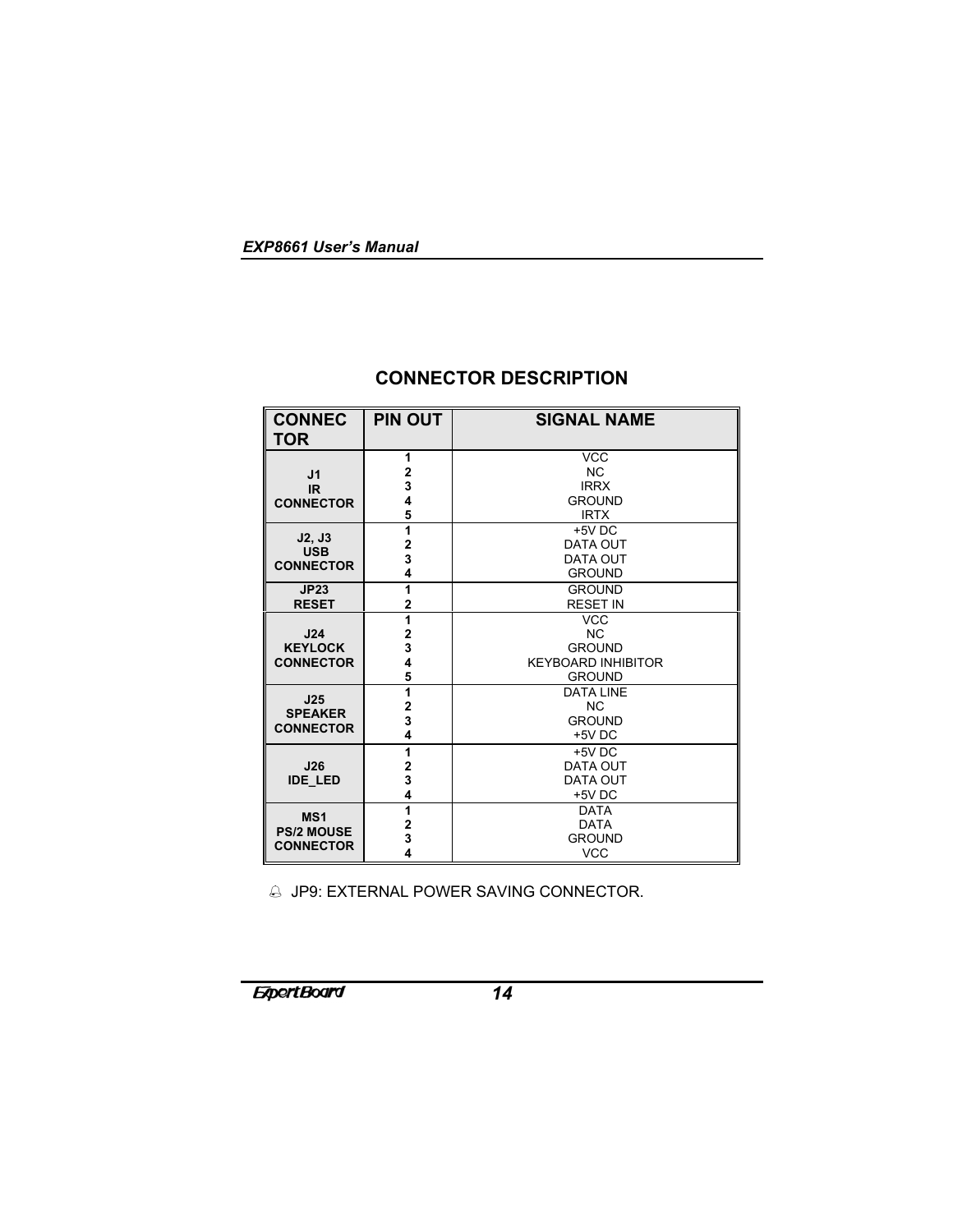| I<br><b>CONNEC</b><br><b>TOR</b>     | <b>PIN OUT</b>          | <b>SIGNAL NAME</b>        |
|--------------------------------------|-------------------------|---------------------------|
|                                      | 1                       | <b>VCC</b>                |
| J1                                   | 2                       | <b>NC</b>                 |
| IR.                                  | 3                       | <b>IRRX</b>               |
| <b>CONNECTOR</b>                     | 4                       | <b>GROUND</b>             |
|                                      | 5                       | <b>IRTX</b>               |
| J2, J3                               | 1                       | $+5V$ DC                  |
| <b>USB</b>                           | $\mathbf 2$             | <b>DATA OUT</b>           |
| <b>CONNECTOR</b>                     | 3                       | <b>DATA OUT</b>           |
|                                      | 4                       | <b>GROUND</b>             |
| JP23                                 | 1                       | <b>GROUND</b>             |
| <b>RESET</b>                         | $\overline{2}$          | <b>RESET IN</b>           |
|                                      | 1                       | <b>VCC</b>                |
| J24                                  | $\overline{2}$          | <b>NC</b>                 |
| <b>KEYLOCK</b><br><b>CONNECTOR</b>   | 3                       | <b>GROUND</b>             |
|                                      | 4                       | <b>KEYBOARD INHIBITOR</b> |
|                                      | 5                       | <b>GROUND</b>             |
| J25                                  | 1                       | <b>DATA LINE</b>          |
| <b>SPEAKER</b>                       | $\overline{\mathbf{2}}$ | <b>NC</b>                 |
| <b>CONNECTOR</b>                     | 3                       | <b>GROUND</b>             |
|                                      | 4                       | +5V DC                    |
|                                      | 1                       | $+5V$ DC                  |
| J26<br><b>IDE LED</b>                | $\mathbf 2$             | <b>DATA OUT</b>           |
|                                      | 3                       | <b>DATA OUT</b>           |
|                                      | 4                       | +5V DC                    |
| MS <sub>1</sub><br><b>PS/2 MOUSE</b> | 1                       | <b>DATA</b>               |
|                                      | $\mathbf 2$             | <b>DATA</b>               |
| <b>CONNECTOR</b>                     | 3                       | <b>GROUND</b>             |
|                                      | 4                       | <b>VCC</b>                |

# **CONNECTOR DESCRIPTION**

JP9: EXTERNAL POWER SAVING CONNECTOR.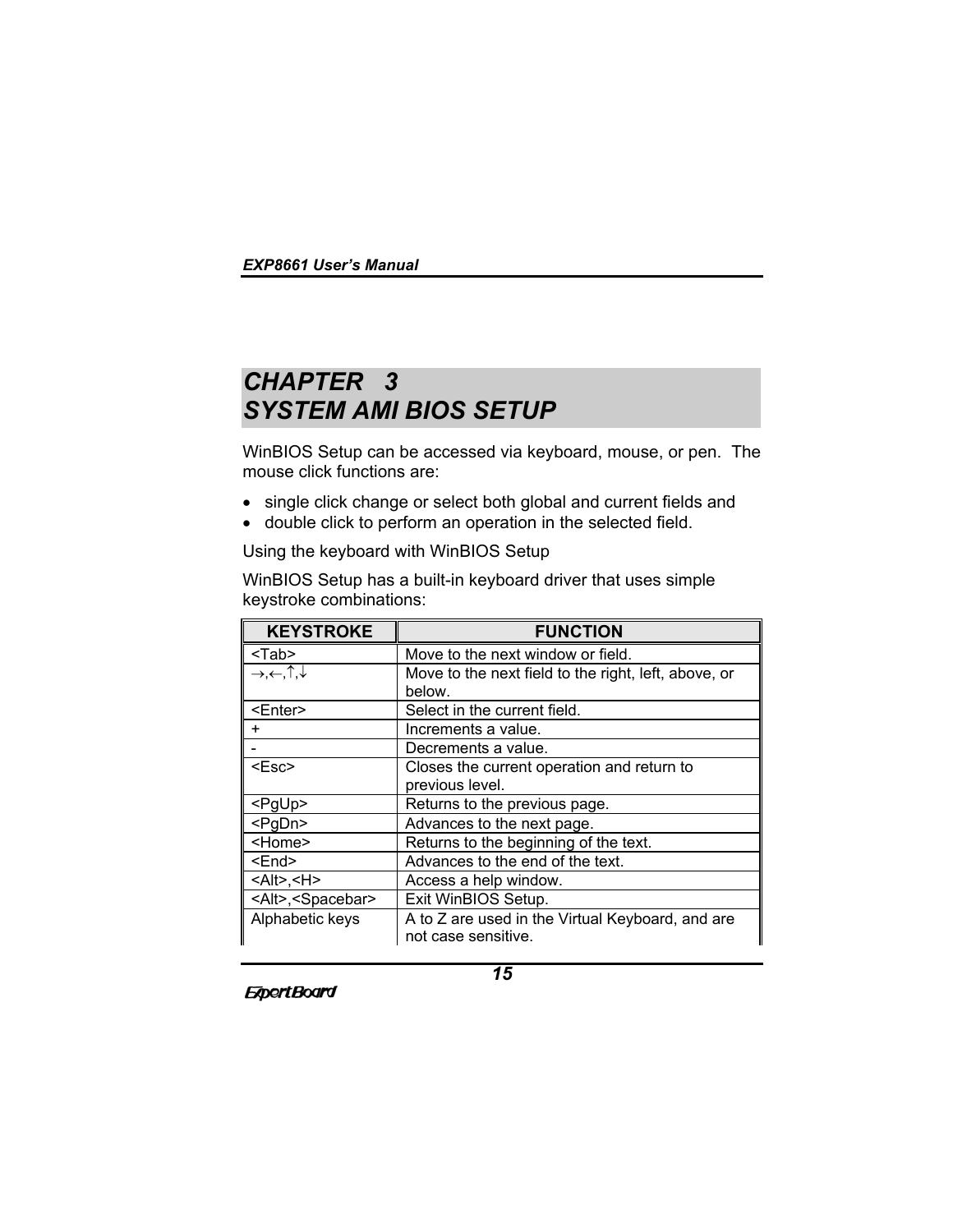# *CHAPTER 3 SYSTEM AMI BIOS SETUP*

WinBIOS Setup can be accessed via keyboard, mouse, or pen. The mouse click functions are:

- single click change or select both global and current fields and
- double click to perform an operation in the selected field.

Using the keyboard with WinBIOS Setup

WinBIOS Setup has a built-in keyboard driver that uses simple keystroke combinations:

| <b>KEYSTROKE</b>                                | <b>FUNCTION</b>                                                         |
|-------------------------------------------------|-------------------------------------------------------------------------|
| $Tab$                                           | Move to the next window or field.                                       |
| $\rightarrow, \leftarrow, \uparrow, \downarrow$ | Move to the next field to the right, left, above, or<br>below.          |
| <enter></enter>                                 | Select in the current field.                                            |
| ٠                                               | Increments a value.                                                     |
|                                                 | Decrements a value.                                                     |
| $<$ Esc $>$                                     | Closes the current operation and return to<br>previous level.           |
| $<$ PgUp>                                       | Returns to the previous page.                                           |
| <pgdn></pgdn>                                   | Advances to the next page.                                              |
| <home></home>                                   | Returns to the beginning of the text.                                   |
| <end></end>                                     | Advances to the end of the text.                                        |
| $<$ Alt>, <h></h>                               | Access a help window.                                                   |
| <alt>,<spacebar></spacebar></alt>               | Exit WinBIOS Setup.                                                     |
| Alphabetic keys                                 | A to Z are used in the Virtual Keyboard, and are<br>not case sensitive. |

**ExpertBoard**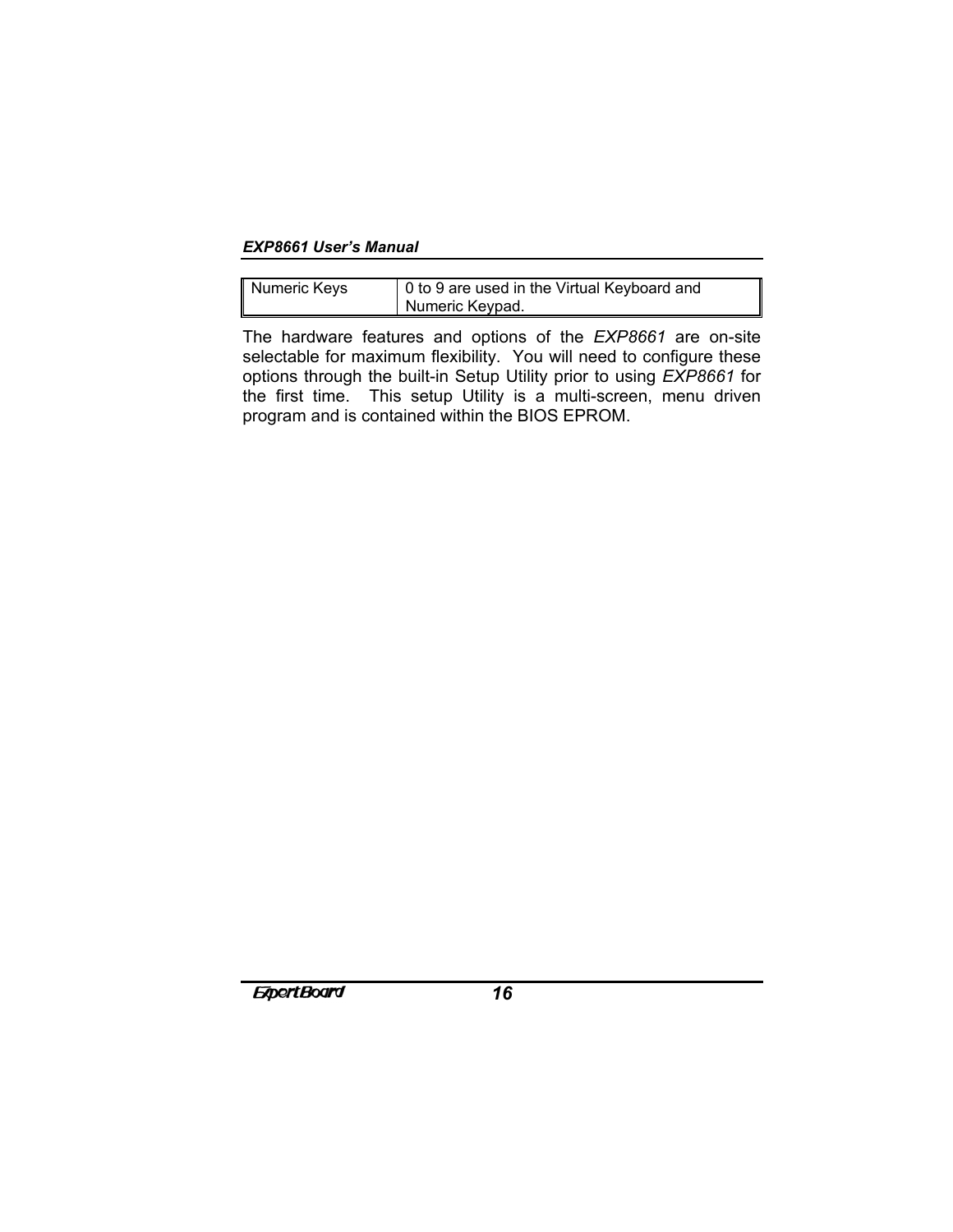| Numeric Keys | 0 to 9 are used in the Virtual Keyboard and |
|--------------|---------------------------------------------|
|              | Numeric Keypad.                             |

T

The hardware features and options of the *EXP8661* are on-site selectable for maximum flexibility. You will need to configure these options through the built-in Setup Utility prior to using *EXP8661* for the first time. This setup Utility is a multi-screen, menu driven program and is contained within the BIOS EPROM.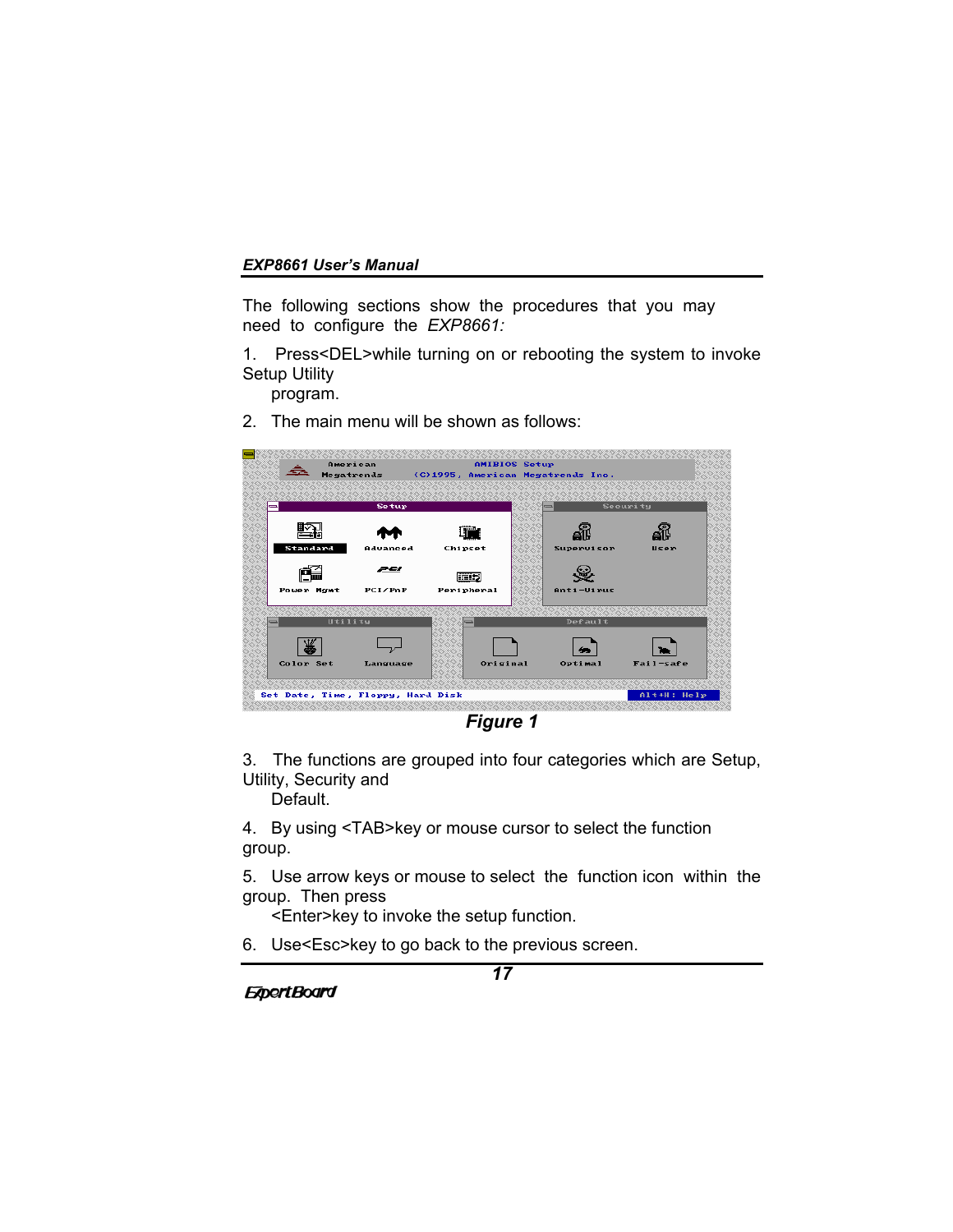The following sections show the procedures that you may need to configure the *EXP8661:*

1. Press<DEL>while turning on or rebooting the system to invoke Setup Utility

program.

2. The main menu will be shown as follows:



*Figure 1*

3. The functions are grouped into four categories which are Setup, Utility, Security and

Default.

4. By using <TAB>key or mouse cursor to select the function group.

5. Use arrow keys or mouse to select the function icon within the group. Then press

<Enter>key to invoke the setup function.

6. Use<Esc>key to go back to the previous screen.

**ExpertBoard**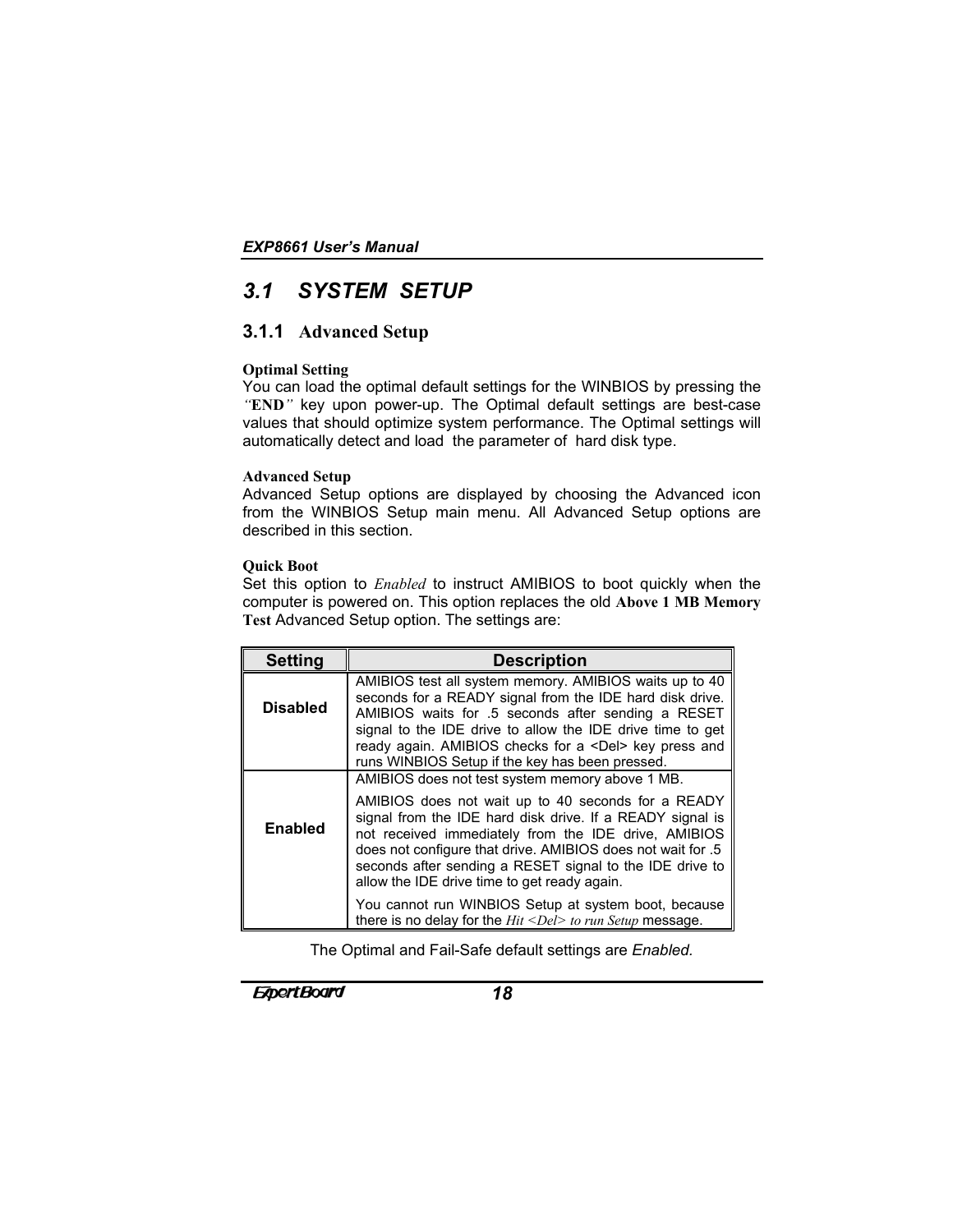# *3.1 SYSTEM SETUP*

# **3.1.1 Advanced Setup**

# **Optimal Setting**

You can load the optimal default settings for the WINBIOS by pressing the *"***END***"* key upon power-up. The Optimal default settings are best-case values that should optimize system performance. The Optimal settings will automatically detect and load the parameter of hard disk type.

### **Advanced Setup**

Advanced Setup options are displayed by choosing the Advanced icon from the WINBIOS Setup main menu. All Advanced Setup options are described in this section.

# **Quick Boot**

Set this option to *Enabled* to instruct AMIBIOS to boot quickly when the computer is powered on. This option replaces the old **Above 1 MB Memory Test** Advanced Setup option. The settings are:

| Setting         | <b>Description</b>                                                                                                                                                                                                                                                                                                                                        |
|-----------------|-----------------------------------------------------------------------------------------------------------------------------------------------------------------------------------------------------------------------------------------------------------------------------------------------------------------------------------------------------------|
| <b>Disabled</b> | AMIBIOS test all system memory. AMIBIOS waits up to 40<br>seconds for a READY signal from the IDE hard disk drive.<br>AMIBIOS waits for .5 seconds after sending a RESET<br>signal to the IDE drive to allow the IDE drive time to get<br>ready again. AMIBIOS checks for a <del> key press and<br/>runs WINBIOS Setup if the key has been pressed.</del> |
|                 | AMIBIOS does not test system memory above 1 MB.                                                                                                                                                                                                                                                                                                           |
| <b>Enabled</b>  | AMIBIOS does not wait up to 40 seconds for a READY<br>signal from the IDE hard disk drive. If a READY signal is<br>not received immediately from the IDE drive, AMIBIOS<br>does not configure that drive. AMIBIOS does not wait for .5<br>seconds after sending a RESET signal to the IDE drive to<br>allow the IDE drive time to get ready again.        |
|                 | You cannot run WINBIOS Setup at system boot, because<br>there is no delay for the $Hit < Del$ to run Setup message.                                                                                                                                                                                                                                       |

The Optimal and Fail-Safe default settings are *Enabled.*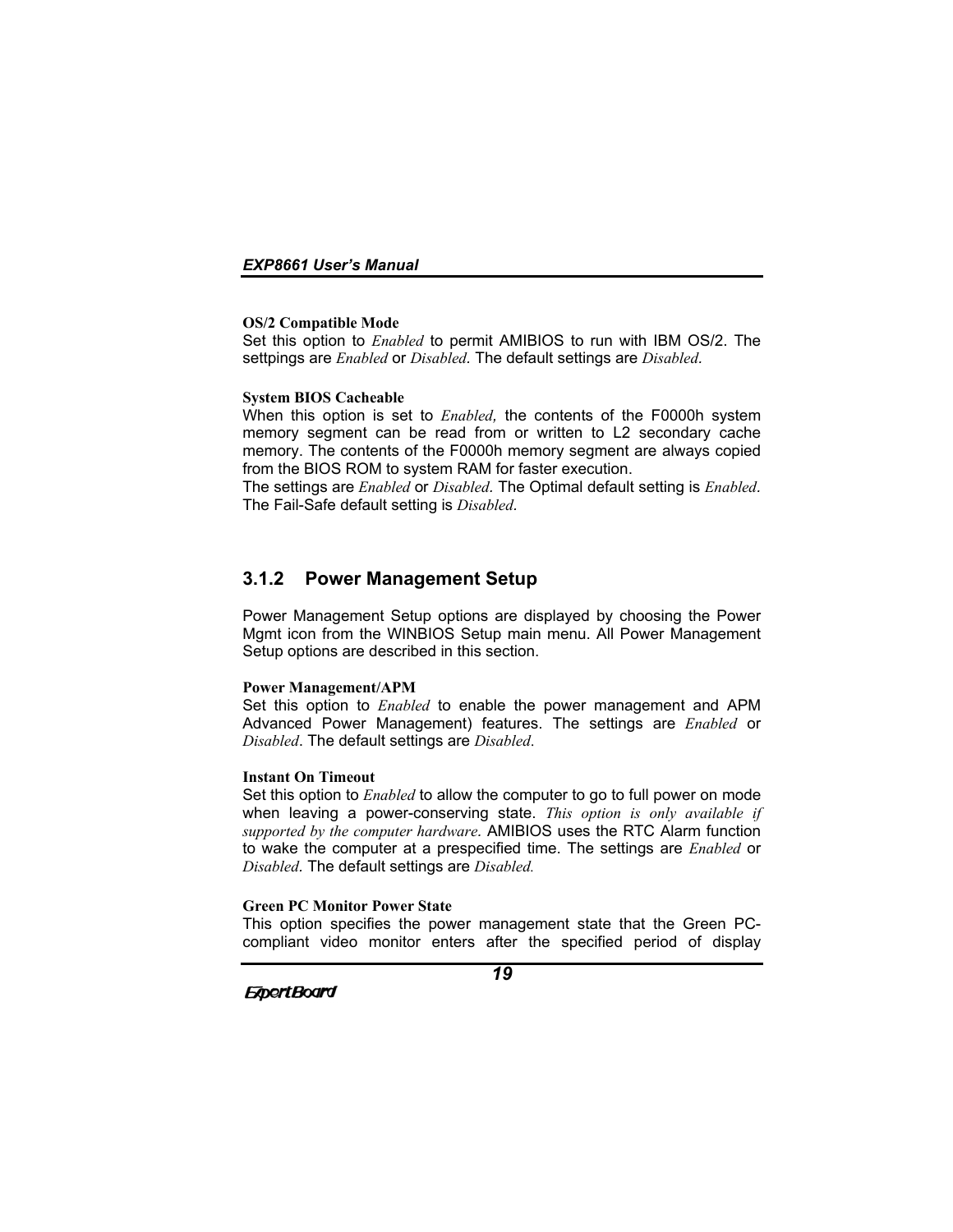#### **OS/2 Compatible Mode**

Set this option to *Enabled* to permit AMIBIOS to run with IBM OS/2. The settpings are *Enabled* or *Disabled.* The default settings are *Disabled.*

#### **System BIOS Cacheable**

When this option is set to *Enabled,* the contents of the F0000h system memory segment can be read from or written to L2 secondary cache memory. The contents of the F0000h memory segment are always copied from the BIOS ROM to system RAM for faster execution.

The settings are *Enabled* or *Disabled.* The Optimal default setting is *Enabled.* The Fail-Safe default setting is *Disabled.*

# **3.1.2 Power Management Setup**

Power Management Setup options are displayed by choosing the Power Mgmt icon from the WINBIOS Setup main menu. All Power Management Setup options are described in this section.

#### **Power Management/APM**

Set this option to *Enabled* to enable the power management and APM Advanced Power Management) features. The settings are *Enabled* or *Disabled*. The default settings are *Disabled*.

#### **Instant On Timeout**

Set this option to *Enabled* to allow the computer to go to full power on mode when leaving a power-conserving state. *This option is only available if supported by the computer hardware.* AMIBIOS uses the RTC Alarm function to wake the computer at a prespecified time. The settings are *Enabled* or *Disabled.* The default settings are *Disabled.*

#### **Green PC Monitor Power State**

This option specifies the power management state that the Green PCcompliant video monitor enters after the specified period of display

**ExpertBoard**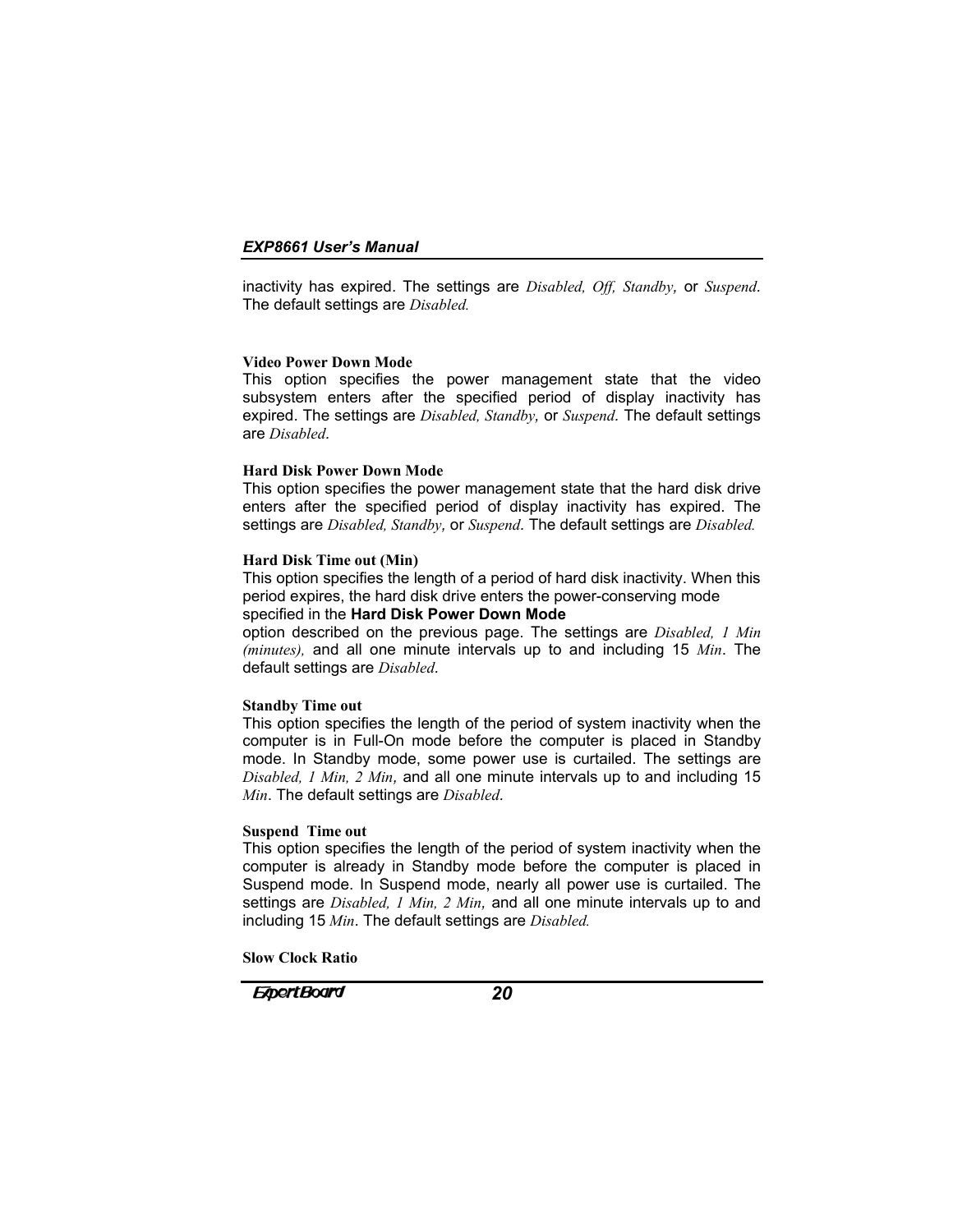inactivity has expired. The settings are *Disabled, Off, Standby,* or *Suspend.* The default settings are *Disabled.*

#### **Video Power Down Mode**

This option specifies the power management state that the video subsystem enters after the specified period of display inactivity has expired. The settings are *Disabled, Standby,* or *Suspend.* The default settings are *Disabled.*

#### **Hard Disk Power Down Mode**

This option specifies the power management state that the hard disk drive enters after the specified period of display inactivity has expired. The settings are *Disabled, Standby,* or *Suspend.* The default settings are *Disabled.*

#### **Hard Disk Time out (Min)**

This option specifies the length of a period of hard disk inactivity. When this period expires, the hard disk drive enters the power-conserving mode specified in the **Hard Disk Power Down Mode**

option described on the previous page. The settings are *Disabled, 1 Min (minutes),* and all one minute intervals up to and including 15 *Min*. The default settings are *Disabled.*

#### **Standby Time out**

This option specifies the length of the period of system inactivity when the computer is in Full-On mode before the computer is placed in Standby mode. In Standby mode, some power use is curtailed. The settings are *Disabled, 1 Min, 2 Min,* and all one minute intervals up to and including 15 *Min*. The default settings are *Disabled.*

### **Suspend Time out**

This option specifies the length of the period of system inactivity when the computer is already in Standby mode before the computer is placed in Suspend mode. In Suspend mode, nearly all power use is curtailed. The settings are *Disabled, 1 Min, 2 Min,* and all one minute intervals up to and including 15 *Min*. The default settings are *Disabled.*

**Slow Clock Ratio**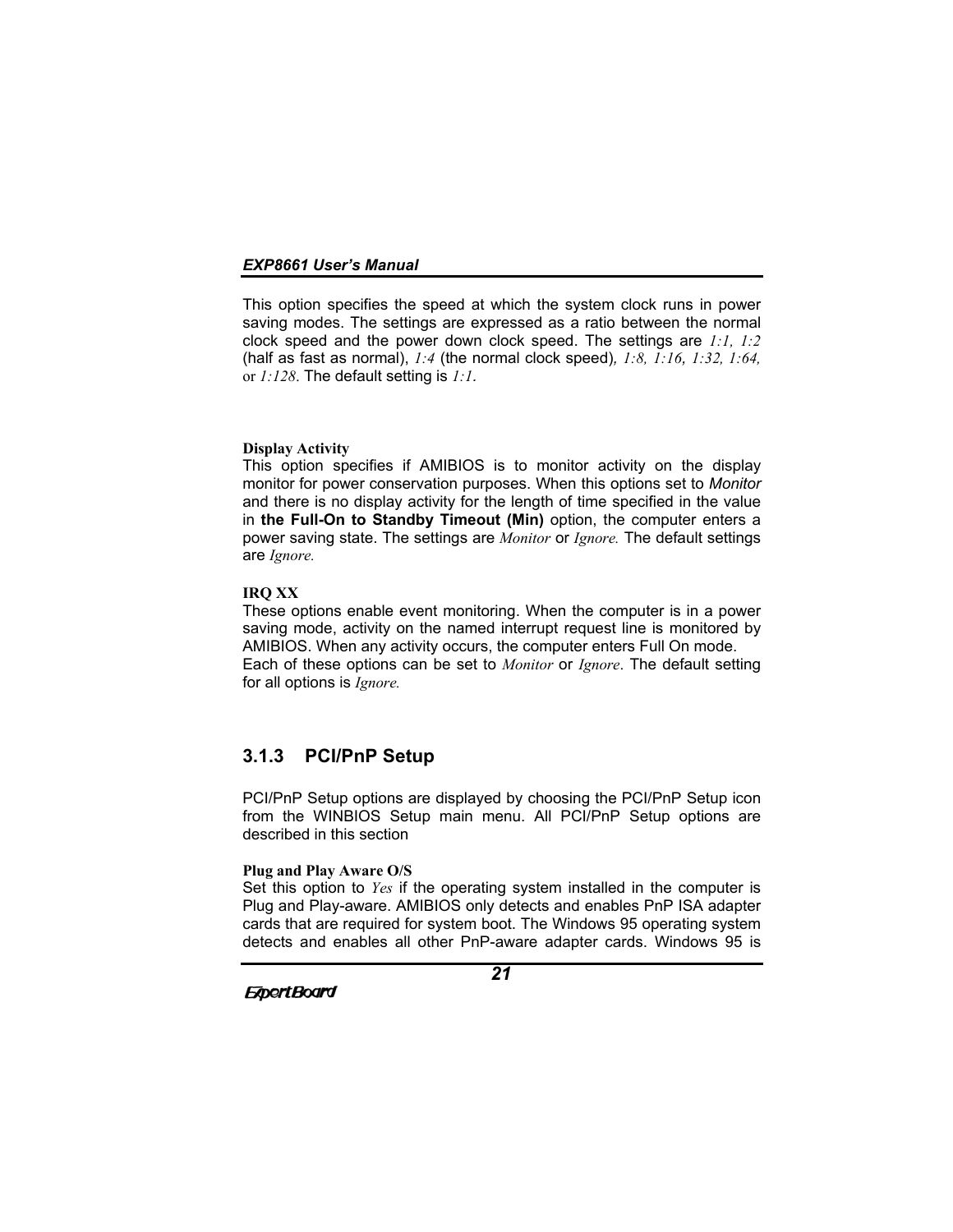This option specifies the speed at which the system clock runs in power saving modes. The settings are expressed as a ratio between the normal clock speed and the power down clock speed. The settings are *1:1, 1:2* (half as fast as normal), *1:4* (the normal clock speed)*, 1:8, 1:16, 1:32, 1:64,* or *1:128*. The default setting is *1:1.*

#### **Display Activity**

This option specifies if AMIBIOS is to monitor activity on the display monitor for power conservation purposes. When this options set to *Monitor* and there is no display activity for the length of time specified in the value in **the Full-On to Standby Timeout (Min)** option, the computer enters a power saving state. The settings are *Monitor* or *Ignore.* The default settings are *Ignore.*

#### **IRQ XX**

These options enable event monitoring. When the computer is in a power saving mode, activity on the named interrupt request line is monitored by AMIBIOS. When any activity occurs, the computer enters Full On mode. Each of these options can be set to *Monitor* or *Ignore*. The default setting for all options is *Ignore.*

# **3.1.3 PCI/PnP Setup**

PCI/PnP Setup options are displayed by choosing the PCI/PnP Setup icon from the WINBIOS Setup main menu. All PCI/PnP Setup options are described in this section

### **Plug and Play Aware O/S**

Set this option to *Yes* if the operating system installed in the computer is Plug and Play-aware. AMIBIOS only detects and enables PnP ISA adapter cards that are required for system boot. The Windows 95 operating system detects and enables all other PnP-aware adapter cards. Windows 95 is

*21*

**ExpertBoard**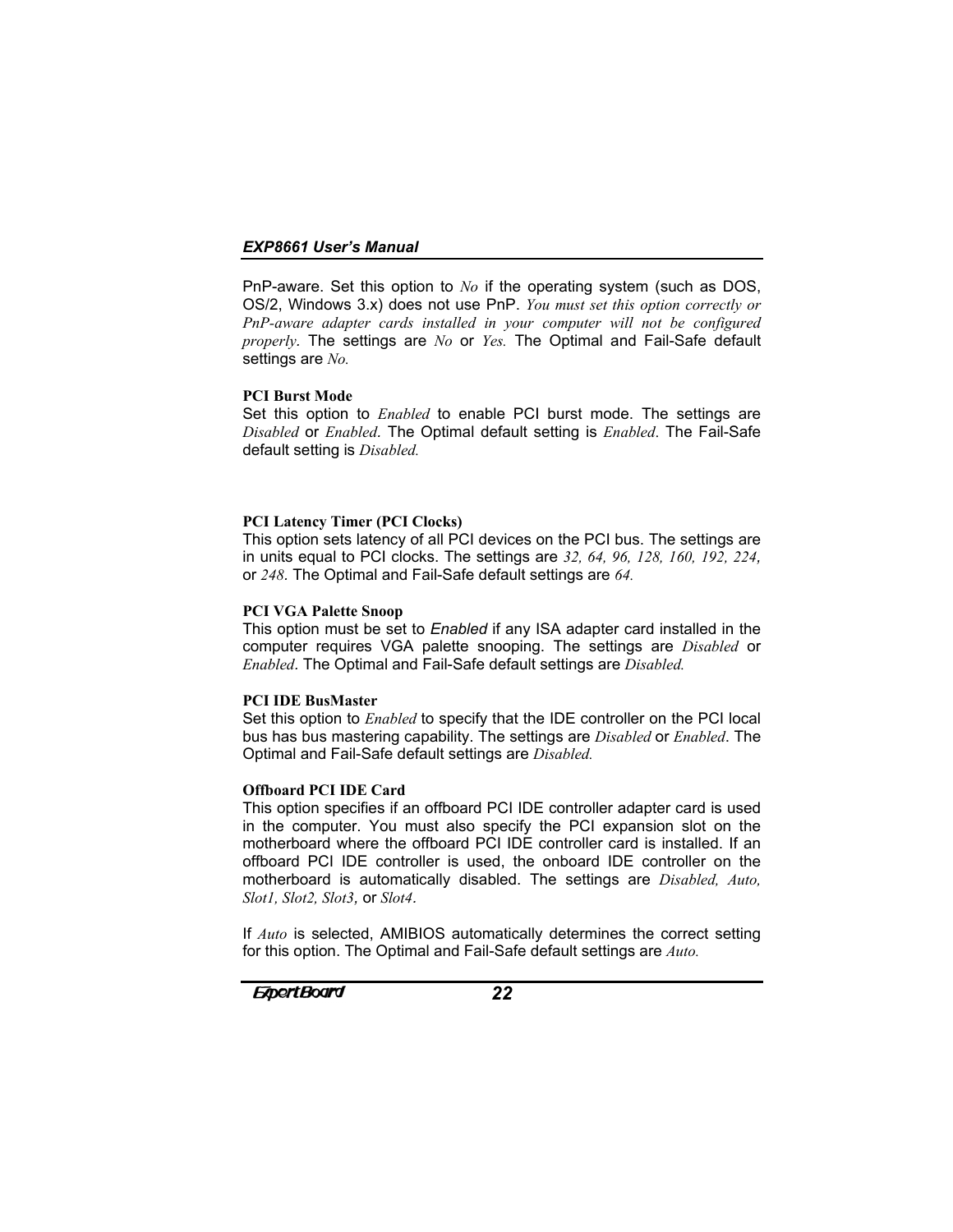PnP-aware. Set this option to *No* if the operating system (such as DOS, OS/2, Windows 3.x) does not use PnP. *You must set this option correctly or PnP-aware adapter cards installed in your computer will not be configured properly.* The settings are *No* or *Yes.* The Optimal and Fail-Safe default settings are *No.*

### **PCI Burst Mode**

Set this option to *Enabled* to enable PCI burst mode. The settings are *Disabled* or *Enabled.* The Optimal default setting is *Enabled*. The Fail-Safe default setting is *Disabled.*

### **PCI Latency Timer (PCI Clocks)**

This option sets latency of all PCI devices on the PCI bus. The settings are in units equal to PCI clocks. The settings are *32, 64, 96, 128, 160, 192, 224,* or *248.* The Optimal and Fail-Safe default settings are *64.*

# **PCI VGA Palette Snoop**

This option must be set to *Enabled* if any ISA adapter card installed in the computer requires VGA palette snooping. The settings are *Disabled* or *Enabled.* The Optimal and Fail-Safe default settings are *Disabled.*

### **PCI IDE BusMaster**

Set this option to *Enabled* to specify that the IDE controller on the PCI local bus has bus mastering capability. The settings are *Disabled* or *Enabled*. The Optimal and Fail-Safe default settings are *Disabled.*

### **Offboard PCI IDE Card**

This option specifies if an offboard PCI IDE controller adapter card is used in the computer. You must also specify the PCI expansion slot on the motherboard where the offboard PCI IDE controller card is installed. If an offboard PCI IDE controller is used, the onboard IDE controller on the motherboard is automatically disabled. The settings are *Disabled, Auto, Slot1, Slot2, Slot3,* or *Slot4.*

If *Auto* is selected, AMIBIOS automatically determines the correct setting for this option. The Optimal and Fail-Safe default settings are *Auto.*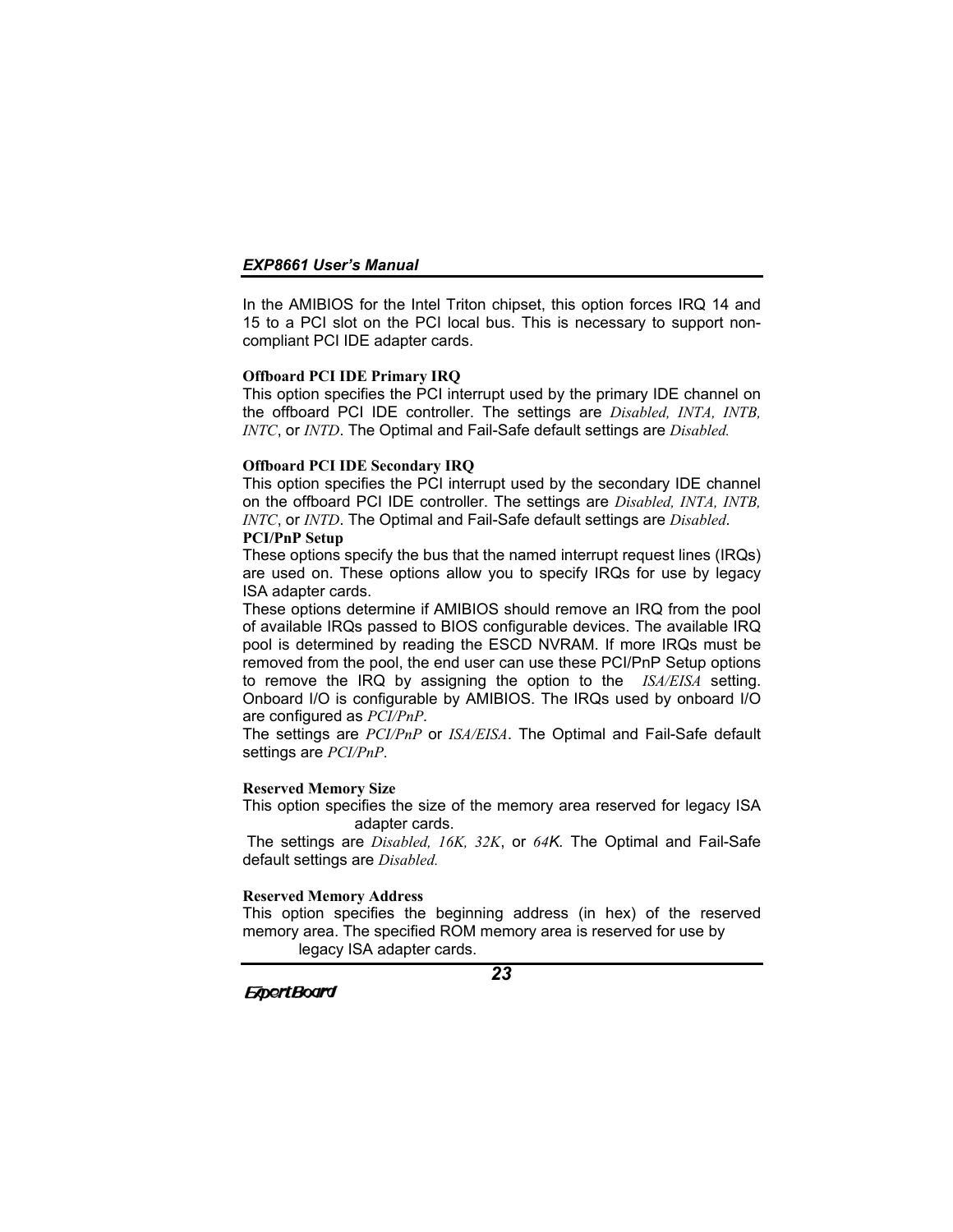In the AMIBIOS for the Intel Triton chipset, this option forces IRQ 14 and 15 to a PCI slot on the PCI local bus. This is necessary to support noncompliant PCI IDE adapter cards.

#### **Offboard PCI IDE Primary IRQ**

This option specifies the PCI interrupt used by the primary IDE channel on the offboard PCI IDE controller. The settings are *Disabled, INTA, INTB, INTC*, or *INTD*. The Optimal and Fail-Safe default settings are *Disabled.*

#### **Offboard PCI IDE Secondary IRQ**

This option specifies the PCI interrupt used by the secondary IDE channel on the offboard PCI IDE controller. The settings are *Disabled, INTA, INTB, INTC*, or *INTD*. The Optimal and Fail-Safe default settings are *Disabled.* **PCI/PnP Setup**

These options specify the bus that the named interrupt request lines (IRQs) are used on. These options allow you to specify IRQs for use by legacy ISA adapter cards.

These options determine if AMIBIOS should remove an IRQ from the pool of available IRQs passed to BIOS configurable devices. The available IRQ pool is determined by reading the ESCD NVRAM. If more IRQs must be removed from the pool, the end user can use these PCI/PnP Setup options to remove the IRQ by assigning the option to the *ISA/EISA* setting. Onboard I/O is configurable by AMIBIOS. The IRQs used by onboard I/O are configured as *PCI/PnP.*

The settings are *PCI/PnP* or *ISA/EISA*. The Optimal and Fail-Safe default settings are *PCI/PnP*.

#### **Reserved Memory Size**

This option specifies the size of the memory area reserved for legacy ISA adapter cards.

 The settings are *Disabled, 16K, 32K*, or *64K.* The Optimal and Fail-Safe default settings are *Disabled.*

#### **Reserved Memory Address**

This option specifies the beginning address (in hex) of the reserved memory area. The specified ROM memory area is reserved for use by legacy ISA adapter cards.

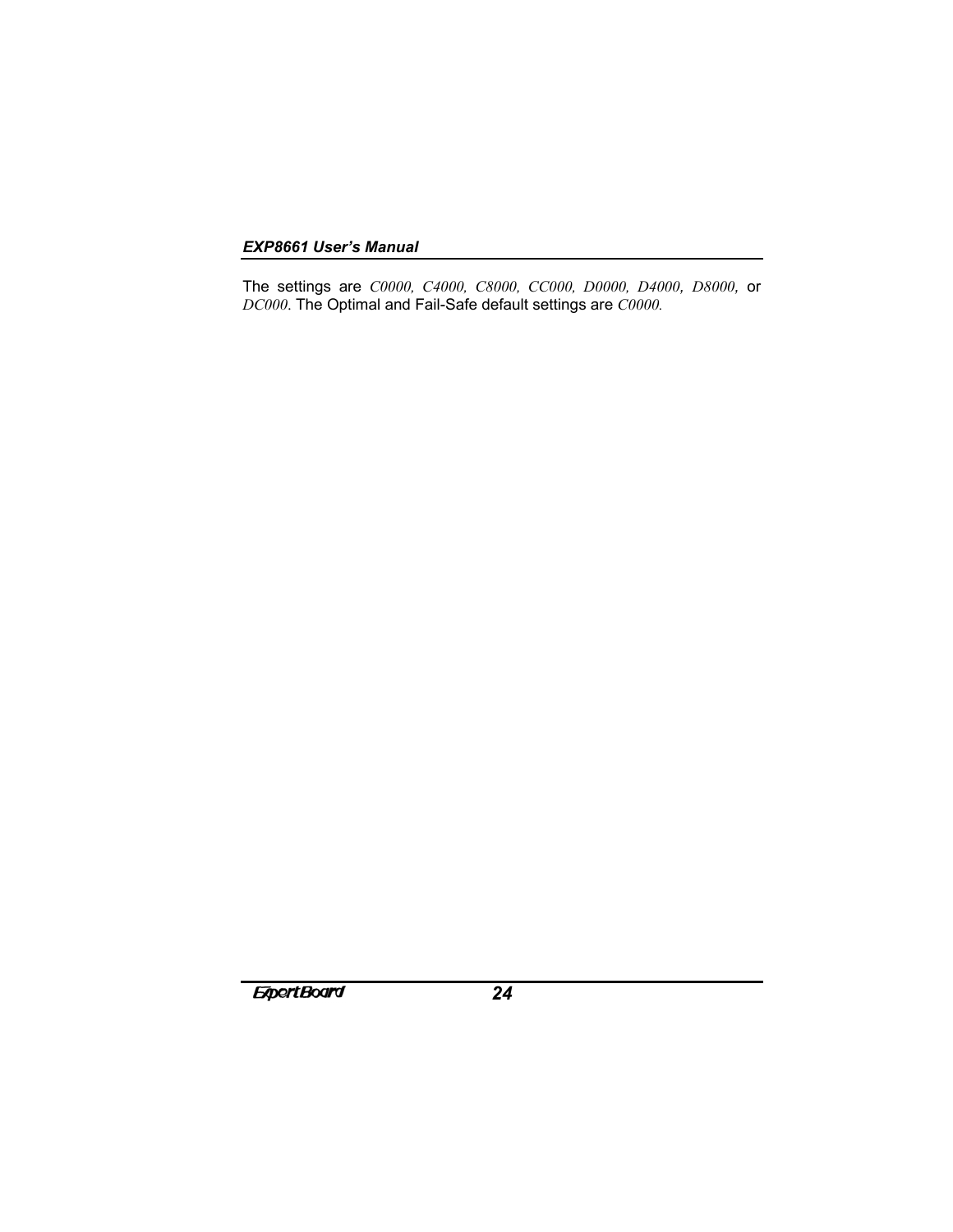The settings are *C0000, C4000, C8000, CC000, D0000, D4000, D8000,* or *DC000*. The Optimal and Fail-Safe default settings are *C0000.*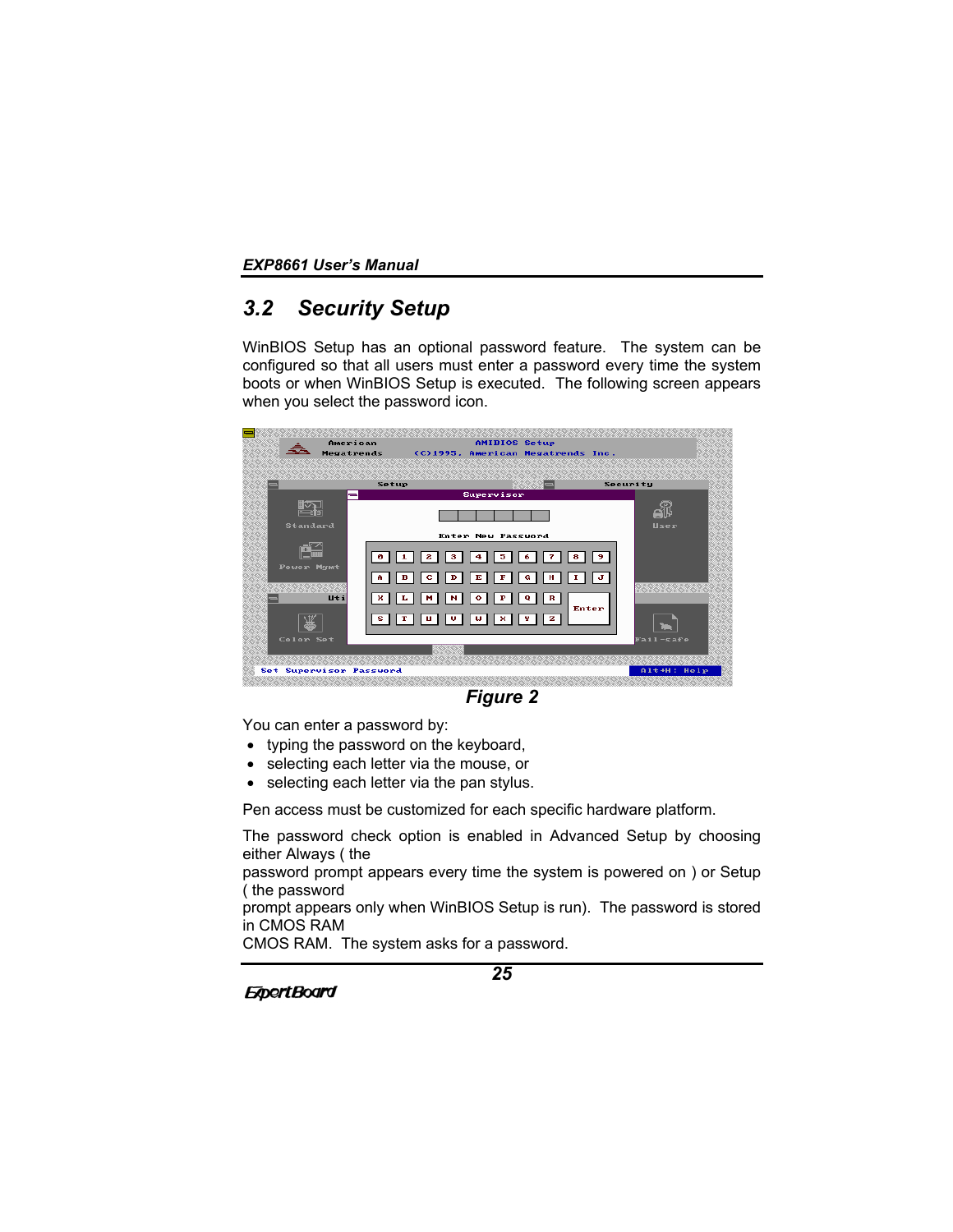# *3.2 Security Setup*

WinBIOS Setup has an optional password feature. The system can be configured so that all users must enter a password every time the system boots or when WinBIOS Setup is executed. The following screen appears when you select the password icon.



*Figure 2*

You can enter a password by:

- typing the password on the keyboard,
- selecting each letter via the mouse, or
- selecting each letter via the pan stylus.

Pen access must be customized for each specific hardware platform.

The password check option is enabled in Advanced Setup by choosing either Always ( the

password prompt appears every time the system is powered on ) or Setup ( the password

prompt appears only when WinBIOS Setup is run). The password is stored in CMOS RAM

CMOS RAM. The system asks for a password.

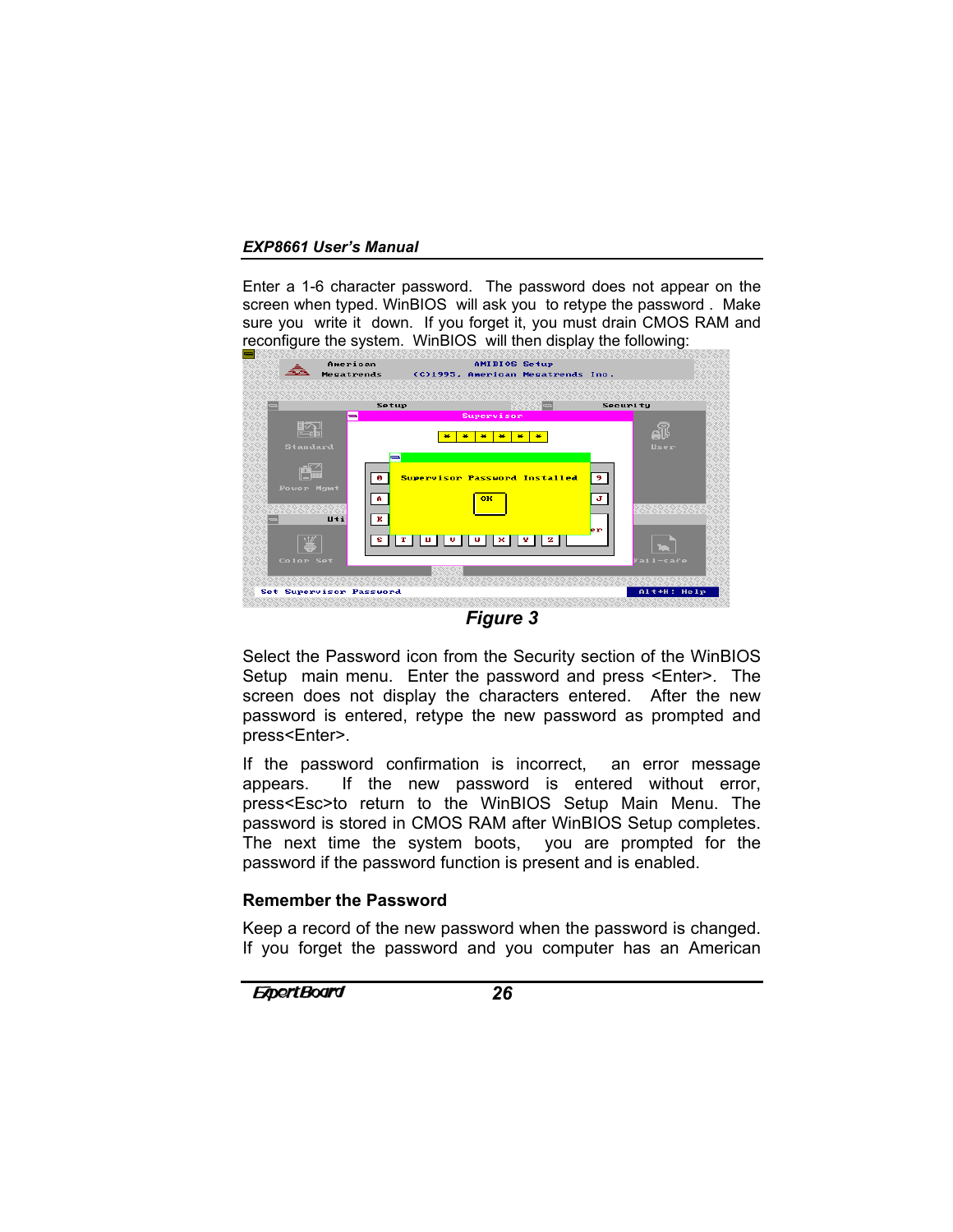Enter a 1-6 character password. The password does not appear on the screen when typed. WinBIOS will ask you to retype the password . Make sure you write it down. If you forget it, you must drain CMOS RAM and reconfigure the system. WinBIOS will then display the following:



*Figure 3*

Select the Password icon from the Security section of the WinBIOS Setup main menu. Enter the password and press <Enter>. The screen does not display the characters entered. After the new password is entered, retype the new password as prompted and press<Enter>.

If the password confirmation is incorrect, an error message appears. If the new password is entered without error, press<Esc>to return to the WinBIOS Setup Main Menu. The password is stored in CMOS RAM after WinBIOS Setup completes. The next time the system boots, you are prompted for the password if the password function is present and is enabled.

# **Remember the Password**

Keep a record of the new password when the password is changed. If you forget the password and you computer has an American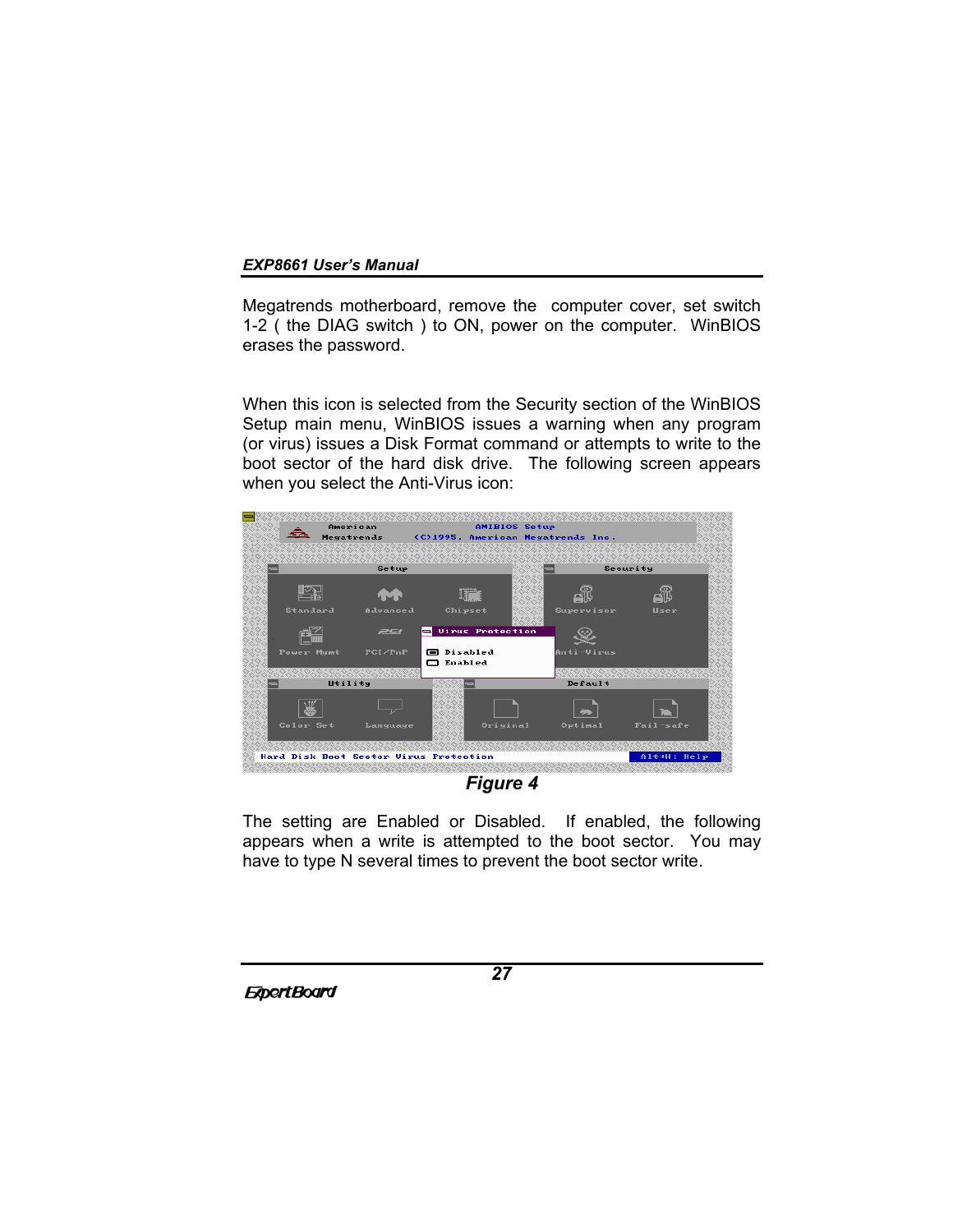Megatrends motherboard, remove the computer cover, set switch 1-2 ( the DIAG switch ) to ON, power on the computer. WinBIOS erases the password.

When this icon is selected from the Security section of the WinBIOS Setup main menu, WinBIOS issues a warning when any program (or virus) issues a Disk Format command or attempts to write to the boot sector of the hard disk drive. The following screen appears when you select the Anti-Virus icon:



*Figure 4*

The setting are Enabled or Disabled. If enabled, the following appears when a write is attempted to the boot sector. You may have to type N several times to prevent the boot sector write.

**ExpertBoard**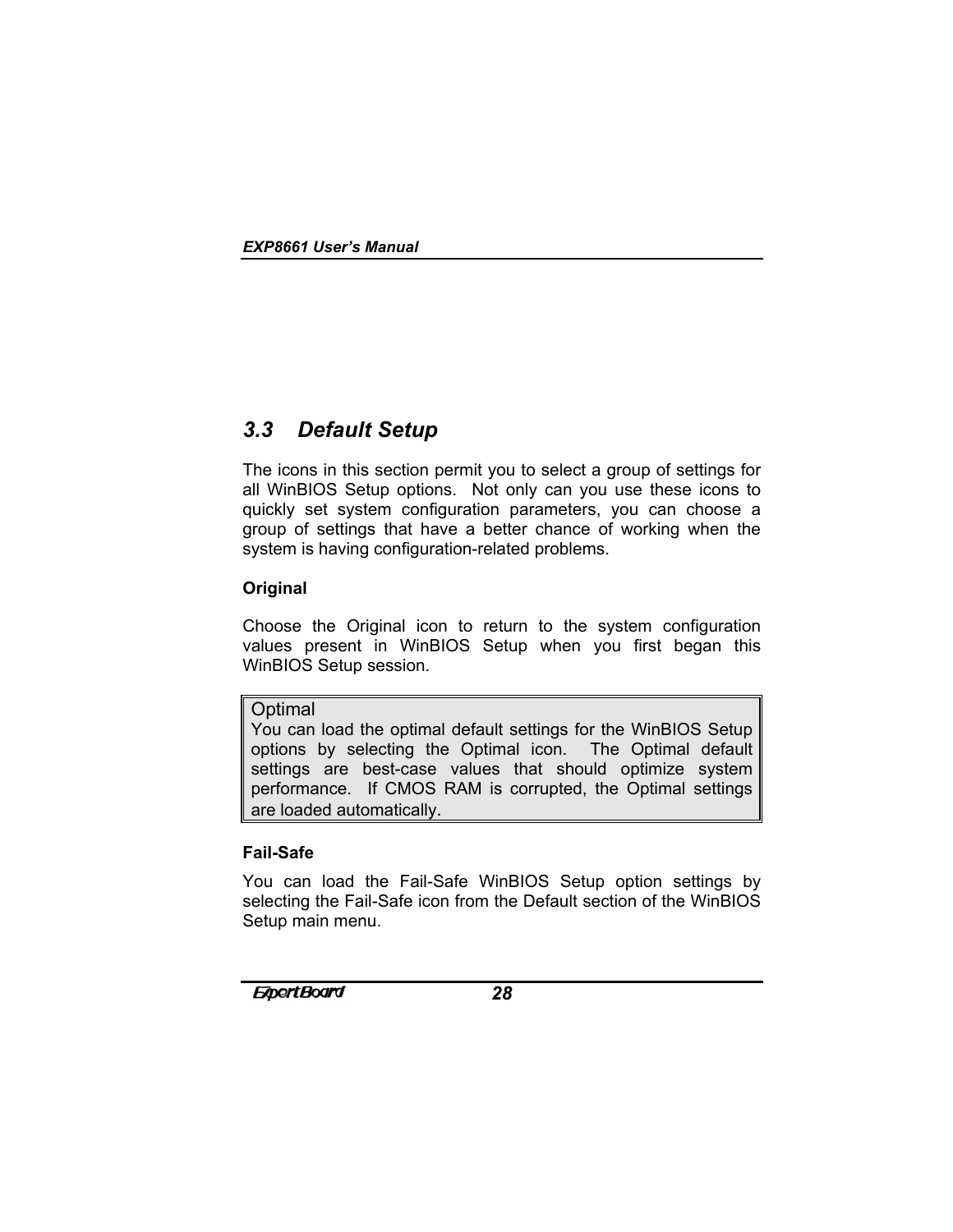# *3.3 Default Setup*

The icons in this section permit you to select a group of settings for all WinBIOS Setup options. Not only can you use these icons to quickly set system configuration parameters, you can choose a group of settings that have a better chance of working when the system is having configuration-related problems.

# **Original**

Choose the Original icon to return to the system configuration values present in WinBIOS Setup when you first began this WinBIOS Setup session.

# **Optimal**

You can load the optimal default settings for the WinBIOS Setup options by selecting the Optimal icon. The Optimal default settings are best-case values that should optimize system performance. If CMOS RAM is corrupted, the Optimal settings are loaded automatically.

# **Fail-Safe**

You can load the Fail-Safe WinBIOS Setup option settings by selecting the Fail-Safe icon from the Default section of the WinBIOS Setup main menu.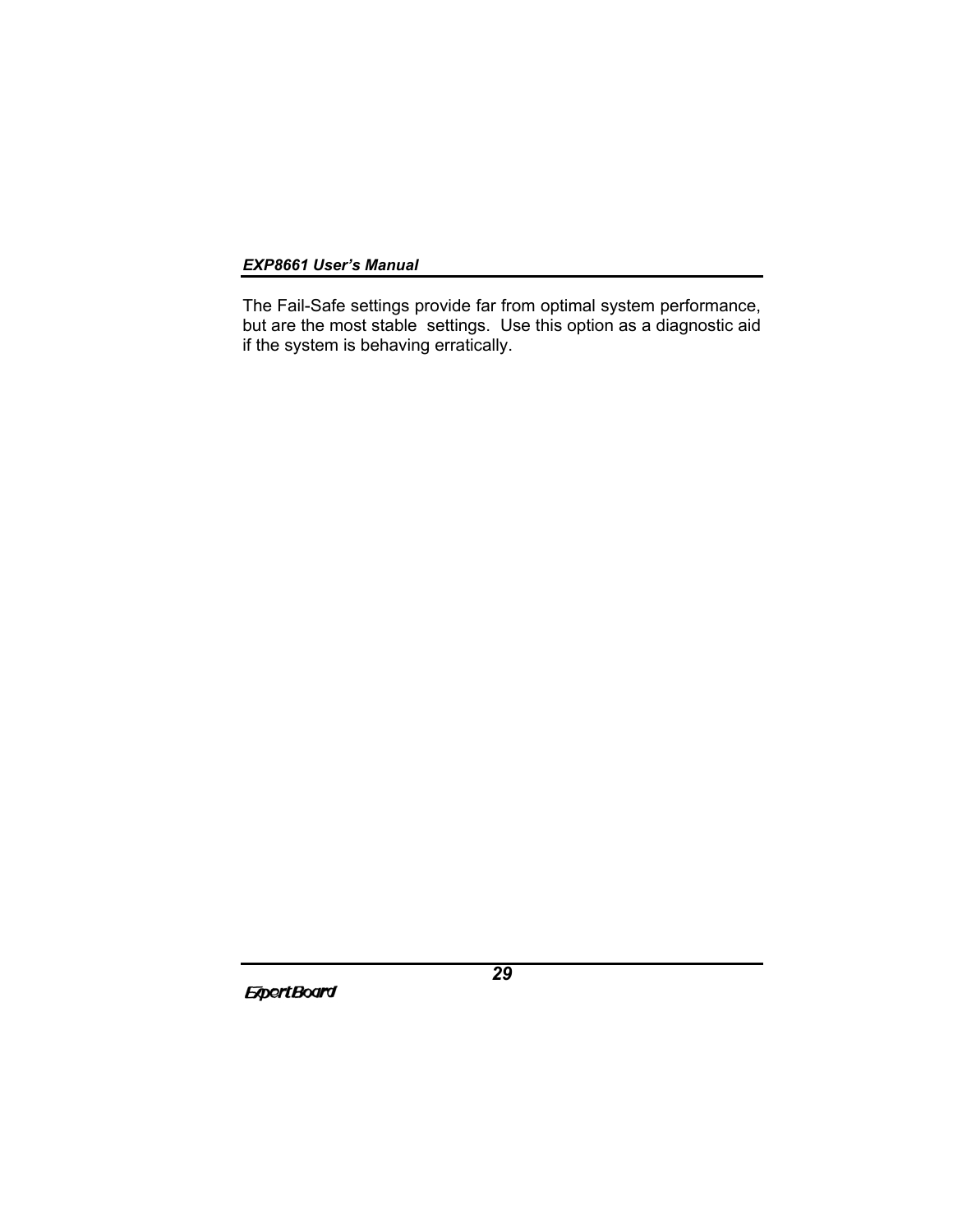The Fail-Safe settings provide far from optimal system performance, but are the most stable settings. Use this option as a diagnostic aid if the system is behaving erratically.

**ExpertBoard**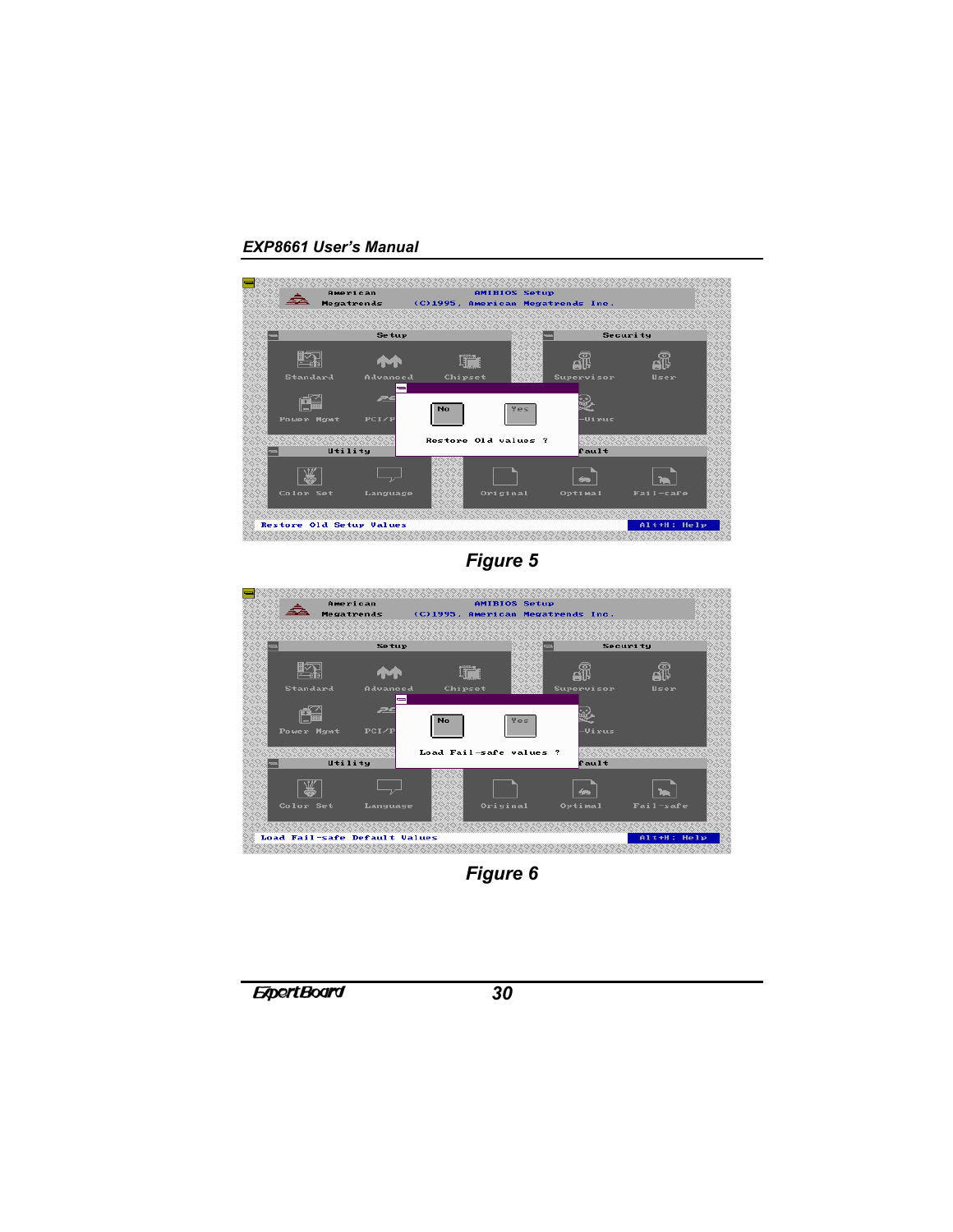

*Figure 5*



*Figure 6*

*30*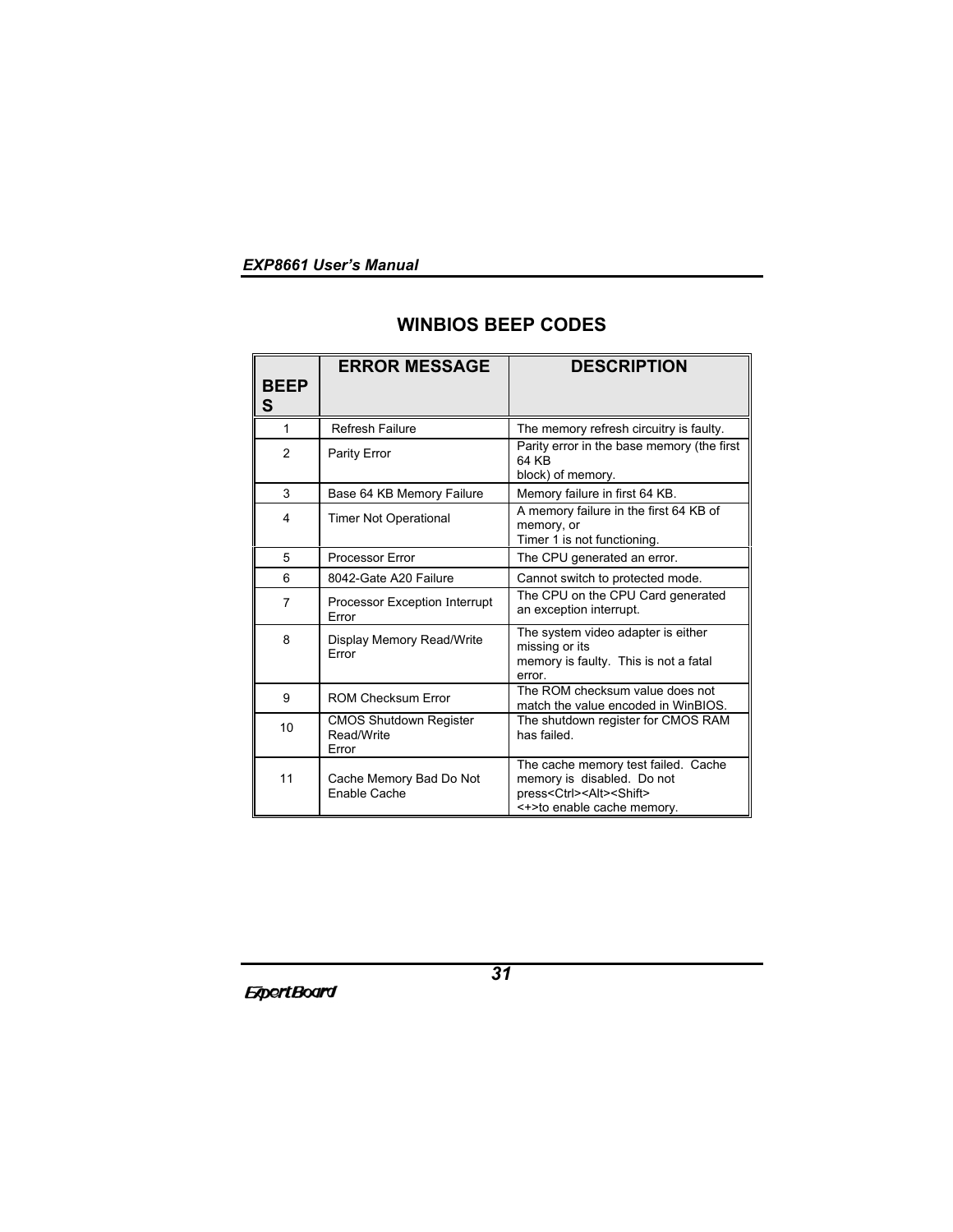# **WINBIOS BEEP CODES**

|                  | <b>ERROR MESSAGE</b>                          | <b>DESCRIPTION</b>                                                                                                                                      |
|------------------|-----------------------------------------------|---------------------------------------------------------------------------------------------------------------------------------------------------------|
| <b>BEEP</b><br>S |                                               |                                                                                                                                                         |
| 1                | Refresh Failure                               | The memory refresh circuitry is faulty.                                                                                                                 |
| 2                | Parity Error                                  | Parity error in the base memory (the first<br>64 KB<br>block) of memory.                                                                                |
| 3                | Base 64 KB Memory Failure                     | Memory failure in first 64 KB.                                                                                                                          |
| 4                | <b>Timer Not Operational</b>                  | A memory failure in the first 64 KB of<br>memory, or<br>Timer 1 is not functioning.                                                                     |
| 5                | Processor Error                               | The CPU generated an error.                                                                                                                             |
| 6                | 8042-Gate A20 Failure                         | Cannot switch to protected mode.                                                                                                                        |
| $\overline{7}$   | Processor Exception Interrupt<br>Error        | The CPU on the CPU Card generated<br>an exception interrupt.                                                                                            |
| 8                | Display Memory Read/Write<br>Frror            | The system video adapter is either<br>missing or its<br>memory is faulty. This is not a fatal<br>error.                                                 |
| 9                | <b>ROM Checksum Error</b>                     | The ROM checksum value does not<br>match the value encoded in WinBIOS.                                                                                  |
| 10               | CMOS Shutdown Register<br>Read/Write<br>Error | The shutdown register for CMOS RAM<br>has failed.                                                                                                       |
| 11               | Cache Memory Bad Do Not<br>Enable Cache       | The cache memory test failed. Cache<br>memory is disabled. Do not<br>press <ctrl><alt><shift><br/>&lt;+&gt;to enable cache memory.</shift></alt></ctrl> |

**ExpertBoard**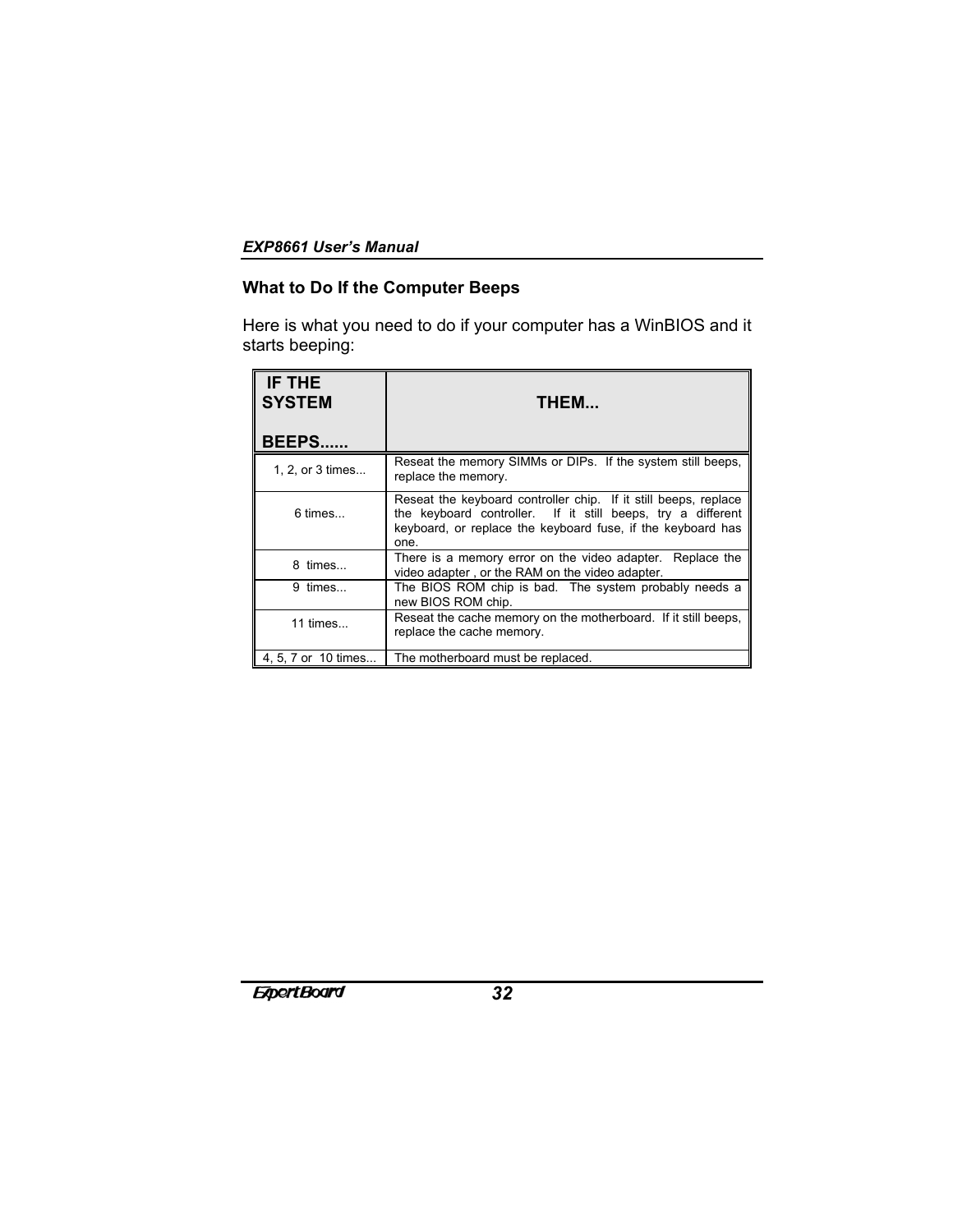# **What to Do If the Computer Beeps**

Here is what you need to do if your computer has a WinBIOS and it starts beeping:

| IF THE<br><b>SYSTEM</b> | THEM                                                                                                                                                                                                  |
|-------------------------|-------------------------------------------------------------------------------------------------------------------------------------------------------------------------------------------------------|
| <b>BEEPS</b>            |                                                                                                                                                                                                       |
| 1, 2, or 3 times        | Reseat the memory SIMMs or DIPs. If the system still beeps,<br>replace the memory.                                                                                                                    |
| $6 \times$              | Reseat the keyboard controller chip. If it still beeps, replace<br>the keyboard controller. If it still beeps, try a different<br>keyboard, or replace the keyboard fuse, if the keyboard has<br>one. |
| 8 times                 | There is a memory error on the video adapter. Replace the<br>video adapter, or the RAM on the video adapter.                                                                                          |
| 9 times                 | The BIOS ROM chip is bad. The system probably needs a<br>new BIOS ROM chip.                                                                                                                           |
| 11 times                | Reseat the cache memory on the motherboard. If it still beeps,<br>replace the cache memory.                                                                                                           |
| 4, 5, 7 or 10 times     | The motherboard must be replaced.                                                                                                                                                                     |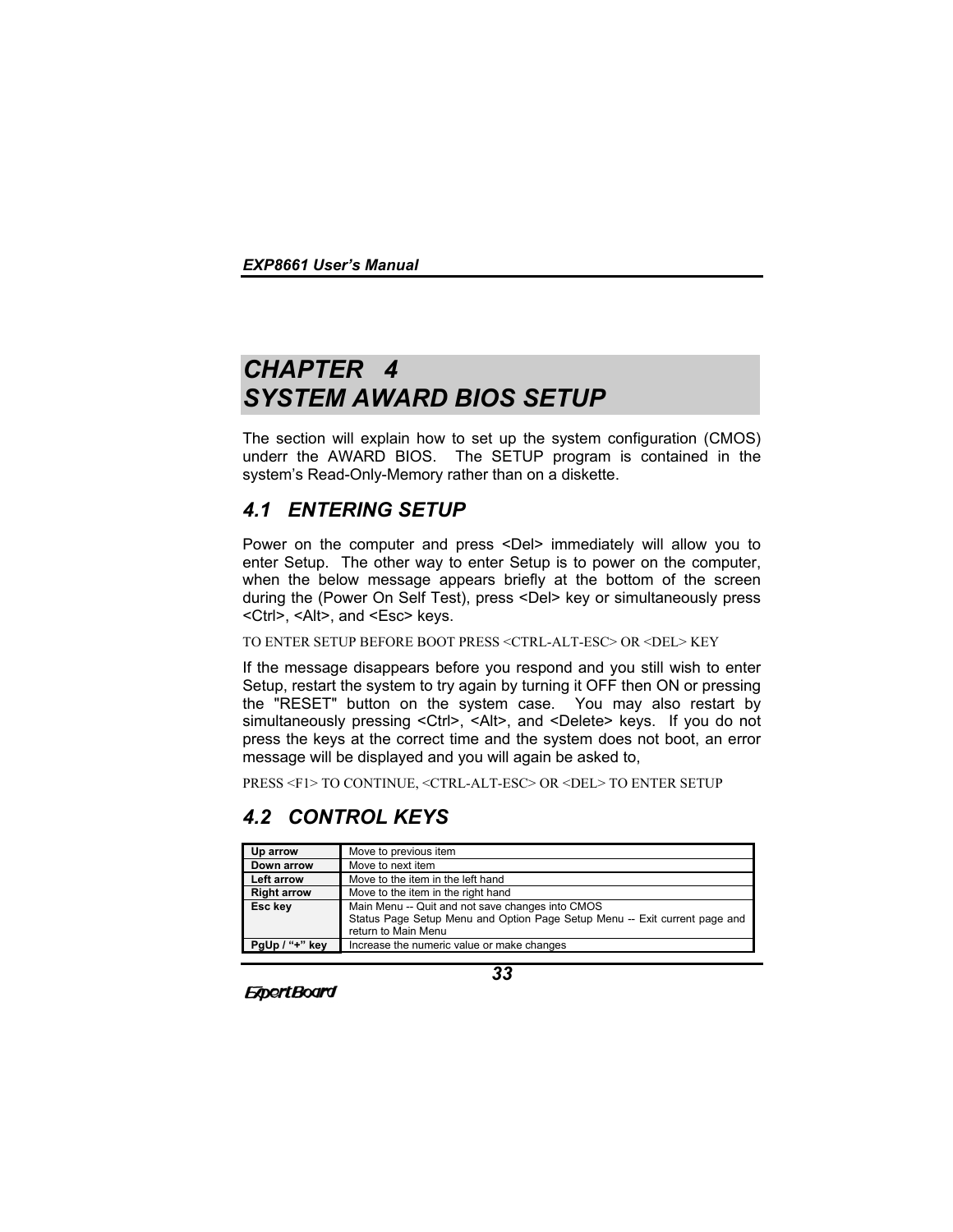# *CHAPTER 4 SYSTEM AWARD BIOS SETUP*

The section will explain how to set up the system configuration (CMOS) underr the AWARD BIOS. The SETUP program is contained in the system's Read-Only-Memory rather than on a diskette.

# *4.1 ENTERING SETUP*

Power on the computer and press <Del> immediately will allow you to enter Setup. The other way to enter Setup is to power on the computer, when the below message appears briefly at the bottom of the screen during the (Power On Self Test), press <Del> key or simultaneously press <Ctrl>, <Alt>, and <Esc> keys.

### TO ENTER SETUP BEFORE BOOT PRESS <CTRL-ALT-ESC> OR <DEL> KEY

If the message disappears before you respond and you still wish to enter Setup, restart the system to try again by turning it OFF then ON or pressing the "RESET" button on the system case. You may also restart by simultaneously pressing <Ctrl>, <Alt>, and <Delete> keys. If you do not press the keys at the correct time and the system does not boot, an error message will be displayed and you will again be asked to,

PRESS <F1> TO CONTINUE, <CTRL-ALT-ESC> OR <DEL> TO ENTER SETUP

# *4.2 CONTROL KEYS*

**ExpertBoard** 

| Up arrow           | Move to previous item                                                                                                                                 |
|--------------------|-------------------------------------------------------------------------------------------------------------------------------------------------------|
| Down arrow         | Move to next item                                                                                                                                     |
| Left arrow         | Move to the item in the left hand                                                                                                                     |
| <b>Right arrow</b> | Move to the item in the right hand                                                                                                                    |
| Esc key            | Main Menu -- Quit and not save changes into CMOS<br>Status Page Setup Menu and Option Page Setup Menu -- Exit current page and<br>return to Main Menu |
| PgUp / "+" key     | Increase the numeric value or make changes                                                                                                            |

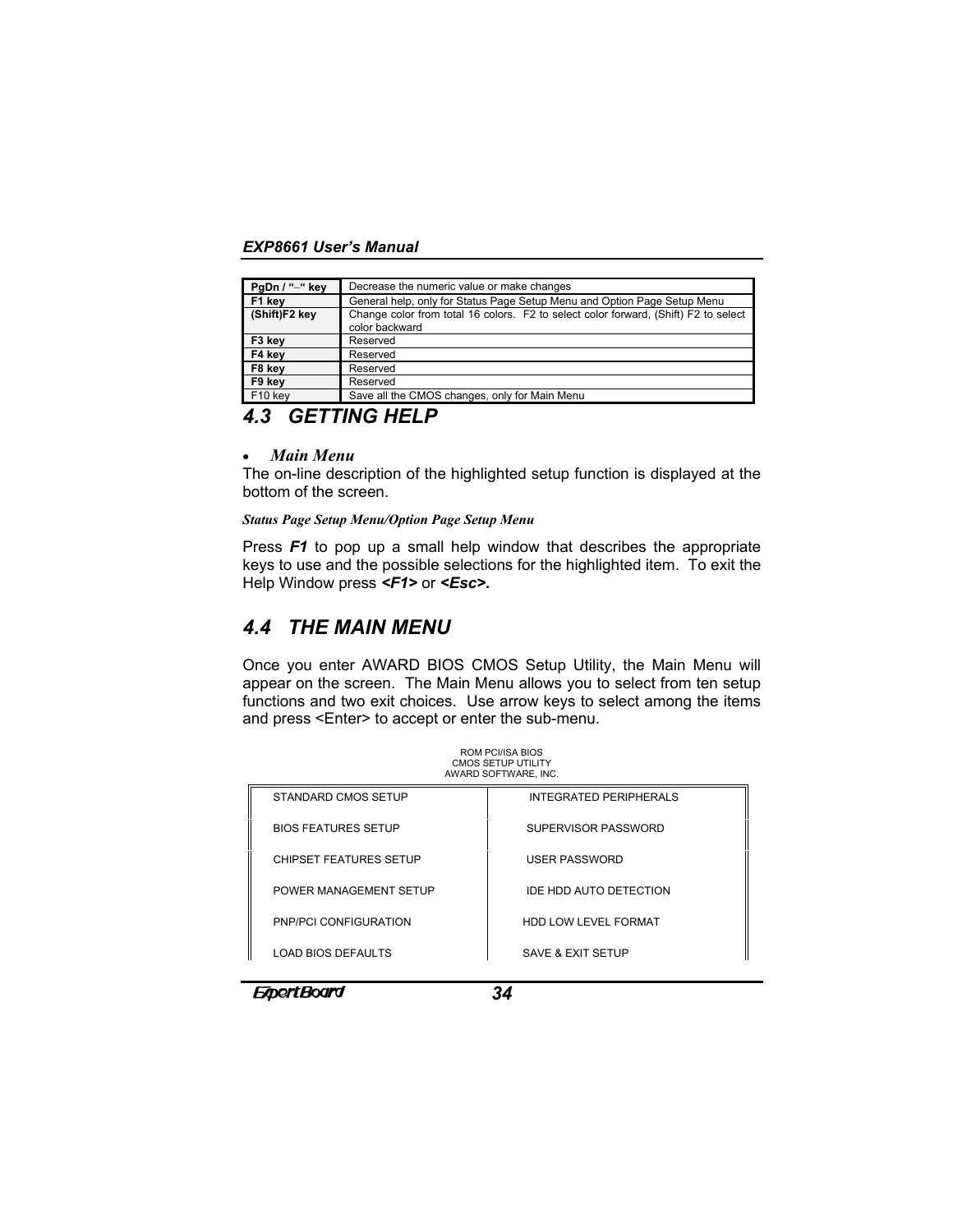| PgDn / "-" key      | Decrease the numeric value or make changes                                                            |
|---------------------|-------------------------------------------------------------------------------------------------------|
| F1 kev              | General help, only for Status Page Setup Menu and Option Page Setup Menu                              |
| (Shift)F2 key       | Change color from total 16 colors. F2 to select color forward, (Shift) F2 to select<br>color backward |
| F3 key              | Reserved                                                                                              |
| F4 key              | Reserved                                                                                              |
| F8 key              | Reserved                                                                                              |
| F9 key              | Reserved                                                                                              |
| F <sub>10</sub> key | Save all the CMOS changes, only for Main Menu                                                         |

# *4.3 GETTING HELP*

#### • *Main Menu*

The on-line description of the highlighted setup function is displayed at the bottom of the screen.

#### *Status Page Setup Menu/Option Page Setup Menu*

Press *F1* to pop up a small help window that describes the appropriate keys to use and the possible selections for the highlighted item. To exit the Help Window press *<F1>* or *<Esc>.*

# *4.4 THE MAIN MENU*

Once you enter AWARD BIOS CMOS Setup Utility, the Main Menu will appear on the screen. The Main Menu allows you to select from ten setup functions and two exit choices. Use arrow keys to select among the items and press <Enter> to accept or enter the sub-menu.

| <b>ROM PCI/ISA BIOS</b><br>CMOS SETUP UTILITY<br>AWARD SOFTWARE, INC. |                               |  |
|-----------------------------------------------------------------------|-------------------------------|--|
| STANDARD CMOS SETUP                                                   | <b>INTEGRATED PERIPHERALS</b> |  |
| <b>BIOS FEATURES SETUP</b>                                            | SUPERVISOR PASSWORD           |  |
| <b>CHIPSET FEATURES SETUP</b>                                         | <b>USER PASSWORD</b>          |  |
| POWER MANAGEMENT SETUP                                                | <b>IDE HDD AUTO DETECTION</b> |  |
| PNP/PCI CONFIGURATION                                                 | HDD LOW LEVEL FORMAT          |  |
| <b>LOAD BIOS DEFAULTS</b>                                             | SAVE & EXIT SETUP             |  |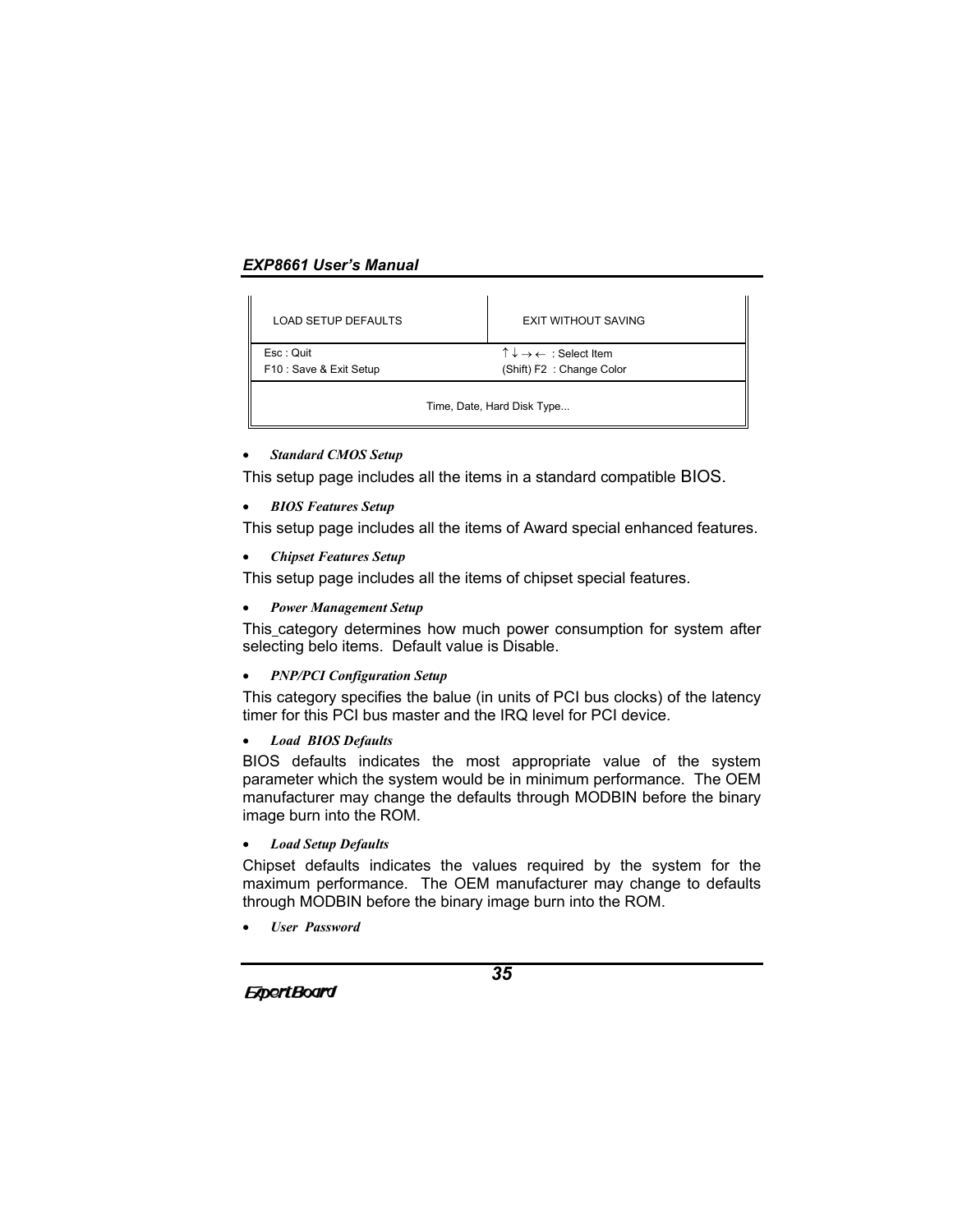| <b>LOAD SETUP DEFAULTS</b>           | EXIT WITHOUT SAVING                                                                    |  |
|--------------------------------------|----------------------------------------------------------------------------------------|--|
| Esc: Quit<br>F10 : Save & Exit Setup | $\uparrow \downarrow \rightarrow \leftarrow :$ Select Item<br>(Shift) F2: Change Color |  |
| Time, Date, Hard Disk Type           |                                                                                        |  |

#### • *Standard CMOS Setup*

This setup page includes all the items in a standard compatible BIOS.

• *BIOS Features Setup*

This setup page includes all the items of Award special enhanced features.

• *Chipset Features Setup*

This setup page includes all the items of chipset special features.

• *Power Management Setup*

This category determines how much power consumption for system after selecting belo items. Default value is Disable.

• *PNP/PCI Configuration Setup*

This category specifies the balue (in units of PCI bus clocks) of the latency timer for this PCI bus master and the IRQ level for PCI device.

• *Load BIOS Defaults*

BIOS defaults indicates the most appropriate value of the system parameter which the system would be in minimum performance. The OEM manufacturer may change the defaults through MODBIN before the binary image burn into the ROM.

• *Load Setup Defaults*

Chipset defaults indicates the values required by the system for the maximum performance. The OEM manufacturer may change to defaults through MODBIN before the binary image burn into the ROM.

• *User Password*

**ExpertBoard**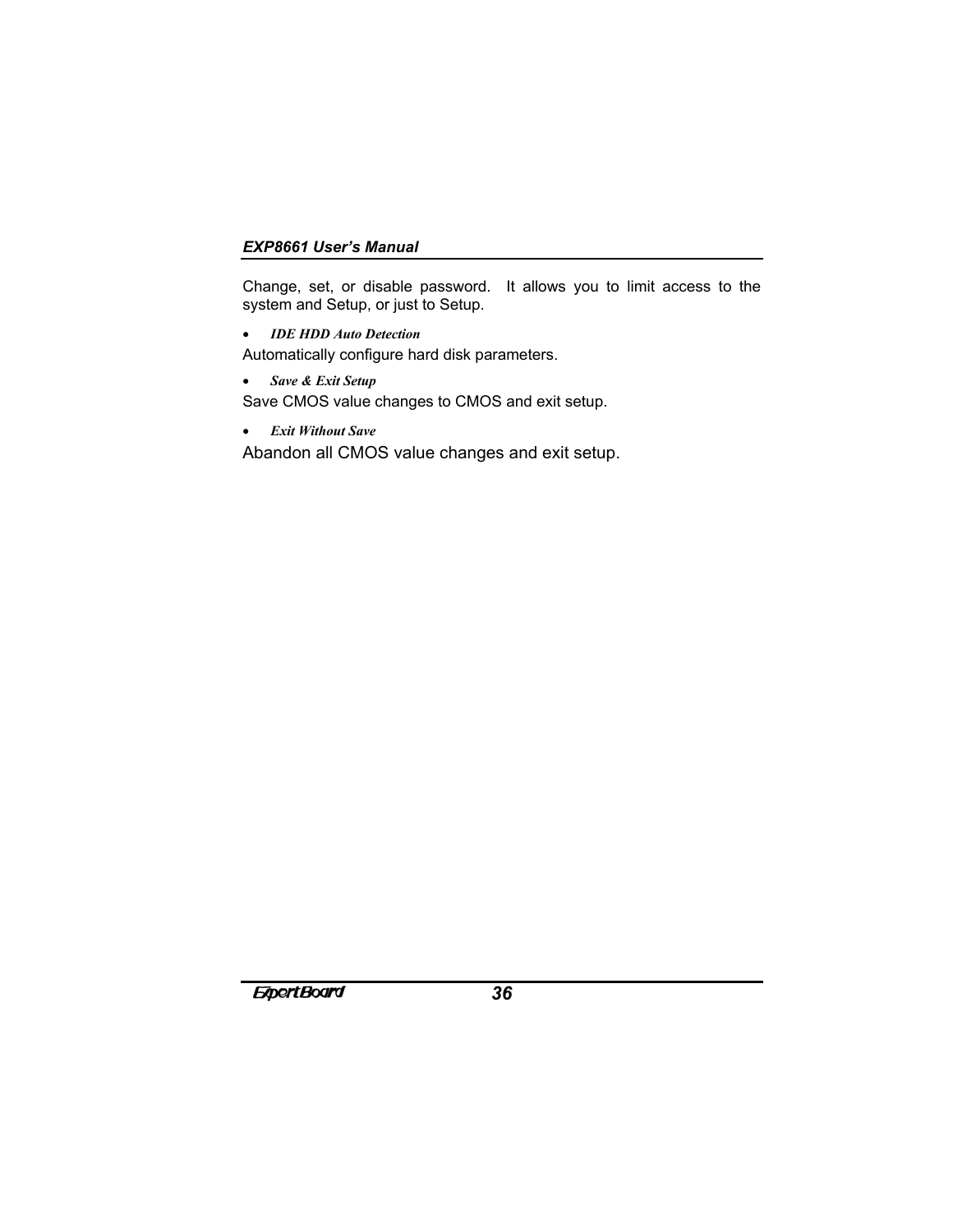Change, set, or disable password. It allows you to limit access to the system and Setup, or just to Setup.

- *IDE HDD Auto Detection*
- Automatically configure hard disk parameters.
- *Save & Exit Setup* Save CMOS value changes to CMOS and exit setup.
- *Exit Without Save*

Abandon all CMOS value changes and exit setup.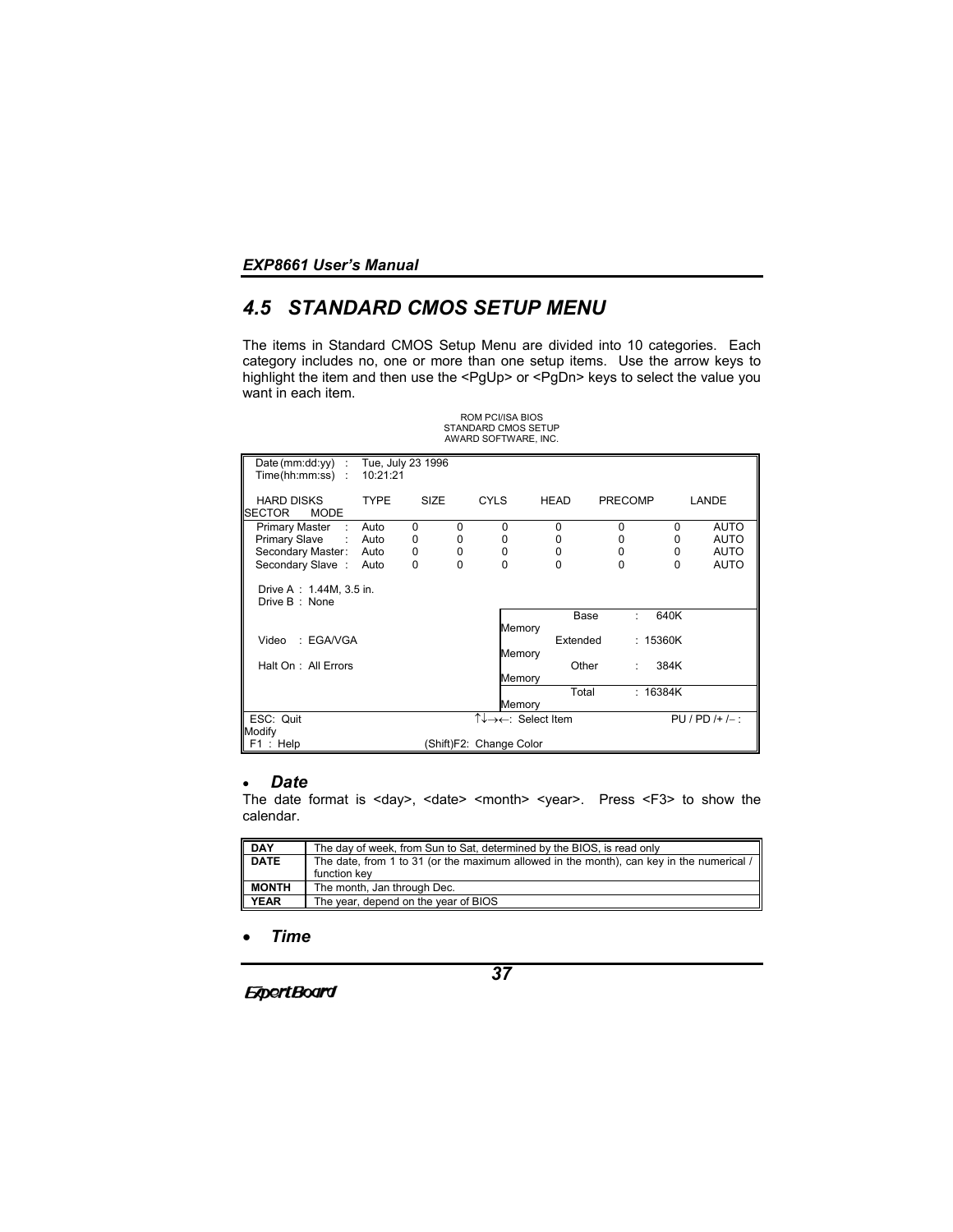# *4.5 STANDARD CMOS SETUP MENU*

The items in Standard CMOS Setup Menu are divided into 10 categories. Each category includes no, one or more than one setup items. Use the arrow keys to highlight the item and then use the <PgUp> or <PgDn> keys to select the value you want in each item.

ROM PCI/ISA BIOS

|                                                   |                               |             |          | <b>STANDARD CMOS SETUP</b><br>AWARD SOFTWARE, INC. |             |          |                |          |                     |
|---------------------------------------------------|-------------------------------|-------------|----------|----------------------------------------------------|-------------|----------|----------------|----------|---------------------|
| Date (mm:dd:yy) :<br>Time(hh:mm:ss):              | Tue, July 23 1996<br>10:21:21 |             |          |                                                    |             |          |                |          |                     |
| <b>HARD DISKS</b><br><b>SECTOR</b><br><b>MODE</b> | <b>TYPE</b>                   | <b>SIZE</b> |          | <b>CYLS</b>                                        | <b>HEAD</b> |          | <b>PRECOMP</b> |          | LANDE               |
| Primary Master<br>- 51                            | Auto                          | $\Omega$    | 0        | 0                                                  |             | 0        | $\Omega$       | $\Omega$ | <b>AUTO</b>         |
| Primary Slave : Auto                              |                               | 0           | 0        | 0                                                  |             | 0        | 0              | 0        | <b>AUTO</b>         |
| Secondary Master: Auto                            |                               | 0           | 0        | 0                                                  |             | 0        | 0              | 0        | <b>AUTO</b>         |
| Secondary Slave:                                  | Auto                          | 0           | $\Omega$ | 0                                                  |             | 0        | $\Omega$       | 0        | <b>AUTO</b>         |
| Drive A : 1.44M, 3.5 in.<br>Drive B: None         |                               |             |          |                                                    |             |          |                |          |                     |
|                                                   |                               |             |          |                                                    |             | Base     | ٠              | 640K     |                     |
|                                                   |                               |             |          | Memory                                             |             |          |                |          |                     |
| : EGA/VGA<br>Video                                |                               |             |          |                                                    |             | Extended |                | : 15360K |                     |
|                                                   |                               |             |          | Memory                                             |             |          |                |          |                     |
| Halt On: All Errors                               |                               |             |          |                                                    |             | Other    | ÷              | 384K     |                     |
|                                                   |                               |             |          | Memory                                             |             |          |                |          |                     |
|                                                   |                               |             |          |                                                    |             | Total    |                | : 16384K |                     |
|                                                   |                               |             |          | Memory                                             |             |          |                |          |                     |
| ESC: Quit                                         |                               |             |          | ↑↓→←: Select Item                                  |             |          |                |          | $PU / PD / + / -$ : |
| Modify                                            |                               |             |          |                                                    |             |          |                |          |                     |
| F1: Help                                          |                               |             |          | (Shift)F2: Change Color                            |             |          |                |          |                     |

# • *Date*

The date format is <day>, <date> <month> <year>. Press <F3> to show the calendar.

| DAY          | The day of week, from Sun to Sat, determined by the BIOS, is read only                                        |
|--------------|---------------------------------------------------------------------------------------------------------------|
| <b>DATE</b>  | The date, from 1 to 31 (or the maximum allowed in the month), can key in the numerical $\ell$<br>function key |
| <b>MONTH</b> | The month, Jan through Dec.                                                                                   |
| YEAR         | The year, depend on the year of BIOS                                                                          |

• *Time*

*37*

**ExpertBoard**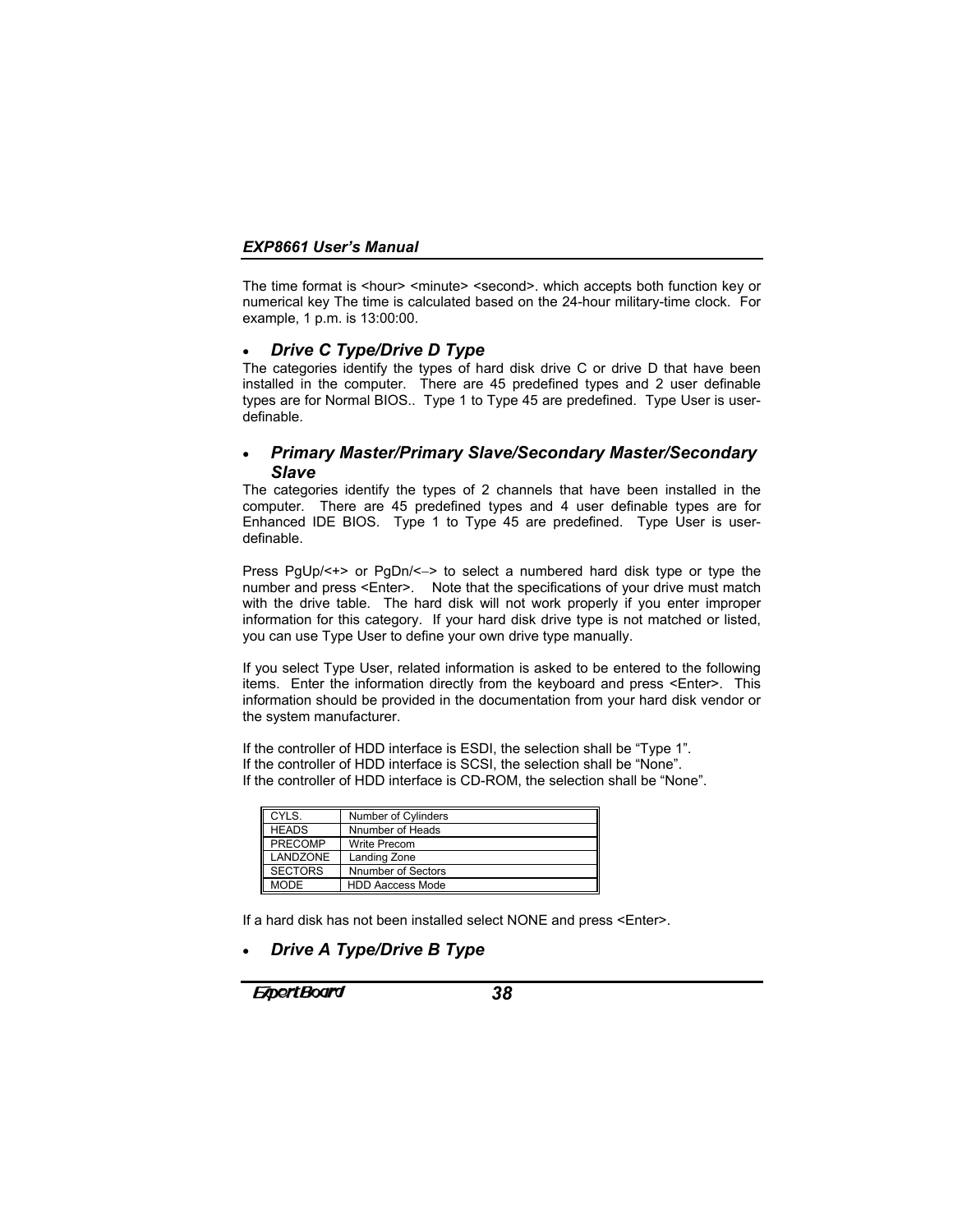The time format is <hour> <minute> <second>. which accepts both function key or numerical key The time is calculated based on the 24-hour military-time clock. For example, 1 p.m. is 13:00:00.

### • *Drive C Type/Drive D Type*

The categories identify the types of hard disk drive C or drive D that have been installed in the computer. There are 45 predefined types and 2 user definable types are for Normal BIOS.. Type 1 to Type 45 are predefined. Type User is userdefinable.

# • *Primary Master/Primary Slave/Secondary Master/Secondary Slave*

The categories identify the types of 2 channels that have been installed in the computer. There are 45 predefined types and 4 user definable types are for Enhanced IDE BIOS. Type 1 to Type 45 are predefined. Type User is userdefinable.

Press PgUp/<+> or PgDn/<−> to select a numbered hard disk type or type the number and press <Enter>. Note that the specifications of your drive must match with the drive table. The hard disk will not work properly if you enter improper information for this category. If your hard disk drive type is not matched or listed, you can use Type User to define your own drive type manually.

If you select Type User, related information is asked to be entered to the following items. Enter the information directly from the keyboard and press <Enter>. This information should be provided in the documentation from your hard disk vendor or the system manufacturer.

If the controller of HDD interface is ESDI, the selection shall be "Type 1". If the controller of HDD interface is SCSI, the selection shall be "None". If the controller of HDD interface is CD-ROM, the selection shall be "None".

| CYLS.          | Number of Cylinders     |
|----------------|-------------------------|
| <b>HEADS</b>   | Nnumber of Heads        |
| <b>PRECOMP</b> | Write Precom            |
| LANDZONE       | Landing Zone            |
| <b>SECTORS</b> | Nnumber of Sectors      |
| <b>MODE</b>    | <b>HDD Aaccess Mode</b> |

If a hard disk has not been installed select NONE and press <Enter>.

# • *Drive A Type/Drive B Type*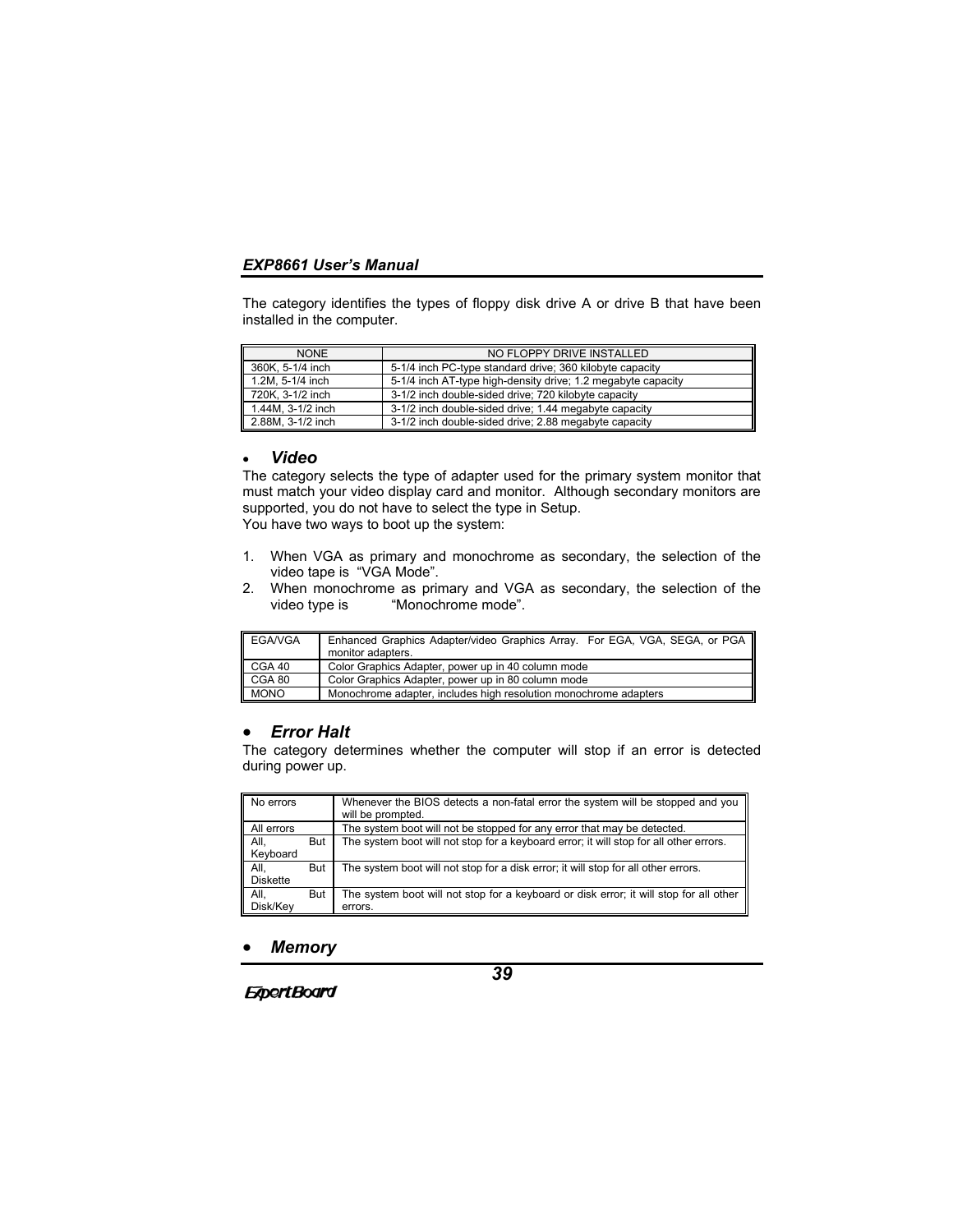The category identifies the types of floppy disk drive A or drive B that have been installed in the computer.

| <b>NONE</b>       | NO FLOPPY DRIVE INSTALLED                                    |
|-------------------|--------------------------------------------------------------|
| 360K, 5-1/4 inch  | 5-1/4 inch PC-type standard drive; 360 kilobyte capacity     |
| 1.2M, 5-1/4 inch  | 5-1/4 inch AT-type high-density drive; 1.2 megabyte capacity |
| 720K. 3-1/2 inch  | 3-1/2 inch double-sided drive; 720 kilobyte capacity         |
| 1.44M, 3-1/2 inch | 3-1/2 inch double-sided drive; 1.44 megabyte capacity        |
| 2.88M, 3-1/2 inch | 3-1/2 inch double-sided drive; 2.88 megabyte capacity        |

#### • *Video*

The category selects the type of adapter used for the primary system monitor that must match your video display card and monitor. Although secondary monitors are supported, you do not have to select the type in Setup. You have two ways to boot up the system:

- 1. When VGA as primary and monochrome as secondary, the selection of the video tape is "VGA Mode".
- 2. When monochrome as primary and VGA as secondary, the selection of the video type is "Monochrome mode".

| <b>EGA/VGA</b> | Enhanced Graphics Adapter/video Graphics Array. For EGA, VGA, SEGA, or PGA<br>monitor adapters. |
|----------------|-------------------------------------------------------------------------------------------------|
| CGA 40         | Color Graphics Adapter, power up in 40 column mode                                              |
| CGA 80         | Color Graphics Adapter, power up in 80 column mode                                              |
| <b>MONO</b>    | Monochrome adapter, includes high resolution monochrome adapters                                |

# • *Error Halt*

The category determines whether the computer will stop if an error is detected during power up.

| No errors               |     | Whenever the BIOS detects a non-fatal error the system will be stopped and you<br>will be prompted. |
|-------------------------|-----|-----------------------------------------------------------------------------------------------------|
| All errors              |     | The system boot will not be stopped for any error that may be detected.                             |
| All.<br>Keyboard        | But | The system boot will not stop for a keyboard error; it will stop for all other errors.              |
| All.<br><b>Diskette</b> | But | The system boot will not stop for a disk error; it will stop for all other errors.                  |
| All.<br>Disk/Kev        | But | The system boot will not stop for a keyboard or disk error; it will stop for all other<br>errors.   |

#### • *Memory*

**ExpertBoard**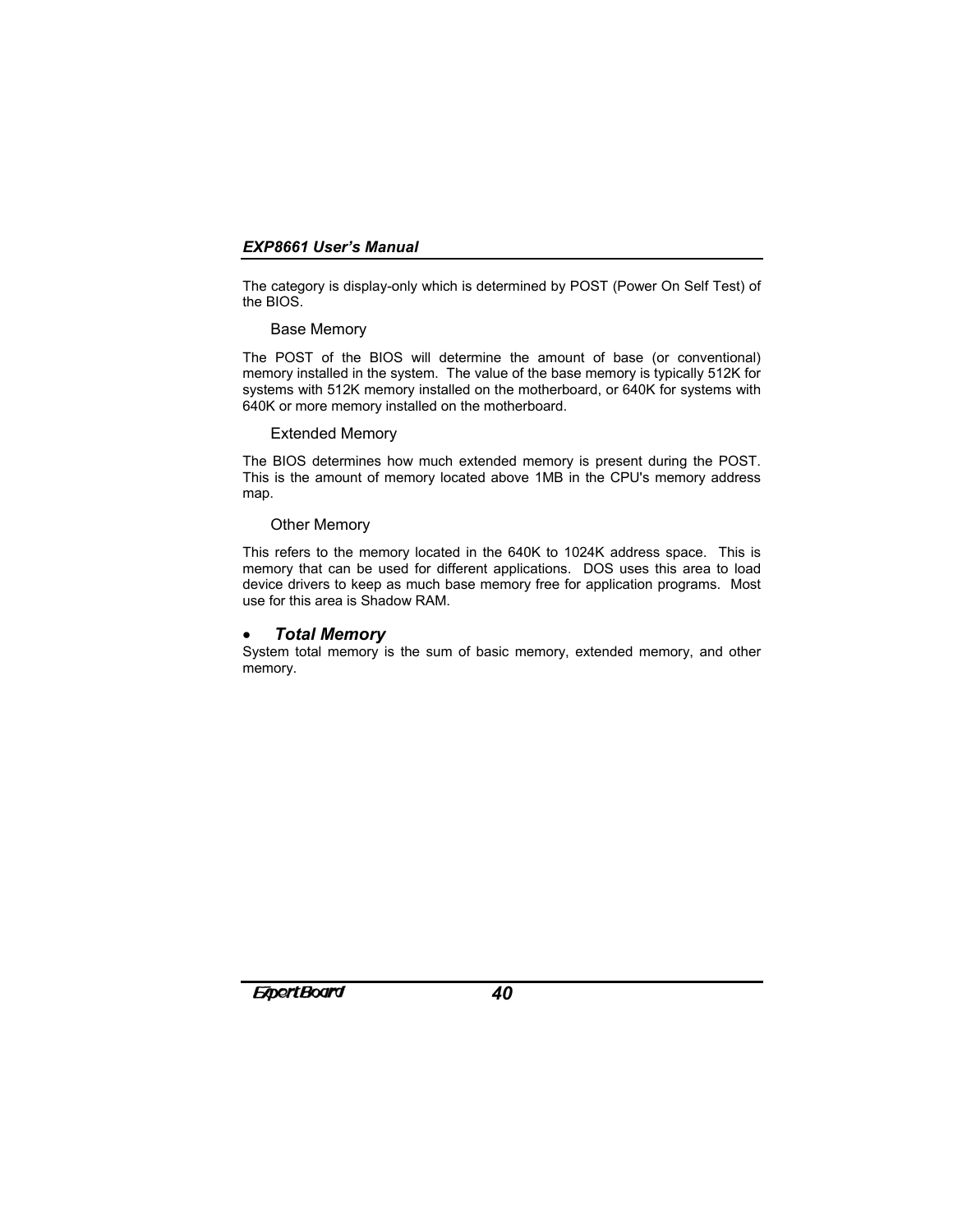The category is display-only which is determined by POST (Power On Self Test) of the BIOS.

### Base Memory

The POST of the BIOS will determine the amount of base (or conventional) memory installed in the system. The value of the base memory is typically 512K for systems with 512K memory installed on the motherboard, or 640K for systems with 640K or more memory installed on the motherboard.

#### Extended Memory

The BIOS determines how much extended memory is present during the POST. This is the amount of memory located above 1MB in the CPU's memory address map.

### Other Memory

This refers to the memory located in the 640K to 1024K address space. This is memory that can be used for different applications. DOS uses this area to load device drivers to keep as much base memory free for application programs. Most use for this area is Shadow RAM.

### • *Total Memory*

System total memory is the sum of basic memory, extended memory, and other memory.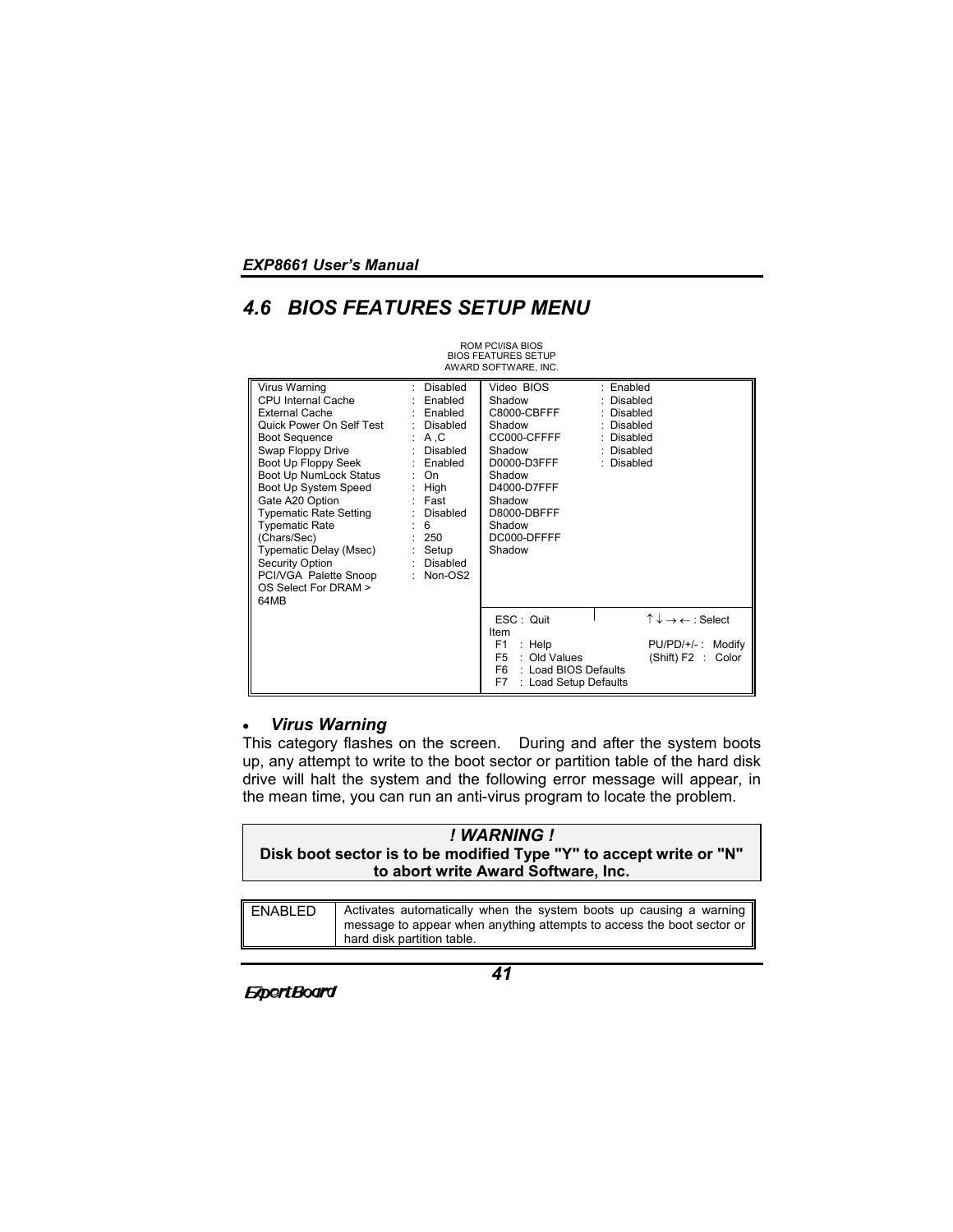# *4.6 BIOS FEATURES SETUP MENU*

|                                                                                                                                                                                                                                                                                                                                                                                                           |                                                                                                                                                                                            | ROM PCI/ISA BIOS<br><b>BIOS FEATURES SETUP</b><br>AWARD SOFTWARE, INC.                                                                                                     |                                                                                                  |
|-----------------------------------------------------------------------------------------------------------------------------------------------------------------------------------------------------------------------------------------------------------------------------------------------------------------------------------------------------------------------------------------------------------|--------------------------------------------------------------------------------------------------------------------------------------------------------------------------------------------|----------------------------------------------------------------------------------------------------------------------------------------------------------------------------|--------------------------------------------------------------------------------------------------|
| Virus Warning<br>CPU Internal Cache<br><b>External Cache</b><br>Quick Power On Self Test<br><b>Boot Sequence</b><br>Swap Floppy Drive<br>Boot Up Floppy Seek<br>Boot Up NumLock Status<br>Boot Up System Speed<br>Gate A20 Option<br>Typematic Rate Setting<br><b>Typematic Rate</b><br>(Chars/Sec)<br>Typematic Delay (Msec)<br>Security Option<br>PCI/VGA Palette Snoop<br>OS Select For DRAM ><br>64MB | Disabled<br>÷.<br>Enabled<br>: Enabled<br>: Disabled<br>: A.C<br>: Disabled<br>: Enabled<br>: On<br>: $High$<br>: Fast<br>: Disabled<br>: 6<br>: 250<br>$:$ Setup<br>: Disabled<br>Non-OS2 | Video BIOS<br>Shadow<br>C8000-CBFFF<br>Shadow<br>CC000-CFFFF<br>Shadow<br>D0000-D3FFF<br>Shadow<br>D4000-D7FFF<br>Shadow<br>D8000-DBFFF<br>Shadow<br>DC000-DFFFF<br>Shadow | : Enabled<br>Disabled<br>: Disabled<br>: Disabled<br>: Disabled<br>: Disabled<br>: Disabled      |
|                                                                                                                                                                                                                                                                                                                                                                                                           |                                                                                                                                                                                            | ESC: Quit<br>Item<br>F <sub>1</sub><br>$:$ Help<br>: Old Values<br>F <sub>5</sub><br>F <sub>6</sub><br>: Load BIOS Defaults<br>F7<br>: Load Setup Defaults                 | $\uparrow \downarrow \rightarrow \leftarrow$ : Select<br>PU/PD/+/-: Modify<br>(Shift) F2 : Color |

# • *Virus Warning*

This category flashes on the screen. During and after the system boots up, any attempt to write to the boot sector or partition table of the hard disk drive will halt the system and the following error message will appear, in the mean time, you can run an anti-virus program to locate the problem.

| ! WARNING !                                                        |
|--------------------------------------------------------------------|
| Disk boot sector is to be modified Type "Y" to accept write or "N" |
| to abort write Award Software, Inc.                                |

| ENABLED | Activates automatically when the system boots up causing a warning<br>message to appear when anything attempts to access the boot sector or |
|---------|---------------------------------------------------------------------------------------------------------------------------------------------|
|         | hard disk partition table.                                                                                                                  |

**ExpertBoard**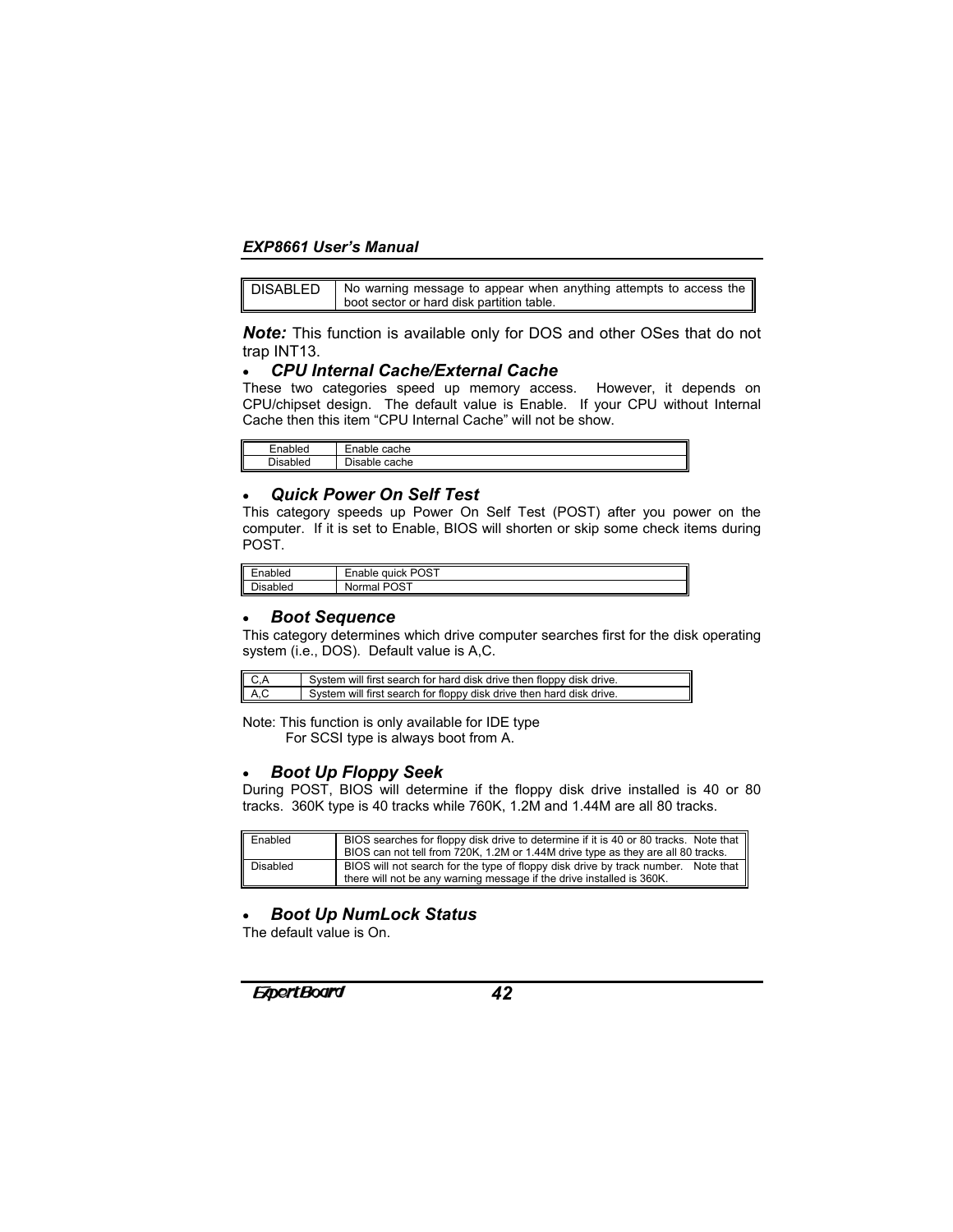| <b>DISABLED</b> | No warning message to appear when anything attempts to access the |
|-----------------|-------------------------------------------------------------------|
|                 | boot sector or hard disk partition table.                         |

*Note:* This function is available only for DOS and other OSes that do not trap INT13.

# • *CPU Internal Cache/External Cache*

These two categories speed up memory access. However, it depends on CPU/chipset design. The default value is Enable. If your CPU without Internal Cache then this item "CPU Internal Cache" will not be show.

| –        | -                                  |
|----------|------------------------------------|
| .        | Enable                             |
| Enabled  | cache                              |
| הisablea | - -<br>1io o k<br>cache<br>Disable |

### • *Quick Power On Self Test*

This category speeds up Power On Self Test (POST) after you power on the computer. If it is set to Enable, BIOS will shorten or skip some check items during POST.

| nabled             | $\sim$<br>υ٬<br>auick<br>US.<br>napie |
|--------------------|---------------------------------------|
| $\sim$<br>lisabled | <b>POST</b><br>mai.<br>NON.           |

#### • *Boot Sequence*

This category determines which drive computer searches first for the disk operating system (i.e., DOS). Default value is A,C.

| C.A  | System will first search for hard disk drive then floppy disk drive. |
|------|----------------------------------------------------------------------|
| A, C | System will first search for floppy disk drive then hard disk drive. |

Note: This function is only available for IDE type For SCSI type is always boot from A.

#### • *Boot Up Floppy Seek*

During POST, BIOS will determine if the floppy disk drive installed is 40 or 80 tracks. 360K type is 40 tracks while 760K, 1.2M and 1.44M are all 80 tracks.

| Enabled  | BIOS searches for floppy disk drive to determine if it is 40 or 80 tracks. Note that<br>BIOS can not tell from 720K, 1.2M or 1.44M drive type as they are all 80 tracks. |
|----------|--------------------------------------------------------------------------------------------------------------------------------------------------------------------------|
| Disabled | BIOS will not search for the type of floppy disk drive by track number.<br>Note that<br>there will not be any warning message if the drive installed is 360K.            |

# • *Boot Up NumLock Status*

The default value is On.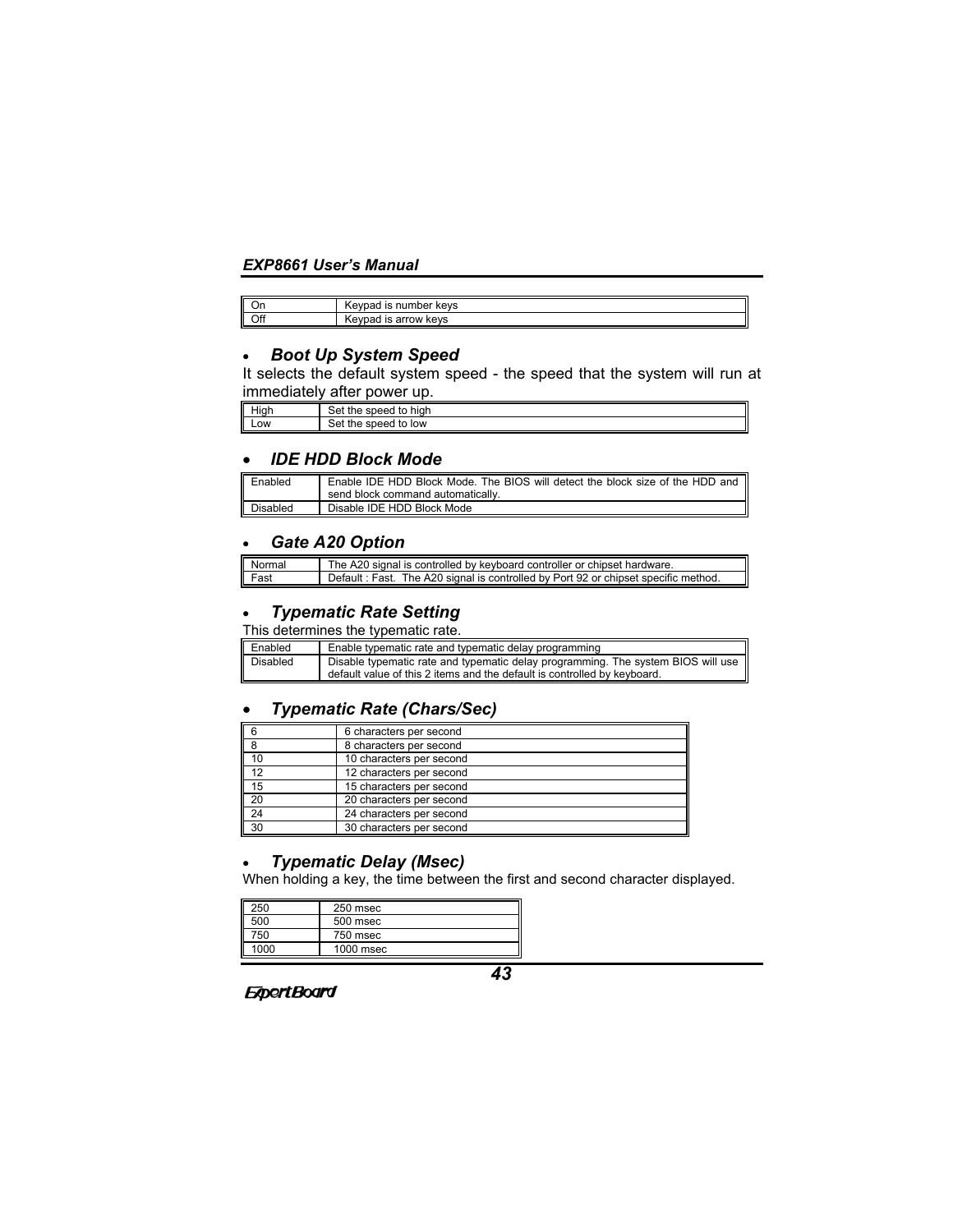| .Un | number keys<br>ıs<br>…evr<br>ו אינ |
|-----|------------------------------------|
| Off | arrow<br>kevs<br>IS<br>∧evpar      |

# • *Boot Up System Speed*

It selects the default system speed - the speed that the system will run at immediately after power up.

| .<br>High | ∽<br>high<br>≏ה<br>to<br>the<br><b>100C</b><br>- nam   |
|-----------|--------------------------------------------------------|
| Low       | low<br>to<br>≏י<br>0.199 <sup>o</sup><br>τne<br>,,,,,, |

# • *IDE HDD Block Mode*

| Enabled  | Enable IDE HDD Block Mode. The BIOS will detect the block size of the HDD and |
|----------|-------------------------------------------------------------------------------|
|          | send block command automatically.                                             |
| Disabled | Disable IDE HDD Block Mode                                                    |

# • *Gate A20 Option*

| Normal<br>Fast | The A20 signal is controlled by keyboard controller or chipset hardware.           |
|----------------|------------------------------------------------------------------------------------|
|                | Default: Fast. The A20 signal is controlled by Port 92 or chipset specific method. |

# • *Typematic Rate Setting*

This determines the typematic rate.

| Enabled         | Enable typematic rate and typematic delay programming                                                                                                        |
|-----------------|--------------------------------------------------------------------------------------------------------------------------------------------------------------|
| <b>Disabled</b> | Disable typematic rate and typematic delay programming. The system BIOS will use<br>default value of this 2 items and the default is controlled by keyboard. |

# • *Typematic Rate (Chars/Sec)*

| <b>6</b>        | 6 characters per second  |
|-----------------|--------------------------|
|                 | 8 characters per second  |
| 10              | 10 characters per second |
| 12              | 12 characters per second |
| 15              | 15 characters per second |
| $\overline{20}$ | 20 characters per second |
| $\sqrt{24}$     | 24 characters per second |
| 30              | 30 characters per second |

# • *Typematic Delay (Msec)*

**ExpertBoard** 

When holding a key, the time between the first and second character displayed.

| 250  | 250 msec  |
|------|-----------|
| 500  | 500 msec  |
| 750  | 750 msec  |
| 1000 | 1000 msec |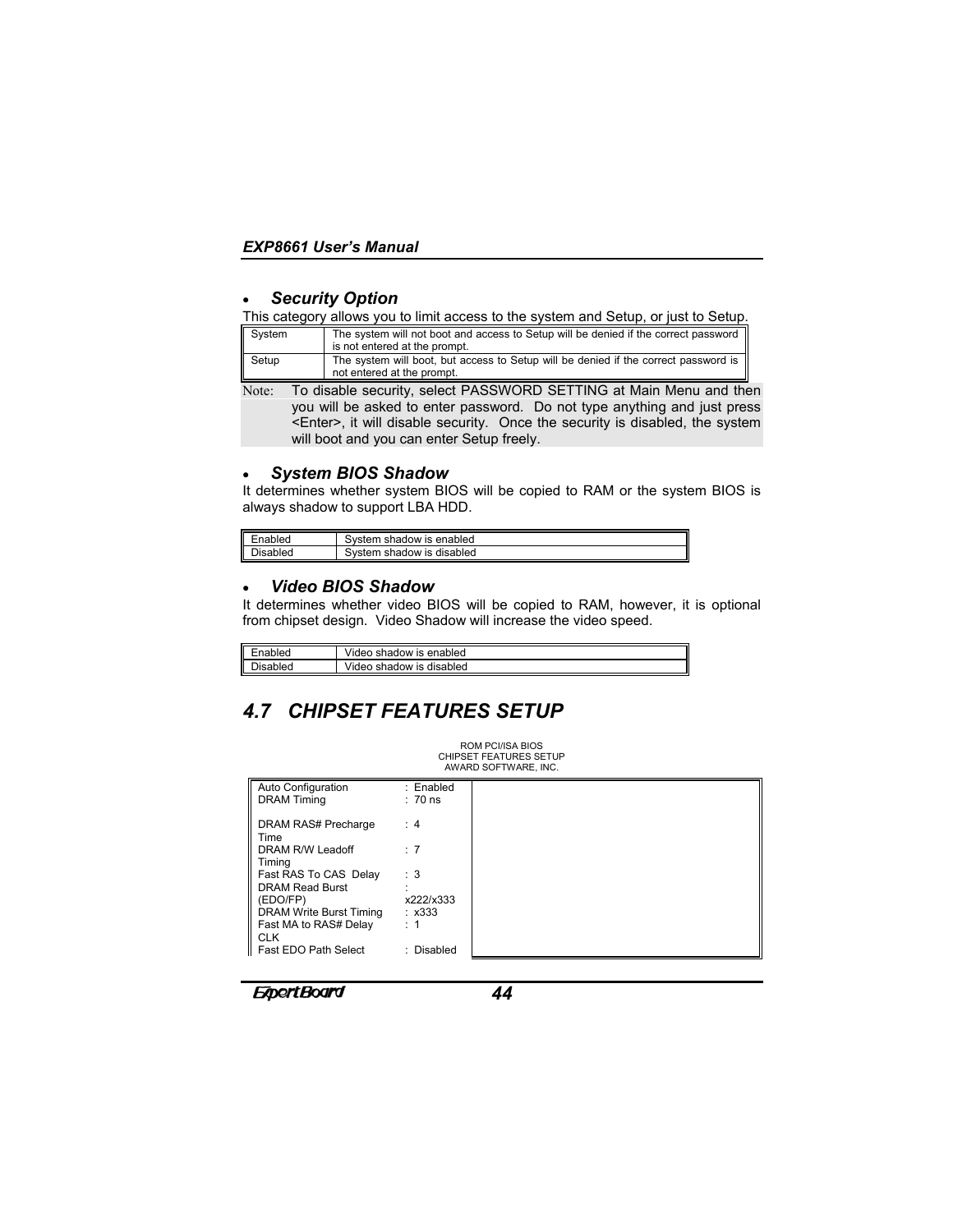# • *Security Option*

#### This category allows you to limit access to the system and Setup, or just to Setup.

| System | The system will not boot and access to Setup will be denied if the correct password<br>is not entered at the prompt.                           |  |
|--------|------------------------------------------------------------------------------------------------------------------------------------------------|--|
| Setup  | The system will boot, but access to Setup will be denied if the correct password is<br>not entered at the prompt.                              |  |
| Note:  | To disable security, select PASSWORD SETTING at Main Menu and then<br>you will be asked to enter password. Do not type anything and just press |  |

you will be asked to enter password. Do not type anything and just press <Enter>, it will disable security. Once the security is disabled, the system will boot and you can enter Setup freely.

#### • *System BIOS Shadow*

It determines whether system BIOS will be copied to RAM or the system BIOS is always shadow to support LBA HDD.

| Enabled  | Svstem.<br>shadow is enabled   |
|----------|--------------------------------|
| Disabled | Svstem .<br>shadow is disabled |

# • *Video BIOS Shadow*

It determines whether video BIOS will be copied to RAM, however, it is optional from chipset design. Video Shadow will increase the video speed.

| nabled   | Video shadow is enabled                  |
|----------|------------------------------------------|
| Disabled | Video shadow<br><sup>'</sup> is disabled |

# *4.7 CHIPSET FEATURES SETUP*

| <b>CHIPSET FEATURES SETUP</b><br>AWARD SOFTWARE, INC. |             |  |  |
|-------------------------------------------------------|-------------|--|--|
| Auto Configuration                                    | : Enabled   |  |  |
| <b>DRAM Timing</b>                                    | $: 70$ ns   |  |  |
| DRAM RAS# Precharge<br>Time                           | : 4         |  |  |
| DRAM R/W Leadoff<br>Timing                            | : 7         |  |  |
| Fast RAS To CAS Delay                                 | : 3         |  |  |
| <b>DRAM Read Burst</b>                                |             |  |  |
| (EDO/FP)                                              | x222/x333   |  |  |
| DRAM Write Burst Timing                               | $\div$ x333 |  |  |
| Fast MA to RAS# Delay<br><b>CLK</b>                   | : 1         |  |  |
| Fast EDO Path Select                                  | : Disabled  |  |  |

ROM PCI/ISA BIOS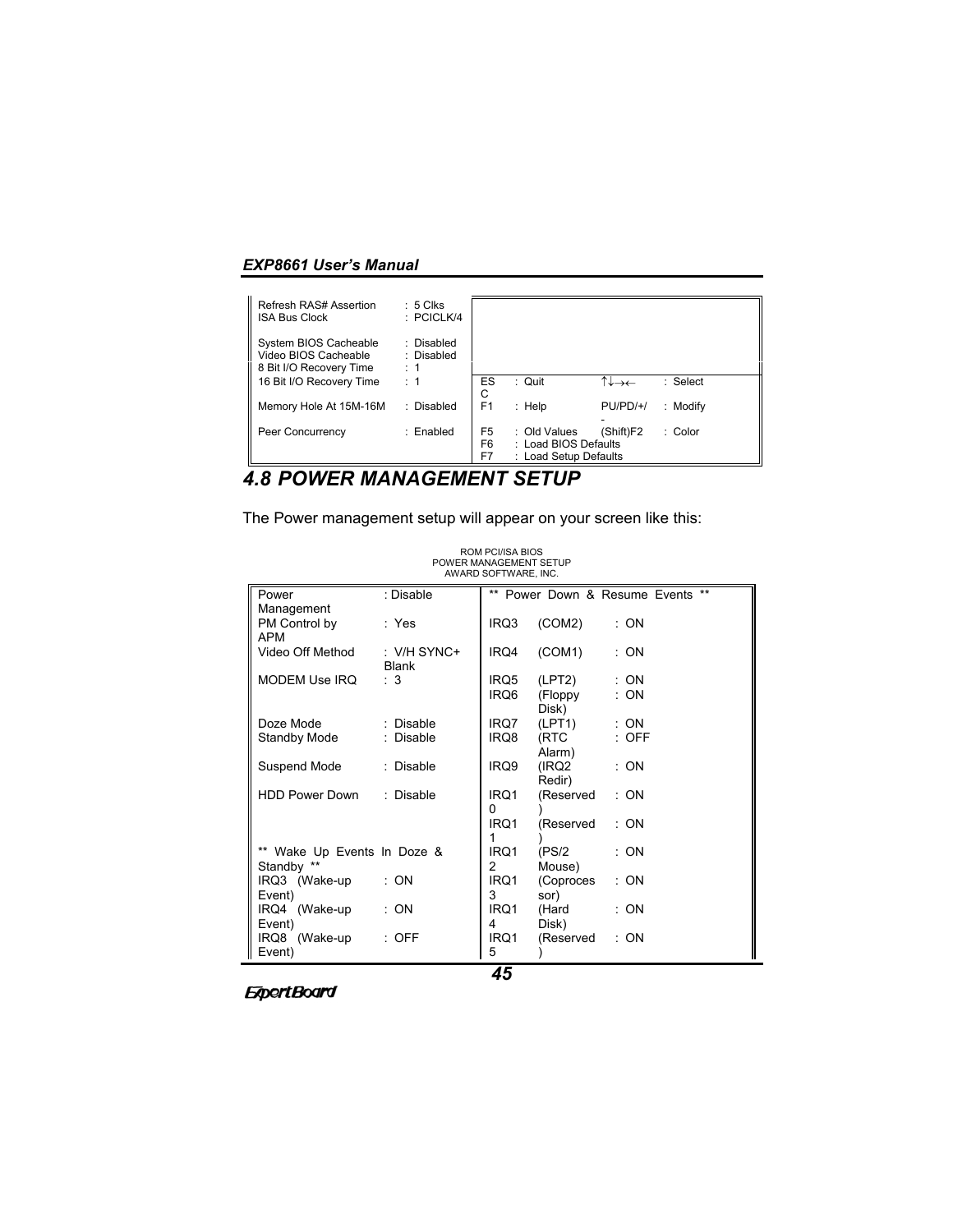| Refresh RAS# Assertion<br><b>ISA Bus Clock</b>                           | $: 5$ Clks<br>$\therefore$ PCICLK/4 |                            |                                                               |            |          |
|--------------------------------------------------------------------------|-------------------------------------|----------------------------|---------------------------------------------------------------|------------|----------|
| System BIOS Cacheable<br>Video BIOS Cacheable<br>8 Bit I/O Recovery Time | : Disabled<br>: Disabled<br>: 1     |                            |                                                               |            |          |
| 16 Bit I/O Recovery Time                                                 | : 1                                 | ES<br>С                    | : Quit                                                        | ↑↓→←       | : Select |
| Memory Hole At 15M-16M                                                   | : Disabled                          | F <sub>1</sub>             | $:$ Help                                                      | $PU/PD/+/$ | : Modify |
| Peer Concurrency                                                         | : Enabled                           | F <sub>5</sub><br>F6<br>F7 | : Old Values<br>: Load BIOS Defaults<br>: Load Setup Defaults | (Shift)F2  | : Color  |

# *4.8 POWER MANAGEMENT SETUP*

The Power management setup will appear on your screen like this:

| Power                       | : Disable     |      | ** Power Down & Resume Events |         | $***$ |
|-----------------------------|---------------|------|-------------------------------|---------|-------|
| Management                  |               |      |                               |         |       |
| PM Control by               | : Yes         | IRQ3 | (COM2)                        | : ON    |       |
| <b>APM</b>                  |               |      |                               |         |       |
| Video Off Method            | : $V/H$ SYNC+ | IRQ4 | (COM1)                        | : ON    |       |
|                             | <b>Blank</b>  |      |                               |         |       |
| MODEM Use IRQ               | : 3           | IRQ5 | (LPT2)                        | : ON    |       |
|                             |               | IRQ6 | (Floppy                       | : ON    |       |
|                             |               |      | Disk)                         |         |       |
| Doze Mode                   | : Disable     | IRQ7 | (LPT1)                        | : ON    |       |
| Standby Mode                | : Disable     | IRQ8 | (RTC                          | $:$ OFF |       |
|                             |               |      | Alarm)                        |         |       |
| Suspend Mode                | : Disable     | IRQ9 | (IRQ2)                        | : ON    |       |
|                             |               |      | Redir)                        |         |       |
| HDD Power Down : Disable    |               | IRQ1 | (Reserved                     | : ON    |       |
|                             |               | 0    |                               |         |       |
|                             |               | IRQ1 | (Reserved                     | : ON    |       |
|                             |               | 1    |                               |         |       |
| ** Wake Up Events In Doze & |               | IRQ1 | (PS/2                         | : ON    |       |
| Standby **                  |               | 2    | Mouse)                        |         |       |
| IRQ3 (Wake-up               | : ON          | IRQ1 | (Coproces                     | : ON    |       |
| Event)                      |               | 3    | sor)                          |         |       |
| IRQ4 (Wake-up               | : ON          | IRQ1 | (Hard                         | : ON    |       |
| Event)                      |               | 4    | Disk)                         |         |       |
| IRQ8 (Wake-up               | $:$ OFF       | IRQ1 | (Reserved                     | : ON    |       |
| Event)                      |               | 5    |                               |         |       |
|                             |               | --   |                               |         |       |

ROM PCI/ISA BIOS POWER MANAGEMENT SETUP AWARD SOFTWARE, INC.

**ExpertBoard**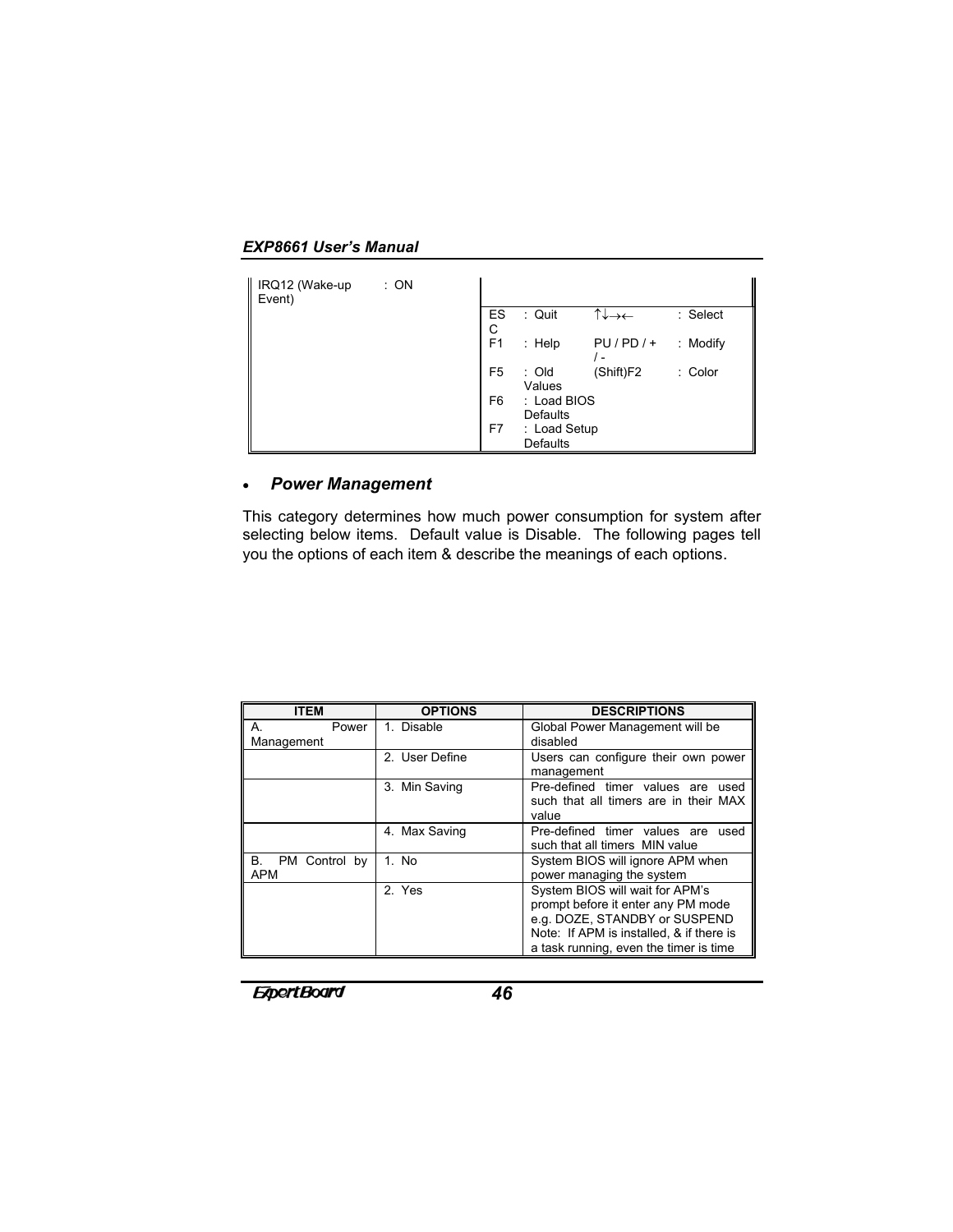*EXP8661 User's Manual*

| IRQ12 (Wake-up<br>Event) | : ON |                |                                 |           |          |
|--------------------------|------|----------------|---------------------------------|-----------|----------|
|                          |      | ES<br>С        | : Quit                          | ↑↓→←      | : Select |
|                          |      | F <sub>1</sub> | $:$ Help                        | $PU/PD/+$ | : Modify |
|                          |      | F <sub>5</sub> | : Old<br>Values                 | (Shift)F2 | : Color  |
|                          |      | F <sub>6</sub> | : Load BIOS<br><b>Defaults</b>  |           |          |
|                          |      | F7             | : Load Setup<br><b>Defaults</b> |           |          |

# • *Power Management*

This category determines how much power consumption for system after selecting below items. Default value is Disable. The following pages tell you the options of each item & describe the meanings of each options.

| <b>ITEM</b>               | <b>OPTIONS</b> | <b>DESCRIPTIONS</b>                                                                                                                                                                          |
|---------------------------|----------------|----------------------------------------------------------------------------------------------------------------------------------------------------------------------------------------------|
| Power<br>А.<br>Management | 1. Disable     | Global Power Management will be<br>disabled                                                                                                                                                  |
|                           | 2. User Define | Users can configure their own power<br>management                                                                                                                                            |
|                           | 3. Min Saving  | Pre-defined timer values are<br>used<br>such that all timers are in their MAX<br>value                                                                                                       |
|                           | 4. Max Saving  | Pre-defined timer values are<br>used<br>such that all timers MIN value                                                                                                                       |
| B. PM Control by<br>APM   | 1. No          | System BIOS will ignore APM when<br>power managing the system                                                                                                                                |
|                           | 2. Yes         | System BIOS will wait for APM's<br>prompt before it enter any PM mode<br>e.g. DOZE, STANDBY or SUSPEND<br>Note: If APM is installed, & if there is<br>a task running, even the timer is time |

*<u>ExpertBoard</u>*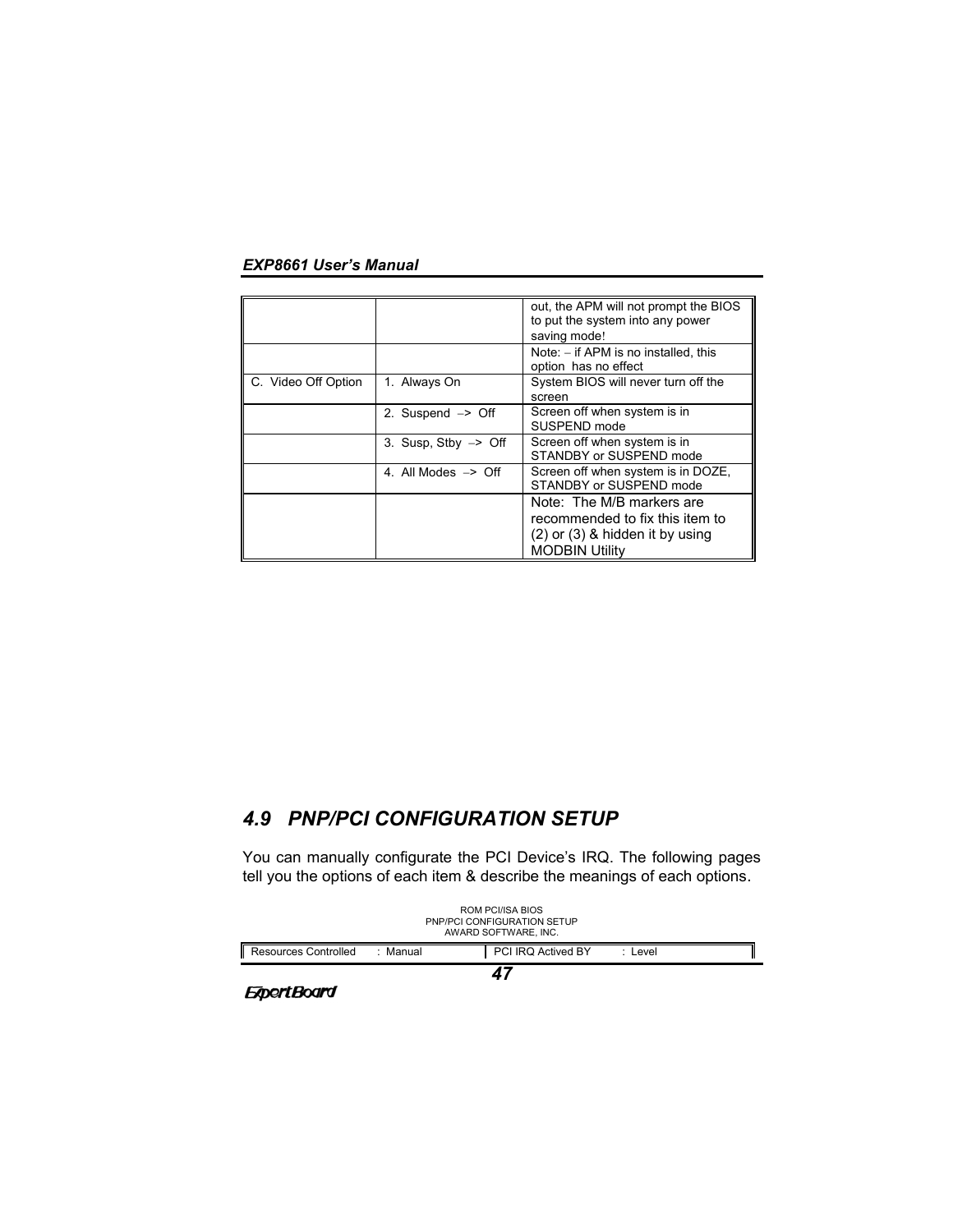|                     |                                 | out, the APM will not prompt the BIOS<br>to put the system into any power<br>saving mode!                                    |
|---------------------|---------------------------------|------------------------------------------------------------------------------------------------------------------------------|
|                     |                                 | Note: $-$ if APM is no installed, this<br>option has no effect                                                               |
| C. Video Off Option | 1. Always On                    | System BIOS will never turn off the<br>screen                                                                                |
|                     | 2. Suspend $\Rightarrow$ Off    | Screen off when system is in<br>SUSPEND mode                                                                                 |
|                     | 3. Susp, $Stbv \rightarrow Off$ | Screen off when system is in<br>STANDBY or SUSPEND mode                                                                      |
|                     | 4. All Modes $\Rightarrow$ Off  | Screen off when system is in DOZE,<br>STANDBY or SUSPEND mode                                                                |
|                     |                                 | Note: The M/B markers are<br>recommended to fix this item to<br>$(2)$ or $(3)$ & hidden it by using<br><b>MODBIN Utility</b> |

# *4.9 PNP/PCI CONFIGURATION SETUP*

You can manually configurate the PCI Device's IRQ. The following pages tell you the options of each item & describe the meanings of each options.



**ExpertBoard**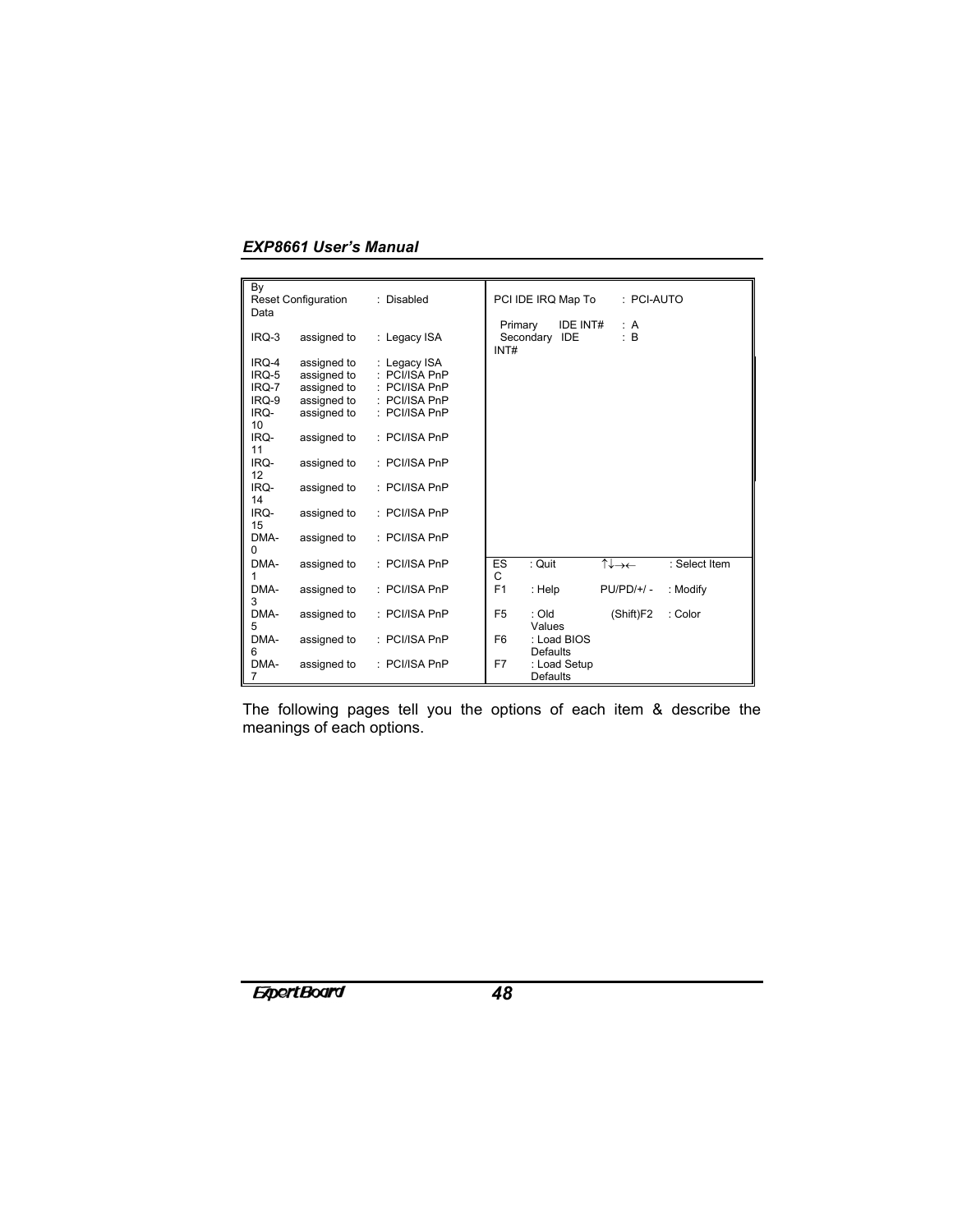| By<br>Data                                                   | <b>Reset Configuration</b>                                                             | : Disabled                                                                                    | PCI IDE IRQ Map To<br>: PCI-AUTO                            |
|--------------------------------------------------------------|----------------------------------------------------------------------------------------|-----------------------------------------------------------------------------------------------|-------------------------------------------------------------|
| IRQ-3                                                        | assigned to                                                                            | : Legacy ISA                                                                                  | IDE INT#<br>Primary<br>: A<br>: B<br>Secondary IDE<br>INT#  |
| IRQ-4<br>IRQ-5<br>IRQ-7<br>IRQ-9<br>IRQ-<br>10<br>IRQ-<br>11 | assigned to<br>assigned to<br>assigned to<br>assigned to<br>assigned to<br>assigned to | : Legacy ISA<br>PCI/ISA PnP<br>PCI/ISA PnP<br>: PCI/ISA PnP<br>: PCI/ISA PnP<br>: PCI/ISA PnP |                                                             |
| IRQ-<br>12<br>IRQ-<br>14                                     | assigned to<br>assigned to                                                             | : PCI/ISA PnP<br>$:$ PCI/ISA PnP                                                              |                                                             |
| IRQ-<br>15                                                   | assigned to                                                                            | $:$ PCI/ISA PnP                                                                               |                                                             |
| DMA-<br>0                                                    | assigned to                                                                            | $:$ PCI/ISA PnP                                                                               |                                                             |
| DMA-<br>1                                                    | assigned to                                                                            | : PCI/ISA PnP                                                                                 | : Quit<br>↑↓→←<br>ES<br>: Select Item<br>C                  |
| DMA-<br>3                                                    | assigned to                                                                            | $:$ PCI/ISA PnP                                                                               | F <sub>1</sub><br>: Help<br>$PU/PD/+/-$<br>: Modify         |
| DMA-<br>5                                                    | assigned to                                                                            | $:$ PCI/ISA PnP                                                                               | F <sub>5</sub><br>$:$ Old<br>(Shift)F2<br>: Color<br>Values |
| DMA-<br>6                                                    | assigned to                                                                            | : PCI/ISA PnP                                                                                 | F <sub>6</sub><br>: Load BIOS<br><b>Defaults</b>            |
| DMA-<br>7                                                    | assigned to                                                                            | : PCI/ISA PnP                                                                                 | F7<br>: Load Setup<br><b>Defaults</b>                       |

The following pages tell you the options of each item & describe the meanings of each options.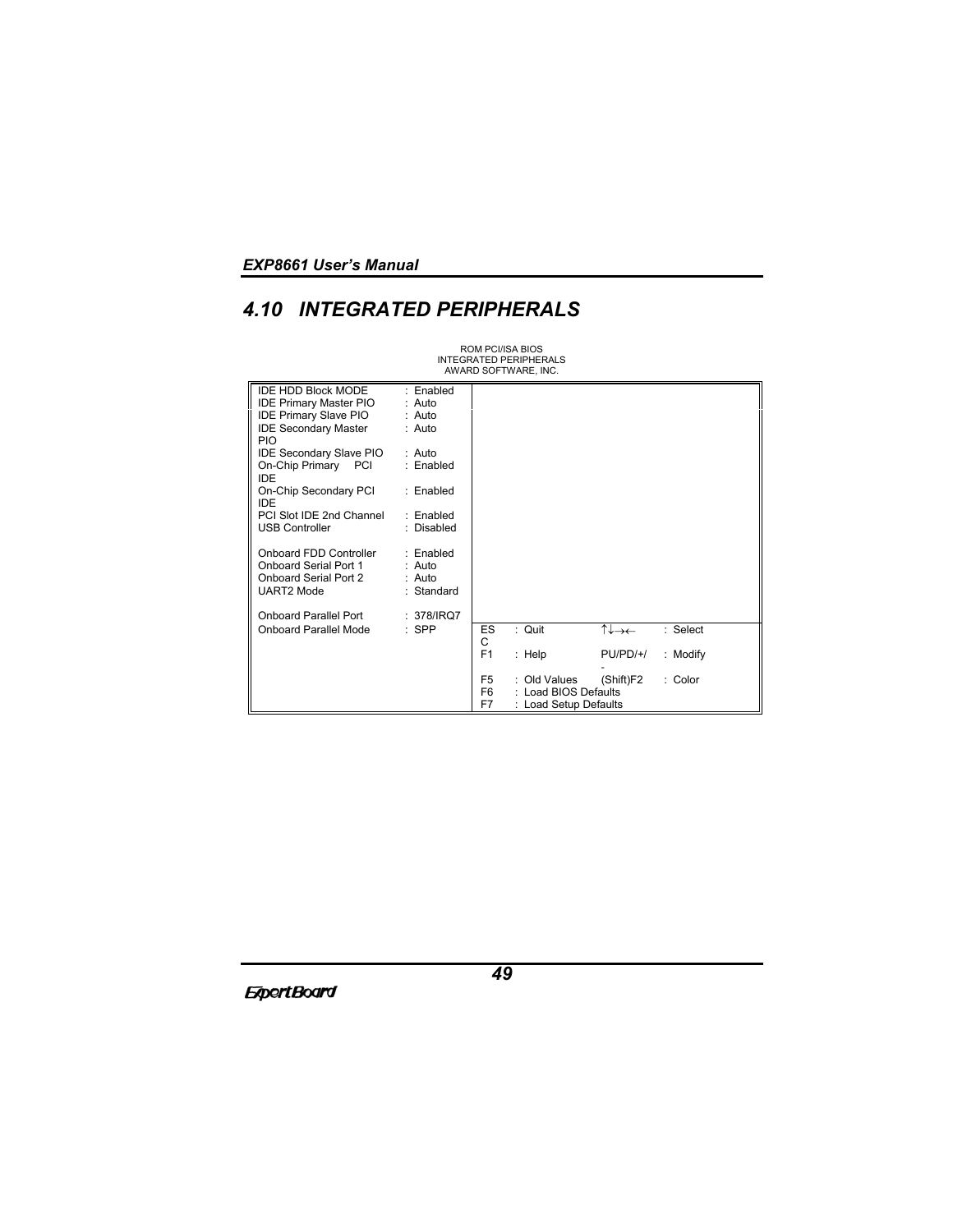# *4.10 INTEGRATED PERIPHERALS*

ROM PCI/ISA BIOS INTEGRATED PERIPHERALS AWARD SOFTWARE, INC.

| IDE HDD Block MODE                        | : Enabled    |                |                       |            |          |
|-------------------------------------------|--------------|----------------|-----------------------|------------|----------|
|                                           |              |                |                       |            |          |
| <b>IDE Primary Master PIO</b>             | $:$ Auto     |                |                       |            |          |
| <b>IDE Primary Slave PIO</b>              | : Auto       |                |                       |            |          |
| <b>IDE Secondary Master</b><br><b>PIO</b> | $:$ Auto     |                |                       |            |          |
| IDE Secondary Slave PIO                   | $:$ Auto     |                |                       |            |          |
| On-Chip Primary PCI<br>IDE                | : Enabled    |                |                       |            |          |
| On-Chip Secondary PCI<br><b>IDE</b>       | : Enabled    |                |                       |            |          |
| PCI Slot IDE 2nd Channel                  | · Fnabled    |                |                       |            |          |
| <b>USB Controller</b>                     | : Disabled   |                |                       |            |          |
|                                           |              |                |                       |            |          |
| Onboard FDD Controller                    | : Enabled    |                |                       |            |          |
| Onboard Serial Port 1                     | : Auto       |                |                       |            |          |
| Onboard Serial Port 2                     | : Auto       |                |                       |            |          |
| <b>UART2 Mode</b>                         | : Standard   |                |                       |            |          |
|                                           |              |                |                       |            |          |
| <b>Onboard Parallel Port</b>              | : $378/IRO7$ |                |                       |            |          |
| Onboard Parallel Mode                     | $:$ SPP      | <b>ES</b>      | : Quit                | ⇡⇃⇁←       | : Select |
|                                           |              | C              |                       |            |          |
|                                           |              | F1             | : $\mathsf{Help}$     | $PU/PD/+/$ | : Modify |
|                                           |              |                |                       |            |          |
|                                           |              | F5             | : Old Values          | (Shift)F2  | : Color  |
|                                           |              | F <sub>6</sub> | : Load BIOS Defaults  |            |          |
|                                           |              | F7             | : Load Setup Defaults |            |          |
|                                           |              |                |                       |            |          |

**ExpertBoard**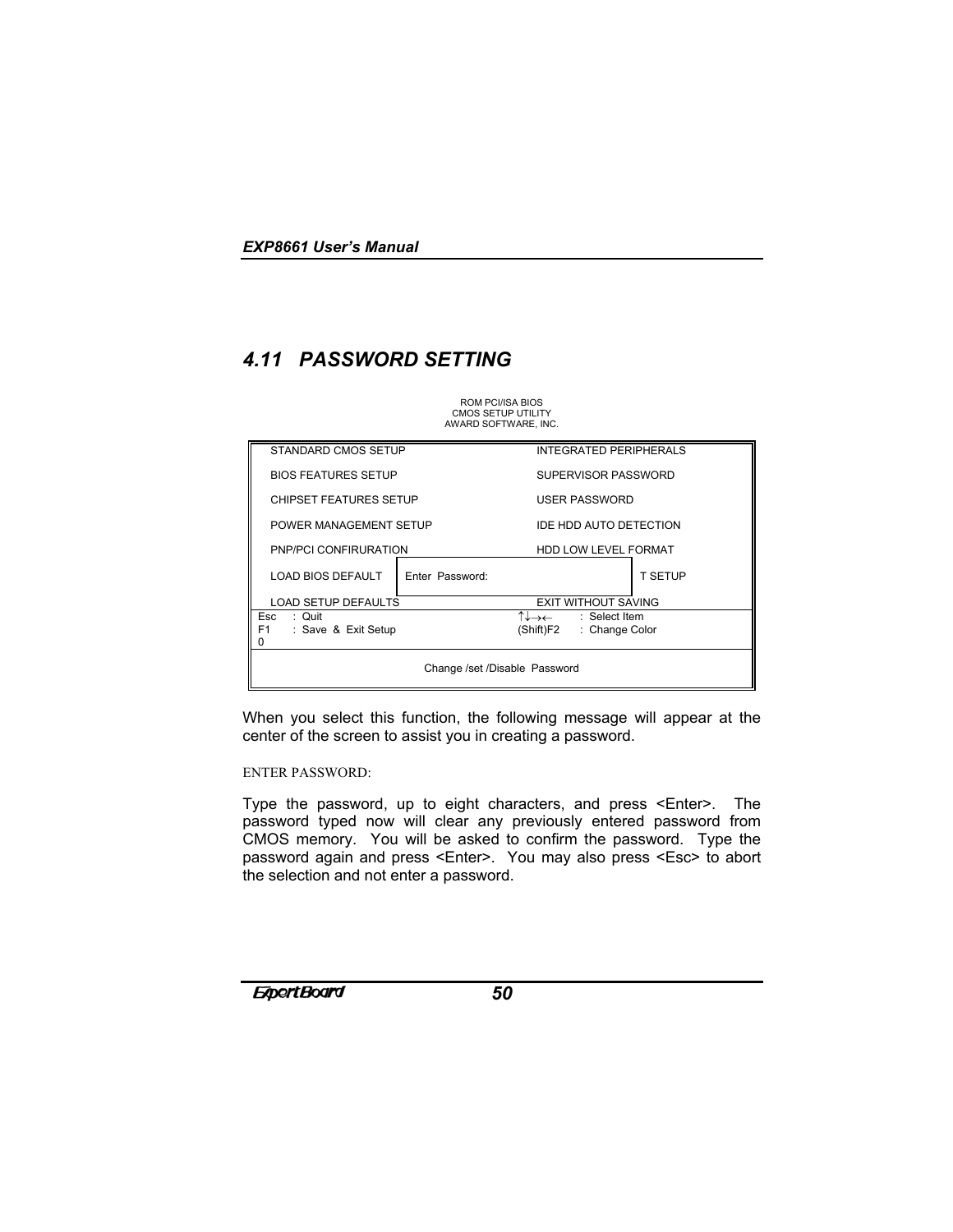# *4.11 PASSWORD SETTING*

ROM PCI/ISA BIOS CMOS SETUP UTILITY AWARD SOFTWARE, INC.

| STANDARD CMOS SETUP                        |                            |           | <b>INTEGRATED PERIPHERALS</b> |                |  |
|--------------------------------------------|----------------------------|-----------|-------------------------------|----------------|--|
|                                            | <b>BIOS FEATURES SETUP</b> |           | SUPERVISOR PASSWORD           |                |  |
| <b>CHIPSET FEATURES SETUP</b>              |                            |           | USER PASSWORD                 |                |  |
|                                            | POWER MANAGEMENT SETUP     |           | IDE HDD AUTO DETECTION        |                |  |
| PNP/PCI CONFIRURATION                      |                            |           | HDD LOW LEVEL FORMAT          |                |  |
| LOAD BIOS DEFAULT                          | Enter Password:            |           |                               | <b>T SETUP</b> |  |
| <b>LOAD SETUP DEFAULTS</b>                 |                            |           | <b>EXIT WITHOUT SAVING</b>    |                |  |
| Esc<br>: Quit                              |                            |           | ↑↓→← : Select Item            |                |  |
| F <sub>1</sub><br>: Save & Exit Setup<br>0 |                            | (Shift)F2 | : Change Color                |                |  |
| Change /set /Disable Password              |                            |           |                               |                |  |

When you select this function, the following message will appear at the center of the screen to assist you in creating a password.

### ENTER PASSWORD:

Type the password, up to eight characters, and press <Enter>. The password typed now will clear any previously entered password from CMOS memory. You will be asked to confirm the password. Type the password again and press <Enter>. You may also press <Esc> to abort the selection and not enter a password.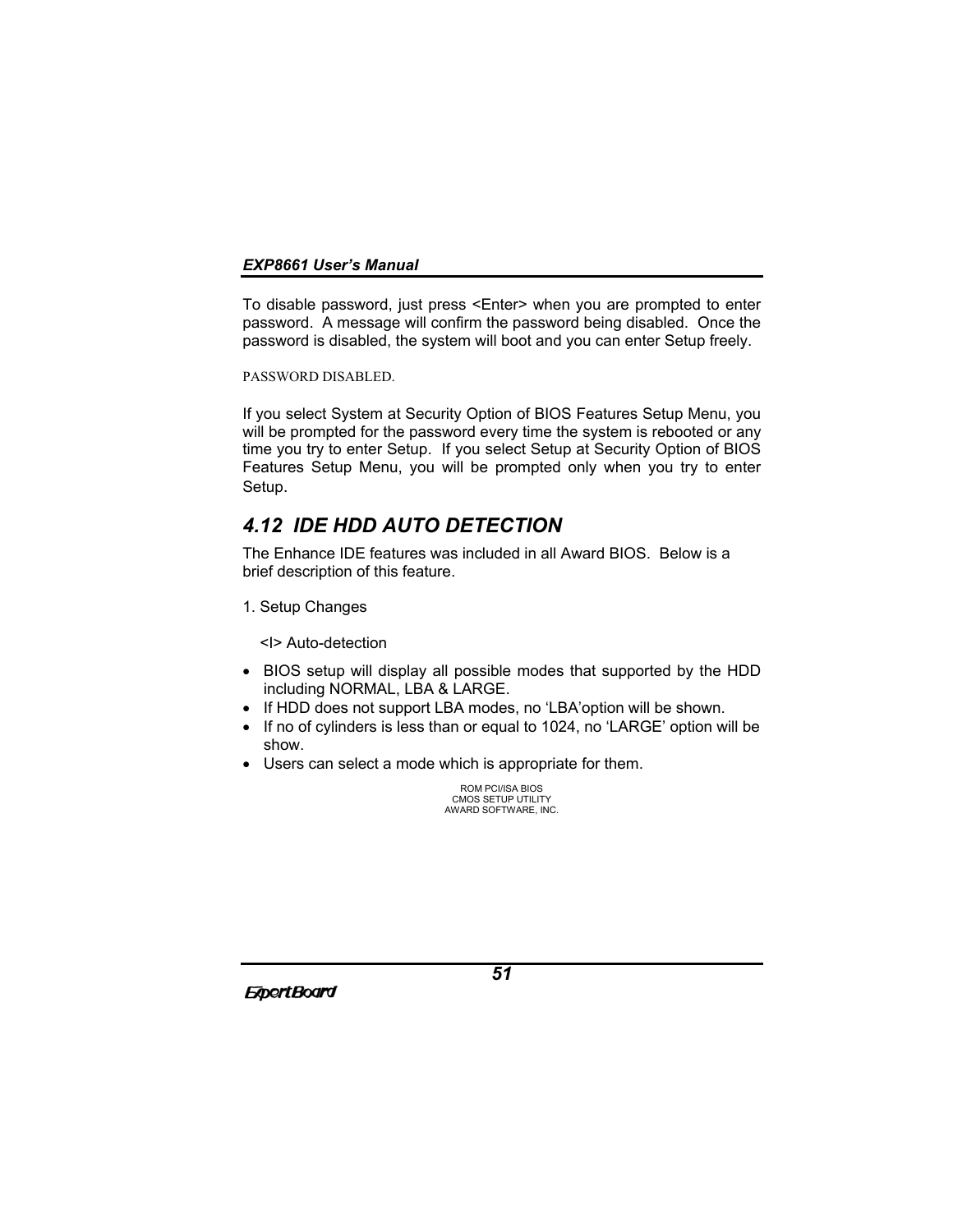To disable password, just press <Enter> when you are prompted to enter password. A message will confirm the password being disabled. Once the password is disabled, the system will boot and you can enter Setup freely.

PASSWORD DISABLED.

If you select System at Security Option of BIOS Features Setup Menu, you will be prompted for the password every time the system is rebooted or any time you try to enter Setup. If you select Setup at Security Option of BIOS Features Setup Menu, you will be prompted only when you try to enter Setup.

# *4.12 IDE HDD AUTO DETECTION*

The Enhance IDE features was included in all Award BIOS. Below is a brief description of this feature.

1. Setup Changes

<I> Auto-detection

- BIOS setup will display all possible modes that supported by the HDD including NORMAL, LBA & LARGE.
- If HDD does not support LBA modes, no 'LBA'option will be shown.
- If no of cylinders is less than or equal to 1024, no 'LARGE' option will be show.
- Users can select a mode which is appropriate for them.

ROM PCI/ISA BIOS CMOS SETUP UTILITY AWARD SOFTWARE, INC.

**ExpertBoard**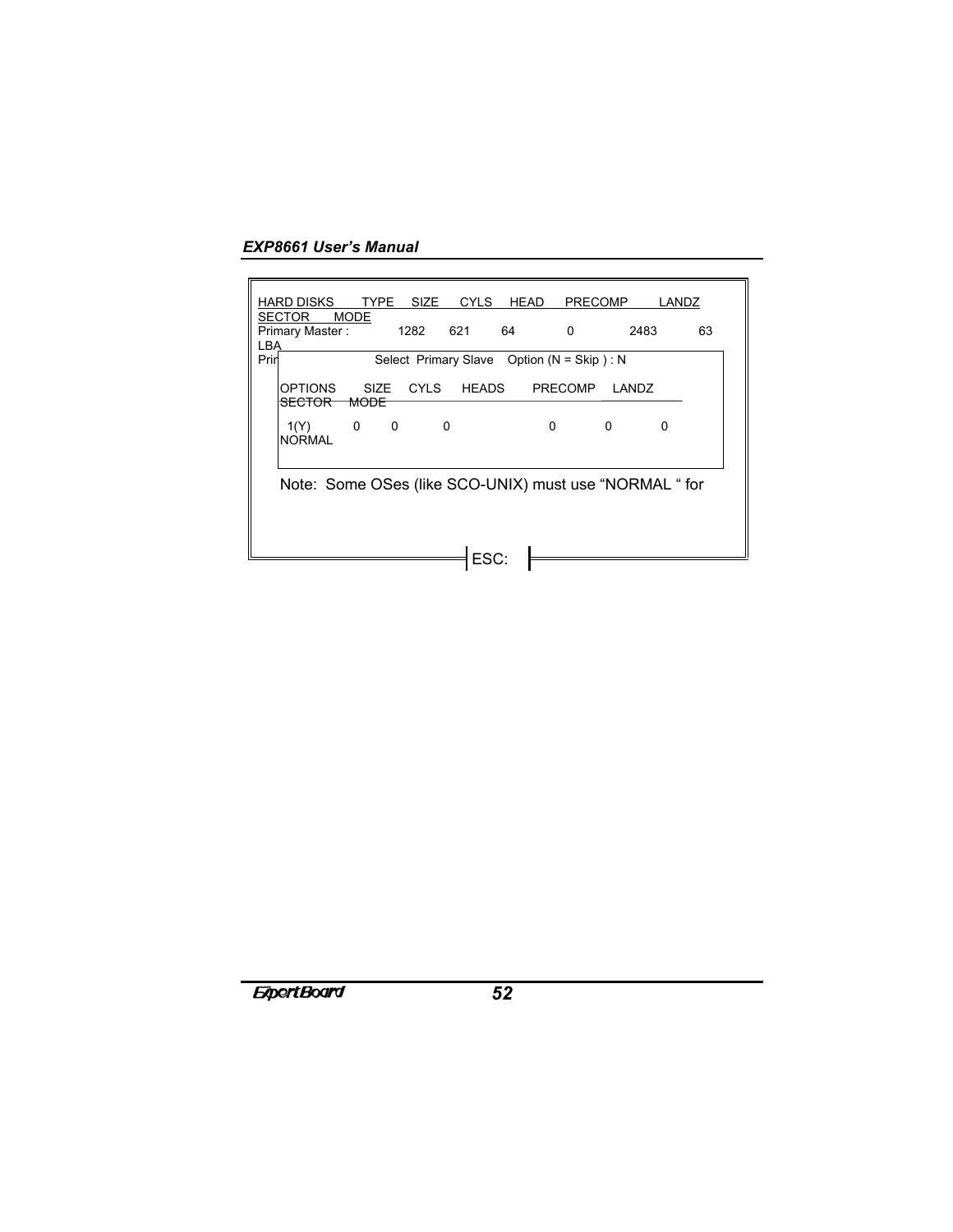| HARD DISKS                                             |               | TYPE SIZE   | CYLS         | HEAD                                          | <b>PRECOMP</b> |          | LANDZ |    |
|--------------------------------------------------------|---------------|-------------|--------------|-----------------------------------------------|----------------|----------|-------|----|
| <b>SECTOR</b>                                          | <b>MODE</b>   |             |              |                                               |                |          |       |    |
| Primary Master:<br><b>LBA</b>                          |               | 1282        | 621          | 64                                            | 0              | 2483     |       | 63 |
| Prin                                                   |               |             |              | Select Primary Slave Option ( $N = Skip$ ): N |                |          |       |    |
| <b>OPTIONS</b><br><b>SECTOR</b>                        | SIZE.<br>MODE | <b>CYLS</b> | <b>HEADS</b> |                                               | <b>PRECOMP</b> | LANDZ    |       |    |
| 1(Y)<br><b>NORMAL</b>                                  | 0<br>0        | 0           |              |                                               | 0              | $\Omega$ | O     |    |
| Note: Some OSes (like SCO-UNIX) must use "NORMAL " for |               |             |              |                                               |                |          |       |    |
|                                                        |               |             | ESC:         |                                               |                |          |       |    |
|                                                        |               |             |              |                                               |                |          |       |    |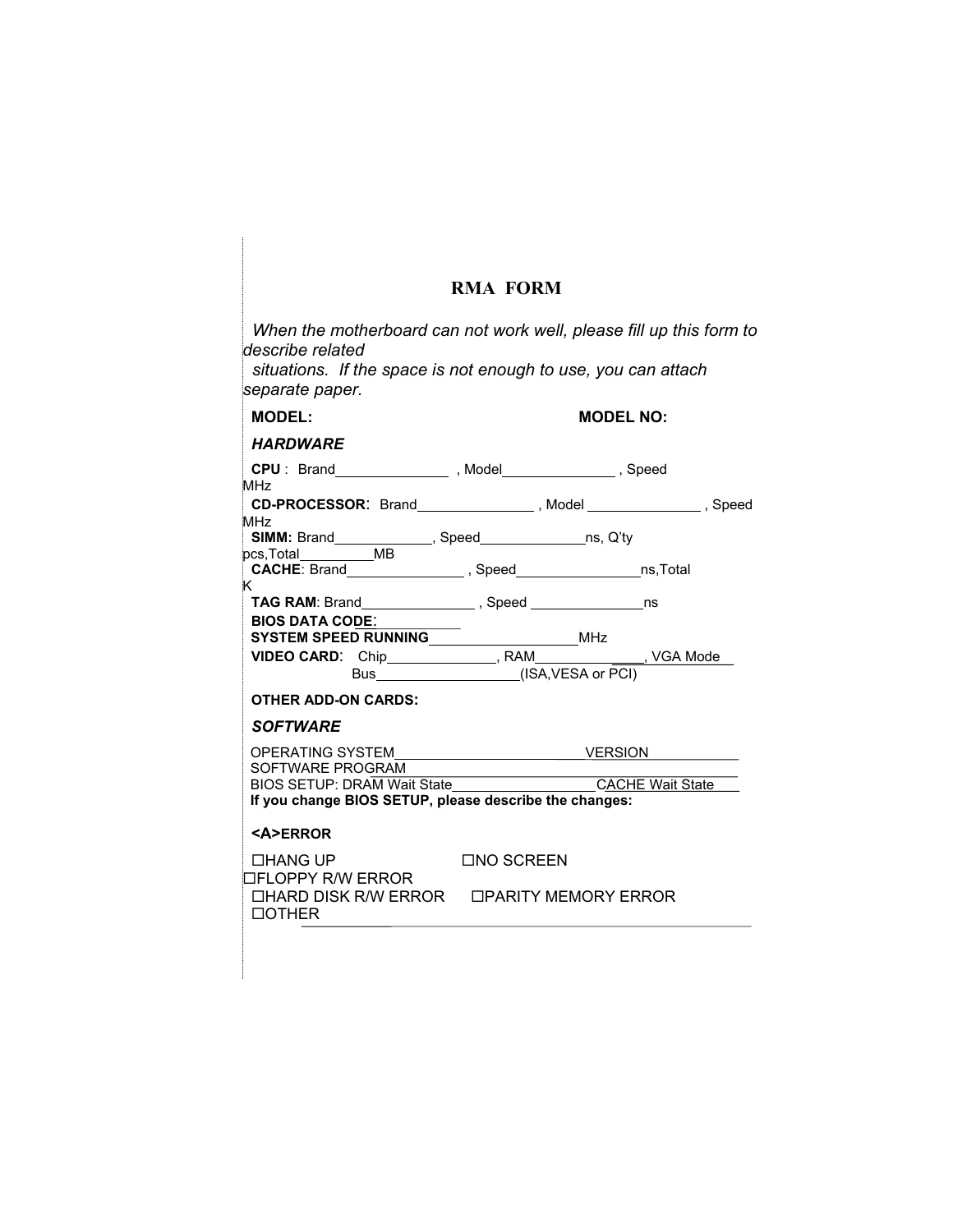# **RMA FORM**

| When the motherboard can not work well, please fill up this form to<br>describe related<br>situations. If the space is not enough to use, you can attach<br>separate paper. |                   |                  |
|-----------------------------------------------------------------------------------------------------------------------------------------------------------------------------|-------------------|------------------|
| <b>MODEL:</b>                                                                                                                                                               |                   | <b>MODEL NO:</b> |
| <b>HARDWARE</b>                                                                                                                                                             |                   |                  |
| MH <sub>7</sub>                                                                                                                                                             |                   |                  |
| CD-PROCESSOR: Brand________________, Model ________________, Speed                                                                                                          |                   |                  |
| MHz<br>"" <b>SIMM:</b> Brand____________, Speed_____________ns, Q'ty<br>pcs,Total___________MB                                                                              |                   |                  |
| CACHE: Brand _________________, Speed __________________ns,Total                                                                                                            |                   |                  |
| K.<br><b>BIOS DATA CODE:</b>                                                                                                                                                |                   |                  |
| SYSTEM SPEED RUNNING<br>SYSTEM SPEED RUNNING                                                                                                                                |                   |                  |
| VIDEO CARD: Chip_____________, RAM__________, VGA Mode__<br>Bus_______________(ISA,VESA or PCI)                                                                             |                   |                  |
| <b>OTHER ADD-ON CARDS:</b>                                                                                                                                                  |                   |                  |
| <b>SOFTWARE</b>                                                                                                                                                             |                   |                  |
|                                                                                                                                                                             |                   |                  |
| SOFTWARE PROGRAM                                                                                                                                                            |                   |                  |
| BIOS SETUP: DRAM Wait State<br>If you change BIOS SETUP, please describe the changes:                                                                                       |                   | CACHE Wait State |
| <b><a>ERROR</a></b>                                                                                                                                                         |                   |                  |
| $\Box$ HANG UP<br>□FLOPPY R/W ERROR                                                                                                                                         | <b>□NO SCREEN</b> |                  |
| □HARD DISK R/W ERROR □PARITY MEMORY ERROR<br>$\Box$ OTHER                                                                                                                   |                   |                  |
|                                                                                                                                                                             |                   |                  |